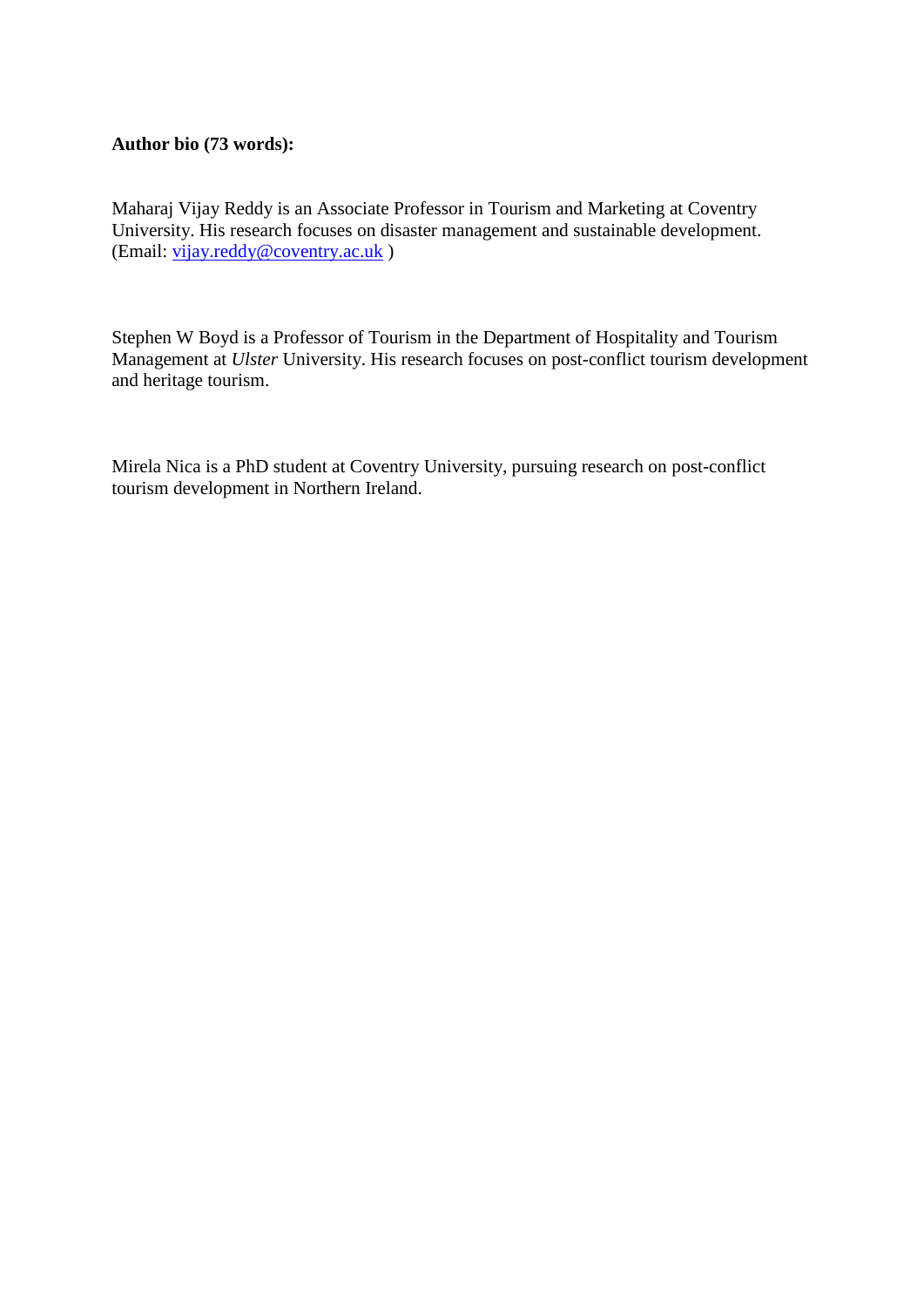#### **Author bio (73 words):**

Maharaj Vijay Reddy is an Associate Professor in Tourism and Marketing at Coventry University. His research focuses on disaster management and sustainable development. (Email: [vijay.reddy@coventry.ac.uk](mailto:vijay.reddy@coventry.ac.uk) )

Stephen W Boyd is a Professor of Tourism in the Department of Hospitality and Tourism Management at *Ulster* University. His research focuses on post-conflict tourism development and heritage tourism.

Mirela Nica is a PhD student at Coventry University, pursuing research on post-conflict tourism development in Northern Ireland.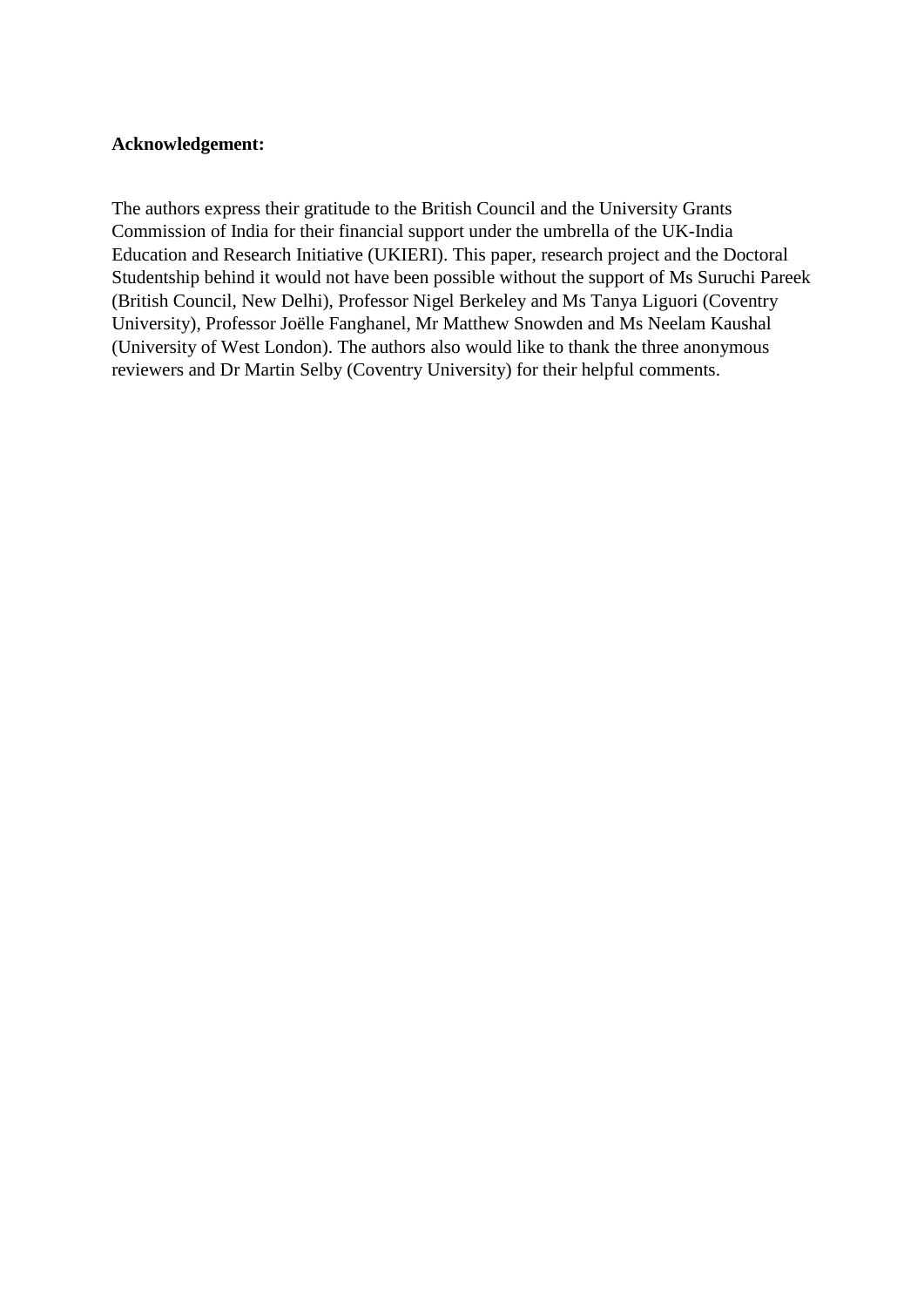#### **Acknowledgement:**

The authors express their gratitude to the British Council and the University Grants Commission of India for their financial support under the umbrella of the UK-India Education and Research Initiative (UKIERI). This paper, research project and the Doctoral Studentship behind it would not have been possible without the support of Ms Suruchi Pareek (British Council, New Delhi), Professor Nigel Berkeley and Ms Tanya Liguori (Coventry University), Professor Joëlle Fanghanel, Mr Matthew Snowden and Ms Neelam Kaushal (University of West London). The authors also would like to thank the three anonymous reviewers and Dr Martin Selby (Coventry University) for their helpful comments.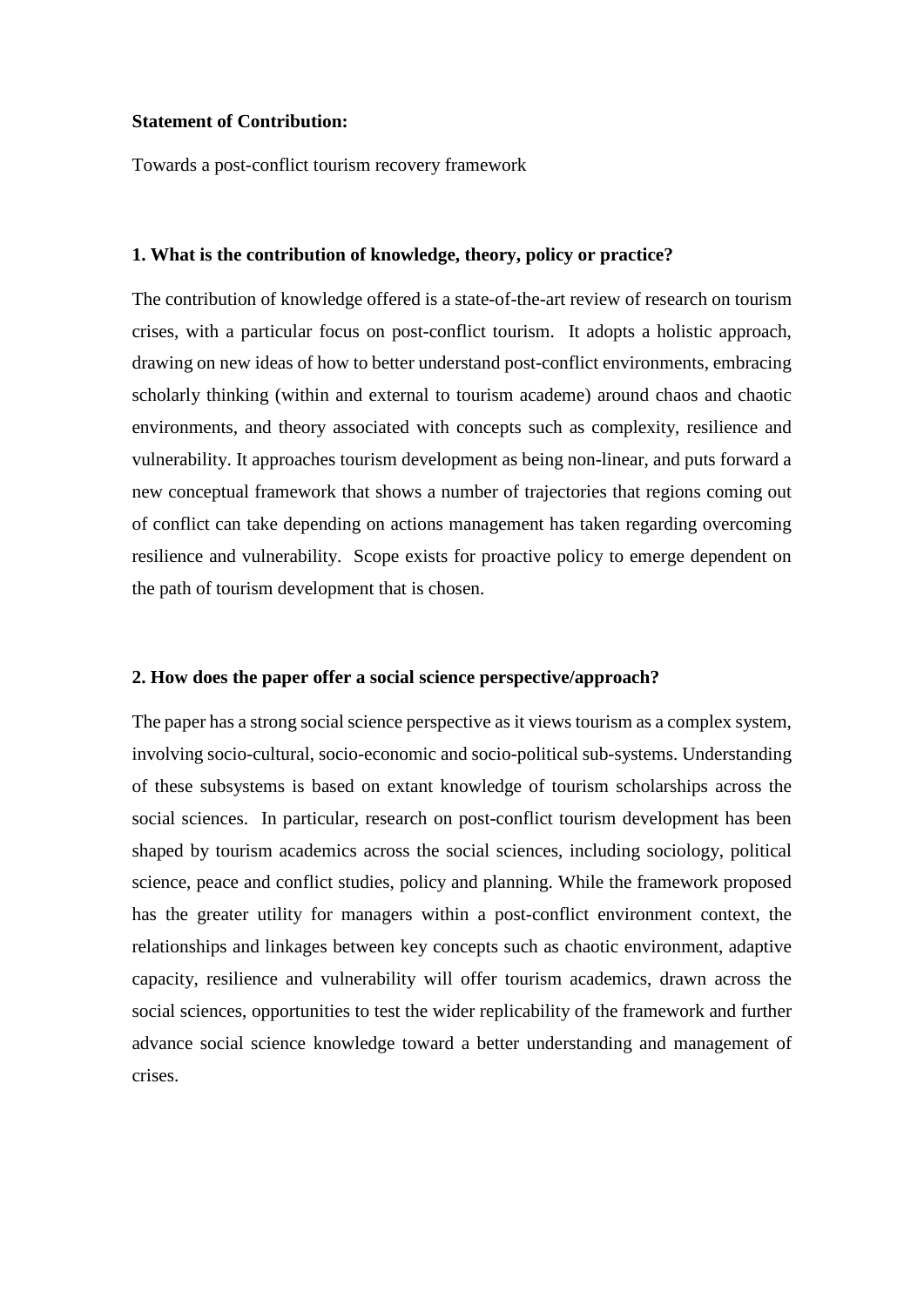#### **Statement of Contribution:**

Towards a post-conflict tourism recovery framework

#### **1. What is the contribution of knowledge, theory, policy or practice?**

The contribution of knowledge offered is a state-of-the-art review of research on tourism crises, with a particular focus on post-conflict tourism. It adopts a holistic approach, drawing on new ideas of how to better understand post-conflict environments, embracing scholarly thinking (within and external to tourism academe) around chaos and chaotic environments, and theory associated with concepts such as complexity, resilience and vulnerability. It approaches tourism development as being non-linear, and puts forward a new conceptual framework that shows a number of trajectories that regions coming out of conflict can take depending on actions management has taken regarding overcoming resilience and vulnerability. Scope exists for proactive policy to emerge dependent on the path of tourism development that is chosen.

#### **2. How does the paper offer a social science perspective/approach?**

The paper has a strong social science perspective as it views tourism as a complex system, involving socio-cultural, socio-economic and socio-political sub-systems. Understanding of these subsystems is based on extant knowledge of tourism scholarships across the social sciences. In particular, research on post-conflict tourism development has been shaped by tourism academics across the social sciences, including sociology, political science, peace and conflict studies, policy and planning. While the framework proposed has the greater utility for managers within a post-conflict environment context, the relationships and linkages between key concepts such as chaotic environment, adaptive capacity, resilience and vulnerability will offer tourism academics, drawn across the social sciences, opportunities to test the wider replicability of the framework and further advance social science knowledge toward a better understanding and management of crises.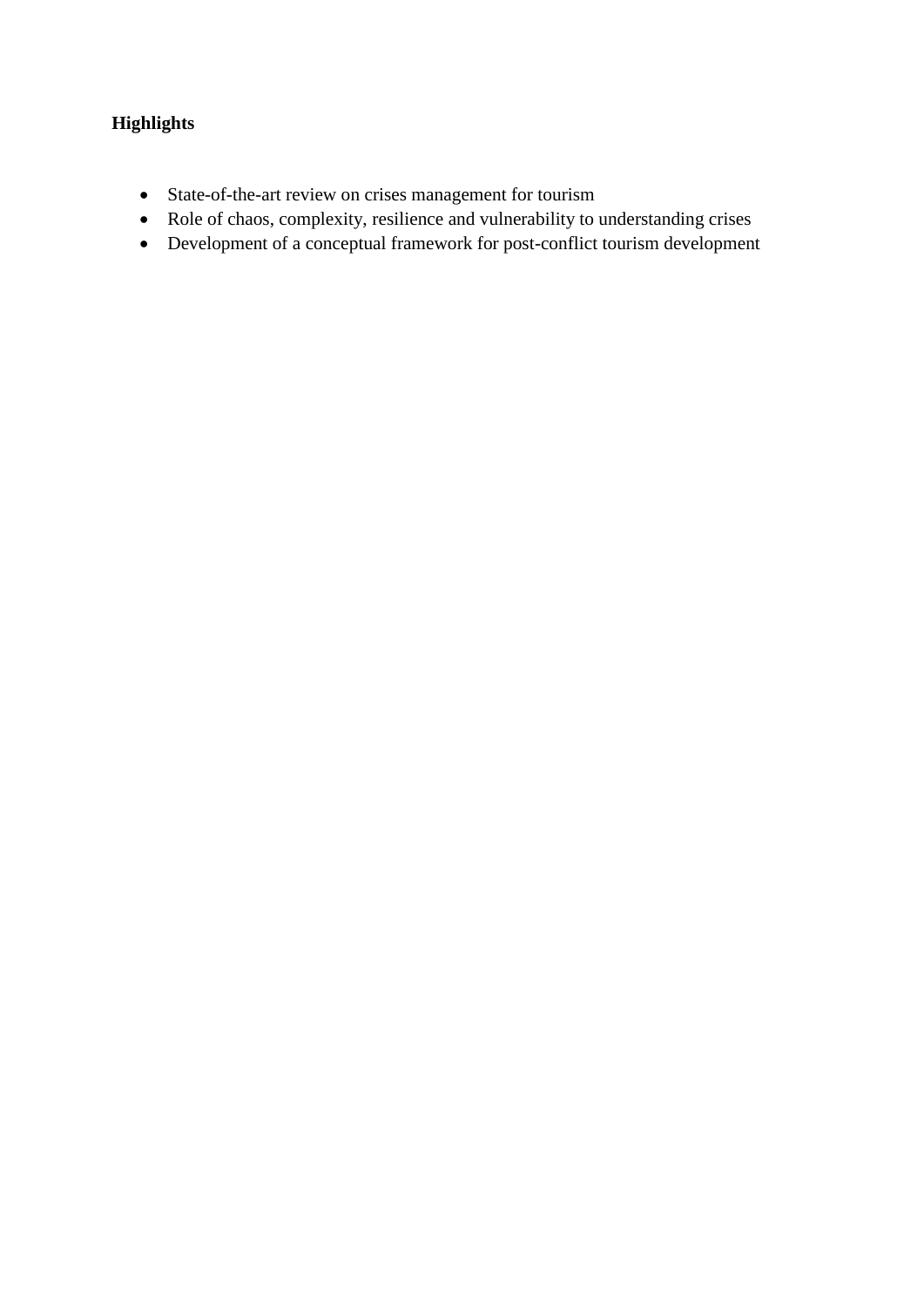# **Highlights**

- State-of-the-art review on crises management for tourism
- Role of chaos, complexity, resilience and vulnerability to understanding crises
- Development of a conceptual framework for post-conflict tourism development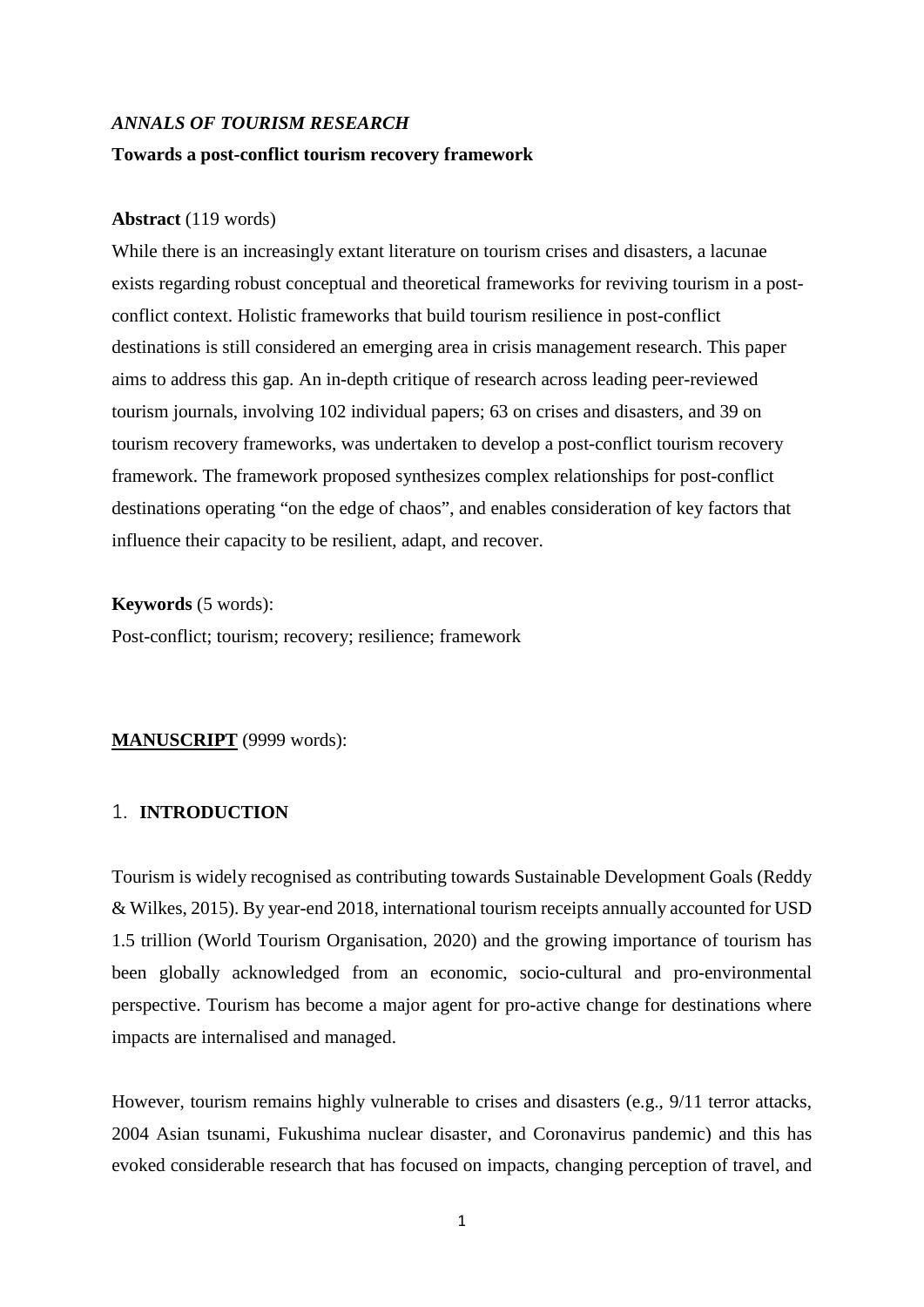# *ANNALS OF TOURISM RESEARCH* **Towards a post-conflict tourism recovery framework**

#### **Abstract** (119 words)

While there is an increasingly extant literature on tourism crises and disasters, a lacunae exists regarding robust conceptual and theoretical frameworks for reviving tourism in a postconflict context. Holistic frameworks that build tourism resilience in post-conflict destinations is still considered an emerging area in crisis management research. This paper aims to address this gap. An in-depth critique of research across leading peer-reviewed tourism journals, involving 102 individual papers; 63 on crises and disasters, and 39 on tourism recovery frameworks, was undertaken to develop a post-conflict tourism recovery framework. The framework proposed synthesizes complex relationships for post-conflict destinations operating "on the edge of chaos", and enables consideration of key factors that influence their capacity to be resilient, adapt, and recover.

**Keywords** (5 words):

Post-conflict; tourism; recovery; resilience; framework

## **MANUSCRIPT** (9999 words):

## 1. **INTRODUCTION**

Tourism is widely recognised as contributing towards Sustainable Development Goals (Reddy & Wilkes, 2015). By year-end 2018, international tourism receipts annually accounted for USD 1.5 trillion (World Tourism Organisation, 2020) and the growing importance of tourism has been globally acknowledged from an economic, socio-cultural and pro-environmental perspective. Tourism has become a major agent for pro-active change for destinations where impacts are internalised and managed.

However, tourism remains highly vulnerable to crises and disasters (e.g., 9/11 terror attacks, 2004 Asian tsunami, Fukushima nuclear disaster, and Coronavirus pandemic) and this has evoked considerable research that has focused on impacts, changing perception of travel, and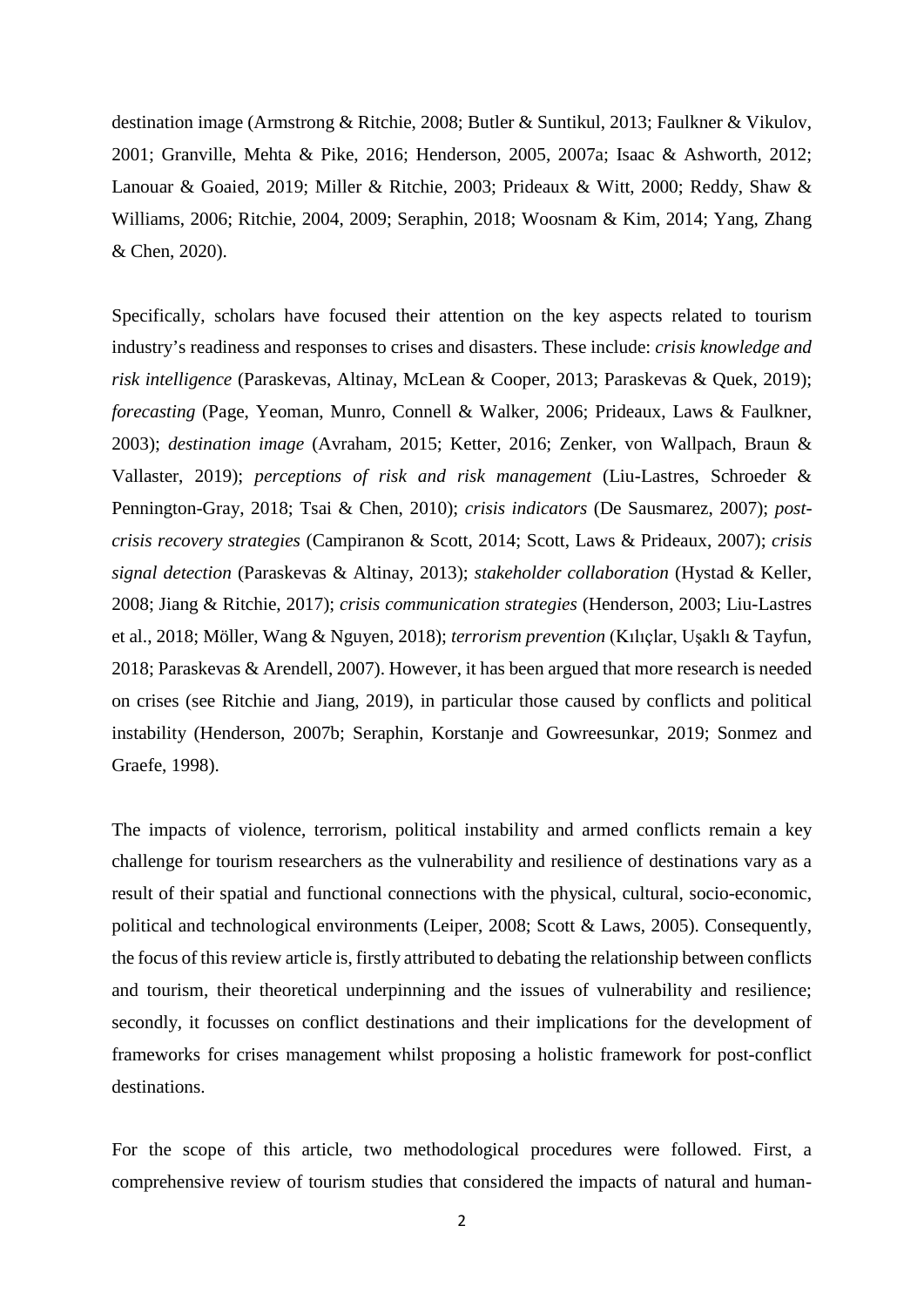destination image (Armstrong & Ritchie, 2008; Butler & Suntikul, 2013; Faulkner & Vikulov, 2001; Granville, Mehta & Pike, 2016; Henderson, 2005, 2007a; Isaac & Ashworth, 2012; Lanouar & Goaied, 2019; Miller & Ritchie, 2003; Prideaux & Witt, 2000; Reddy, Shaw & Williams, 2006; Ritchie, 2004, 2009; Seraphin, 2018; Woosnam & Kim, 2014; Yang, Zhang & Chen, 2020).

Specifically, scholars have focused their attention on the key aspects related to tourism industry's readiness and responses to crises and disasters. These include: *crisis knowledge and risk intelligence* (Paraskevas, Altinay, McLean & Cooper, 2013; Paraskevas & Quek, 2019); *forecasting* (Page, Yeoman, Munro, Connell & Walker, 2006; Prideaux, Laws & Faulkner, 2003); *destination image* (Avraham, 2015; Ketter, 2016; Zenker, von Wallpach, Braun & Vallaster, 2019); *perceptions of risk and risk management* (Liu-Lastres, Schroeder & Pennington-Gray, 2018; Tsai & Chen, 2010); *crisis indicators* (De Sausmarez, 2007); *postcrisis recovery strategies* (Campiranon & Scott, 2014; Scott, Laws & Prideaux, 2007); *crisis signal detection* (Paraskevas & Altinay, 2013); *stakeholder collaboration* (Hystad & Keller, 2008; Jiang & Ritchie, 2017); *crisis communication strategies* (Henderson, 2003; Liu-Lastres et al., 2018; Möller, Wang & Nguyen, 2018); *terrorism prevention* (Kılıçlar, Uşaklı & Tayfun, 2018; Paraskevas & Arendell, 2007). However, it has been argued that more research is needed on crises (see Ritchie and Jiang, 2019), in particular those caused by conflicts and political instability (Henderson, 2007b; Seraphin, Korstanje and Gowreesunkar, 2019; Sonmez and Graefe, 1998).

The impacts of violence, terrorism, political instability and armed conflicts remain a key challenge for tourism researchers as the vulnerability and resilience of destinations vary as a result of their spatial and functional connections with the physical, cultural, socio-economic, political and technological environments (Leiper, 2008; Scott & Laws, 2005). Consequently, the focus of this review article is, firstly attributed to debating the relationship between conflicts and tourism, their theoretical underpinning and the issues of vulnerability and resilience; secondly, it focusses on conflict destinations and their implications for the development of frameworks for crises management whilst proposing a holistic framework for post-conflict destinations.

For the scope of this article, two methodological procedures were followed. First, a comprehensive review of tourism studies that considered the impacts of natural and human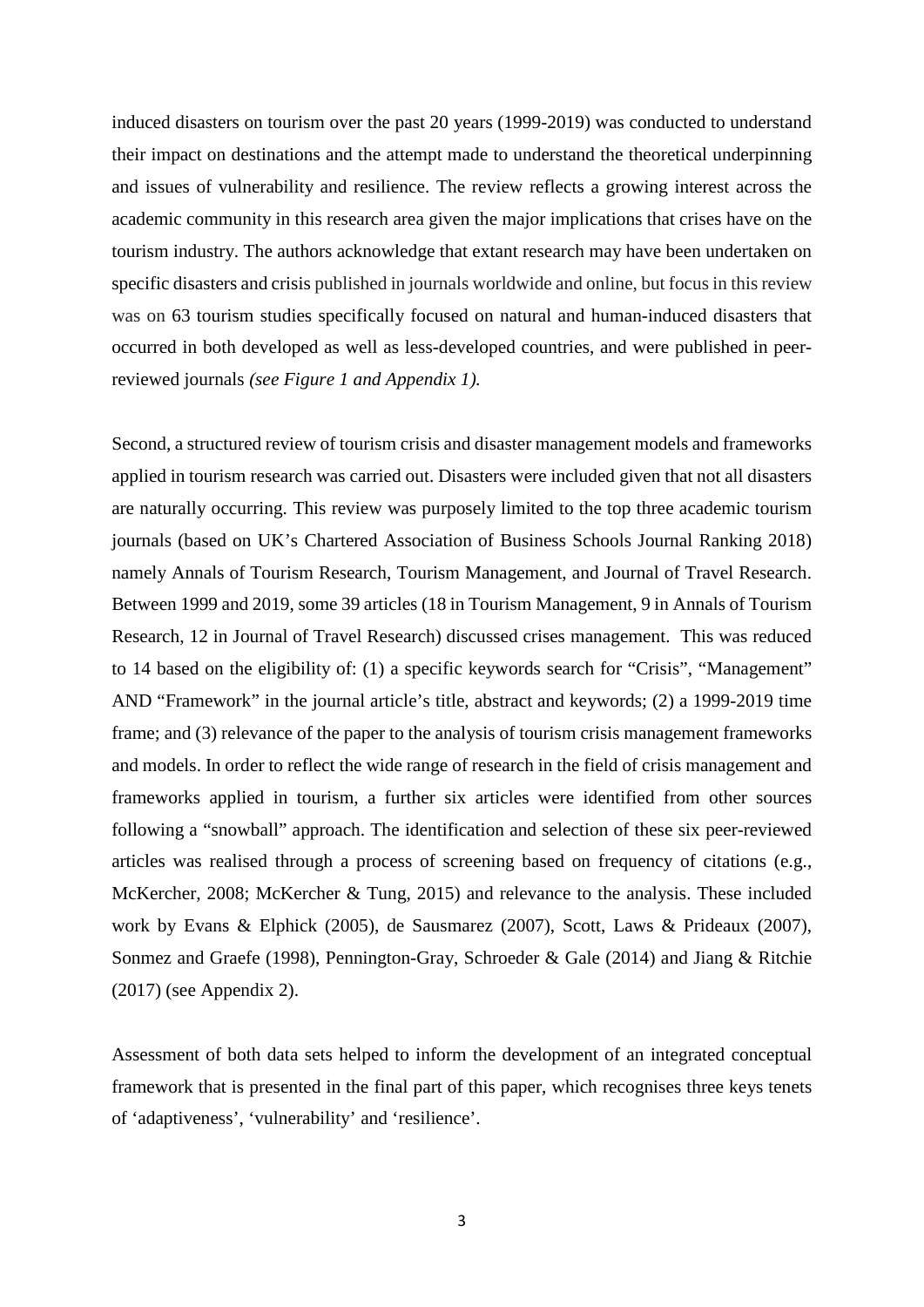induced disasters on tourism over the past 20 years (1999-2019) was conducted to understand their impact on destinations and the attempt made to understand the theoretical underpinning and issues of vulnerability and resilience. The review reflects a growing interest across the academic community in this research area given the major implications that crises have on the tourism industry. The authors acknowledge that extant research may have been undertaken on specific disasters and crisis published in journals worldwide and online, but focus in this review was on 63 tourism studies specifically focused on natural and human-induced disasters that occurred in both developed as well as less-developed countries, and were published in peerreviewed journals *(see Figure 1 and Appendix 1).*

Second, a structured review of tourism crisis and disaster management models and frameworks applied in tourism research was carried out. Disasters were included given that not all disasters are naturally occurring. This review was purposely limited to the top three academic tourism journals (based on UK's Chartered Association of Business Schools Journal Ranking 2018) namely Annals of Tourism Research, Tourism Management, and Journal of Travel Research. Between 1999 and 2019, some 39 articles (18 in Tourism Management, 9 in Annals of Tourism Research, 12 in Journal of Travel Research) discussed crises management. This was reduced to 14 based on the eligibility of: (1) a specific keywords search for "Crisis", "Management" AND "Framework" in the journal article's title, abstract and keywords; (2) a 1999-2019 time frame; and (3) relevance of the paper to the analysis of tourism crisis management frameworks and models. In order to reflect the wide range of research in the field of crisis management and frameworks applied in tourism, a further six articles were identified from other sources following a "snowball" approach. The identification and selection of these six peer-reviewed articles was realised through a process of screening based on frequency of citations (e.g., McKercher, 2008; McKercher & Tung, 2015) and relevance to the analysis. These included work by Evans & Elphick (2005), de Sausmarez (2007), Scott, Laws & Prideaux (2007), Sonmez and Graefe (1998), Pennington-Gray, Schroeder & Gale (2014) and Jiang & Ritchie (2017) (see Appendix 2).

Assessment of both data sets helped to inform the development of an integrated conceptual framework that is presented in the final part of this paper, which recognises three keys tenets of 'adaptiveness', 'vulnerability' and 'resilience'.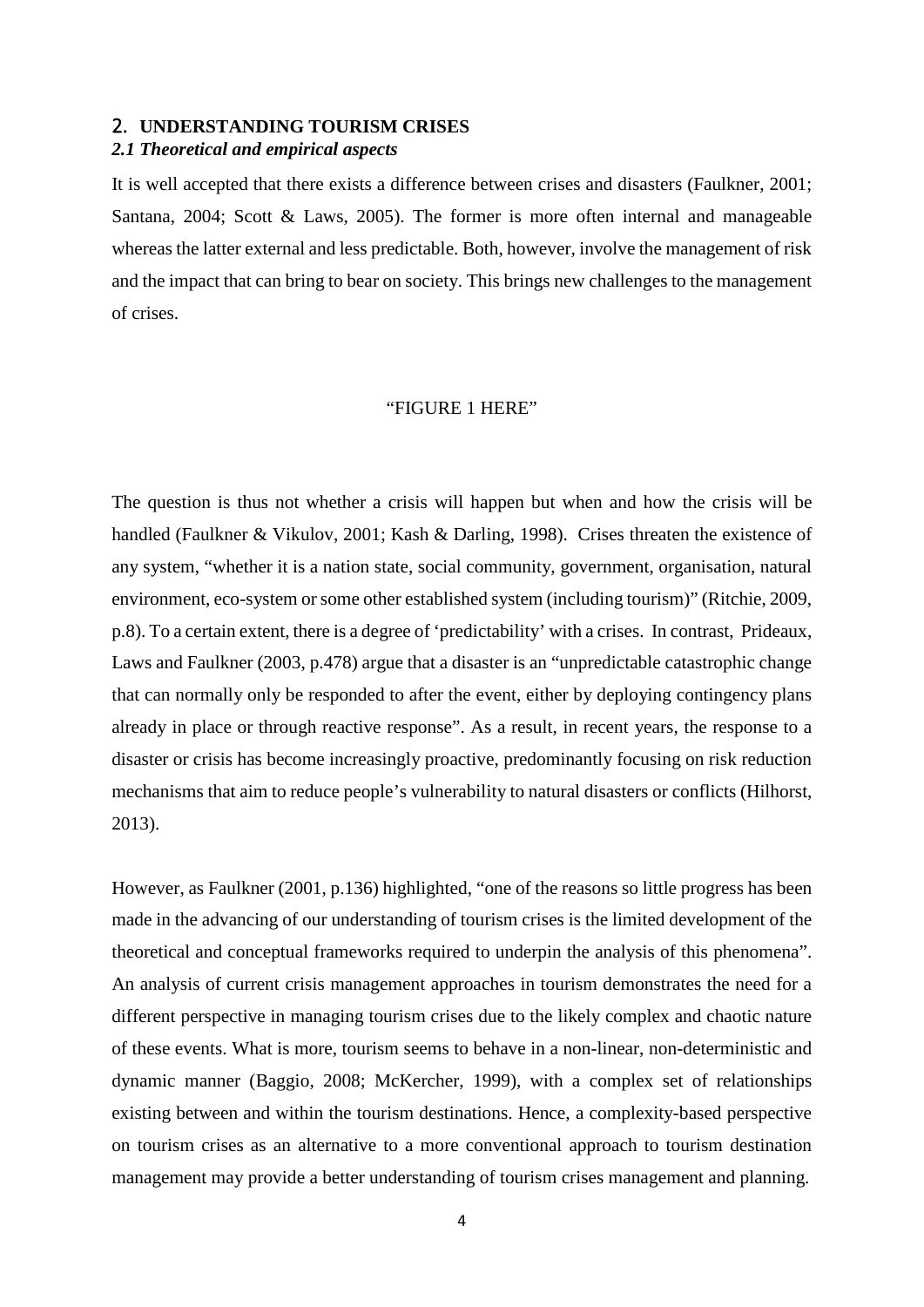#### 2. **UNDERSTANDING TOURISM CRISES**

#### *2.1 Theoretical and empirical aspects*

It is well accepted that there exists a difference between crises and disasters (Faulkner, 2001; Santana, 2004; Scott & Laws, 2005). The former is more often internal and manageable whereas the latter external and less predictable. Both, however, involve the management of risk and the impact that can bring to bear on society. This brings new challenges to the management of crises.

#### "FIGURE 1 HERE"

The question is thus not whether a crisis will happen but when and how the crisis will be handled (Faulkner & Vikulov, 2001; Kash & Darling, 1998). Crises threaten the existence of any system, "whether it is a nation state, social community, government, organisation, natural environment, eco-system or some other established system (including tourism)" (Ritchie, 2009, p.8). To a certain extent, there is a degree of 'predictability' with a crises. In contrast, Prideaux, Laws and Faulkner (2003, p.478) argue that a disaster is an "unpredictable catastrophic change that can normally only be responded to after the event, either by deploying contingency plans already in place or through reactive response". As a result, in recent years, the response to a disaster or crisis has become increasingly proactive, predominantly focusing on risk reduction mechanisms that aim to reduce people's vulnerability to natural disasters or conflicts (Hilhorst, 2013).

However, as Faulkner (2001, p.136) highlighted, "one of the reasons so little progress has been made in the advancing of our understanding of tourism crises is the limited development of the theoretical and conceptual frameworks required to underpin the analysis of this phenomena". An analysis of current crisis management approaches in tourism demonstrates the need for a different perspective in managing tourism crises due to the likely complex and chaotic nature of these events. What is more, tourism seems to behave in a non-linear, non-deterministic and dynamic manner (Baggio, 2008; McKercher, 1999), with a complex set of relationships existing between and within the tourism destinations. Hence, a complexity-based perspective on tourism crises as an alternative to a more conventional approach to tourism destination management may provide a better understanding of tourism crises management and planning.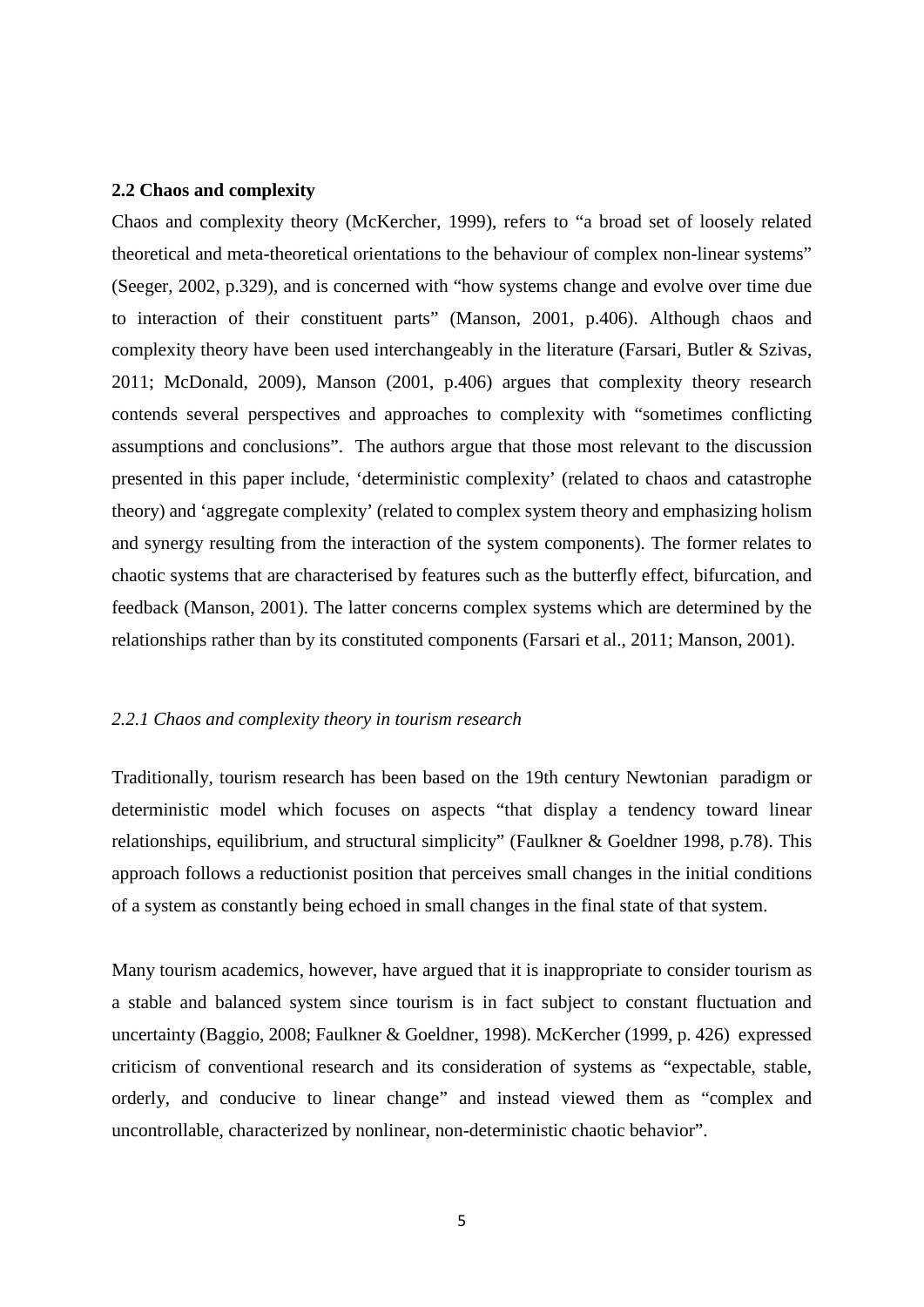#### **2.2 Chaos and complexity**

Chaos and complexity theory (McKercher, 1999), refers to "a broad set of loosely related theoretical and meta-theoretical orientations to the behaviour of complex non-linear systems" (Seeger, 2002, p.329), and is concerned with "how systems change and evolve over time due to interaction of their constituent parts" (Manson, 2001, p.406). Although chaos and complexity theory have been used interchangeably in the literature (Farsari, Butler & Szivas, 2011; McDonald, 2009), Manson (2001, p.406) argues that complexity theory research contends several perspectives and approaches to complexity with "sometimes conflicting assumptions and conclusions". The authors argue that those most relevant to the discussion presented in this paper include, 'deterministic complexity' (related to chaos and catastrophe theory) and 'aggregate complexity' (related to complex system theory and emphasizing holism and synergy resulting from the interaction of the system components). The former relates to chaotic systems that are characterised by features such as the butterfly effect, bifurcation, and feedback (Manson, 2001). The latter concerns complex systems which are determined by the relationships rather than by its constituted components (Farsari et al., 2011; Manson, 2001).

#### *2.2.1 Chaos and complexity theory in tourism research*

Traditionally, tourism research has been based on the 19th century Newtonian paradigm or deterministic model which focuses on aspects "that display a tendency toward linear relationships, equilibrium, and structural simplicity" (Faulkner & Goeldner 1998, p.78). This approach follows a reductionist position that perceives small changes in the initial conditions of a system as constantly being echoed in small changes in the final state of that system.

Many tourism academics, however, have argued that it is inappropriate to consider tourism as a stable and balanced system since tourism is in fact subject to constant fluctuation and uncertainty (Baggio, 2008; Faulkner & Goeldner, 1998). McKercher (1999, p. 426) expressed criticism of conventional research and its consideration of systems as "expectable, stable, orderly, and conducive to linear change" and instead viewed them as "complex and uncontrollable, characterized by nonlinear, non-deterministic chaotic behavior".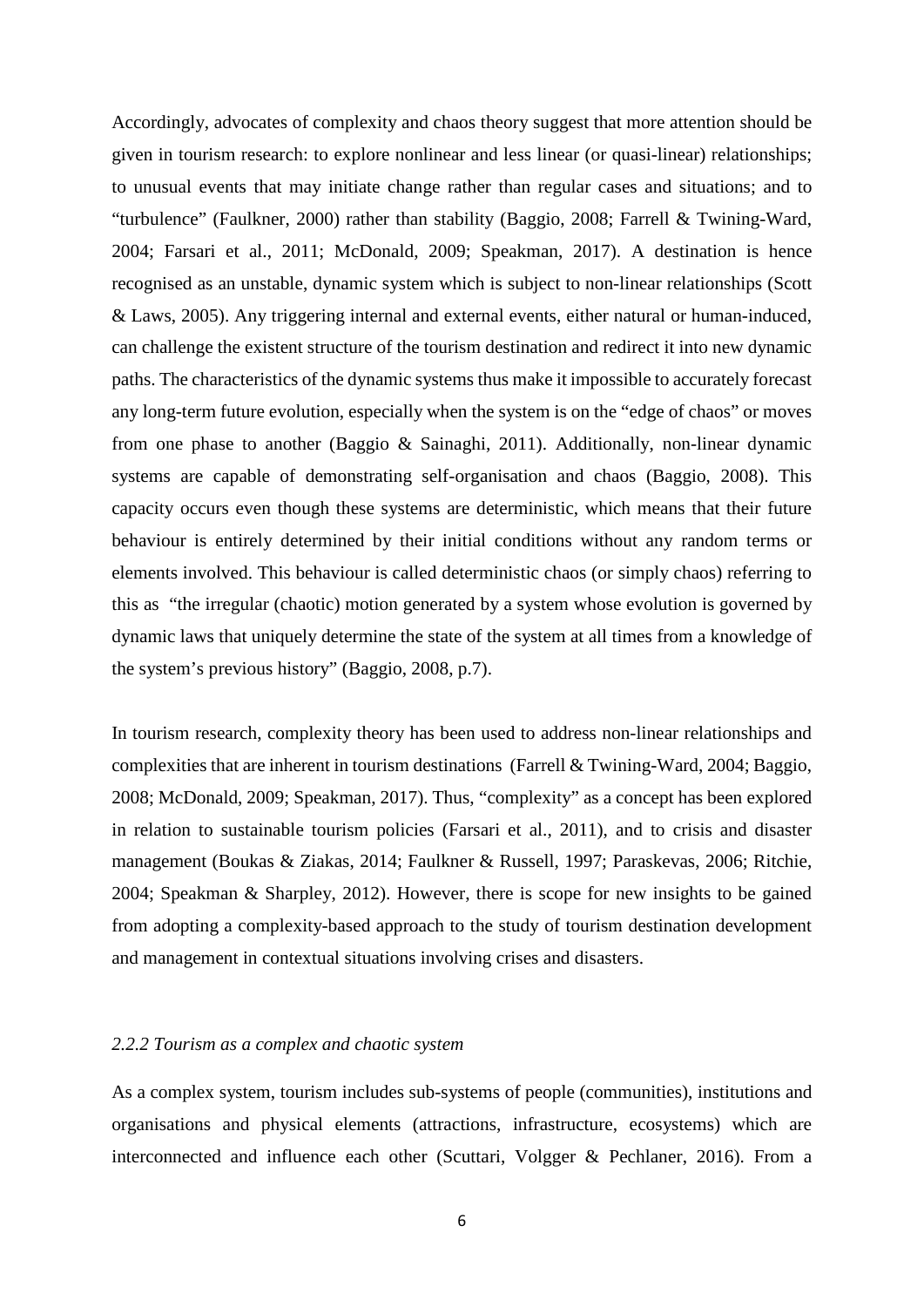Accordingly, advocates of complexity and chaos theory suggest that more attention should be given in tourism research: to explore nonlinear and less linear (or quasi-linear) relationships; to unusual events that may initiate change rather than regular cases and situations; and to "turbulence" (Faulkner, 2000) rather than stability (Baggio, 2008; Farrell & Twining-Ward, 2004; Farsari et al., 2011; McDonald, 2009; Speakman, 2017). A destination is hence recognised as an unstable, dynamic system which is subject to non-linear relationships (Scott & Laws, 2005). Any triggering internal and external events, either natural or human-induced, can challenge the existent structure of the tourism destination and redirect it into new dynamic paths. The characteristics of the dynamic systems thus make it impossible to accurately forecast any long-term future evolution, especially when the system is on the "edge of chaos" or moves from one phase to another (Baggio & Sainaghi, 2011). Additionally, non-linear dynamic systems are capable of demonstrating self-organisation and chaos (Baggio, 2008). This capacity occurs even though these systems are deterministic, which means that their future behaviour is entirely determined by their initial conditions without any random terms or elements involved. This behaviour is called deterministic chaos (or simply chaos) referring to this as "the irregular (chaotic) motion generated by a system whose evolution is governed by dynamic laws that uniquely determine the state of the system at all times from a knowledge of the system's previous history" (Baggio, 2008, p.7).

In tourism research, complexity theory has been used to address non-linear relationships and complexities that are inherent in tourism destinations (Farrell & Twining-Ward, 2004; Baggio, 2008; McDonald, 2009; Speakman, 2017). Thus, "complexity" as a concept has been explored in relation to sustainable tourism policies (Farsari et al., 2011), and to crisis and disaster management (Boukas & Ziakas, 2014; Faulkner & Russell, 1997; Paraskevas, 2006; Ritchie, 2004; Speakman & Sharpley, 2012). However, there is scope for new insights to be gained from adopting a complexity-based approach to the study of tourism destination development and management in contextual situations involving crises and disasters.

#### *2.2.2 Tourism as a complex and chaotic system*

As a complex system, tourism includes sub-systems of people (communities), institutions and organisations and physical elements (attractions, infrastructure, ecosystems) which are interconnected and influence each other (Scuttari, Volgger & Pechlaner, 2016). From a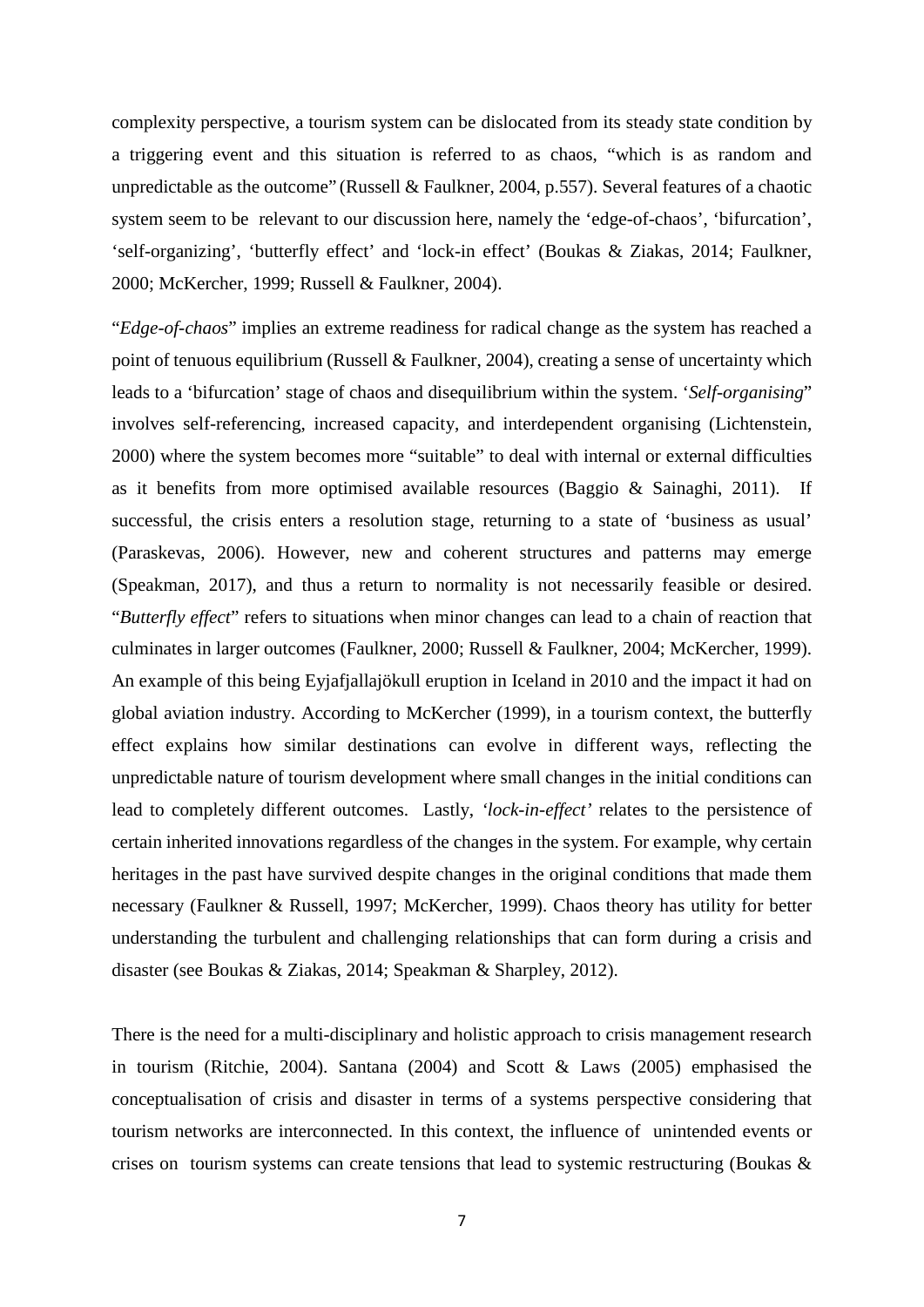complexity perspective, a tourism system can be dislocated from its steady state condition by a triggering event and this situation is referred to as chaos, "which is as random and unpredictable as the outcome" (Russell & Faulkner, 2004, p.557). Several features of a chaotic system seem to be relevant to our discussion here, namely the 'edge-of-chaos', 'bifurcation', 'self-organizing', 'butterfly effect' and 'lock-in effect' (Boukas & Ziakas, 2014; Faulkner, 2000; McKercher, 1999; Russell & Faulkner, 2004).

"*Edge-of-chaos*" implies an extreme readiness for radical change as the system has reached a point of tenuous equilibrium (Russell & Faulkner, 2004), creating a sense of uncertainty which leads to a 'bifurcation' stage of chaos and disequilibrium within the system. '*Self-organising*" involves self-referencing, increased capacity, and interdependent organising (Lichtenstein, 2000) where the system becomes more "suitable" to deal with internal or external difficulties as it benefits from more optimised available resources (Baggio  $\&$  Sainaghi, 2011). If successful, the crisis enters a resolution stage, returning to a state of 'business as usual' (Paraskevas, 2006). However, new and coherent structures and patterns may emerge (Speakman, 2017), and thus a return to normality is not necessarily feasible or desired. "*Butterfly effect*" refers to situations when minor changes can lead to a chain of reaction that culminates in larger outcomes (Faulkner, 2000; Russell & Faulkner, 2004; McKercher, 1999). An example of this being Eyjafjallajökull eruption in Iceland in 2010 and the impact it had on global aviation industry. According to McKercher (1999), in a tourism context, the butterfly effect explains how similar destinations can evolve in different ways, reflecting the unpredictable nature of tourism development where small changes in the initial conditions can lead to completely different outcomes. Lastly, *'lock-in-effect'* relates to the persistence of certain inherited innovations regardless of the changes in the system. For example, why certain heritages in the past have survived despite changes in the original conditions that made them necessary (Faulkner & Russell, 1997; McKercher, 1999). Chaos theory has utility for better understanding the turbulent and challenging relationships that can form during a crisis and disaster (see Boukas & Ziakas, 2014; Speakman & Sharpley, 2012).

There is the need for a multi-disciplinary and holistic approach to crisis management research in tourism (Ritchie, 2004). Santana (2004) and Scott & Laws (2005) emphasised the conceptualisation of crisis and disaster in terms of a systems perspective considering that tourism networks are interconnected. In this context, the influence of unintended events or crises on tourism systems can create tensions that lead to systemic restructuring (Boukas  $\&$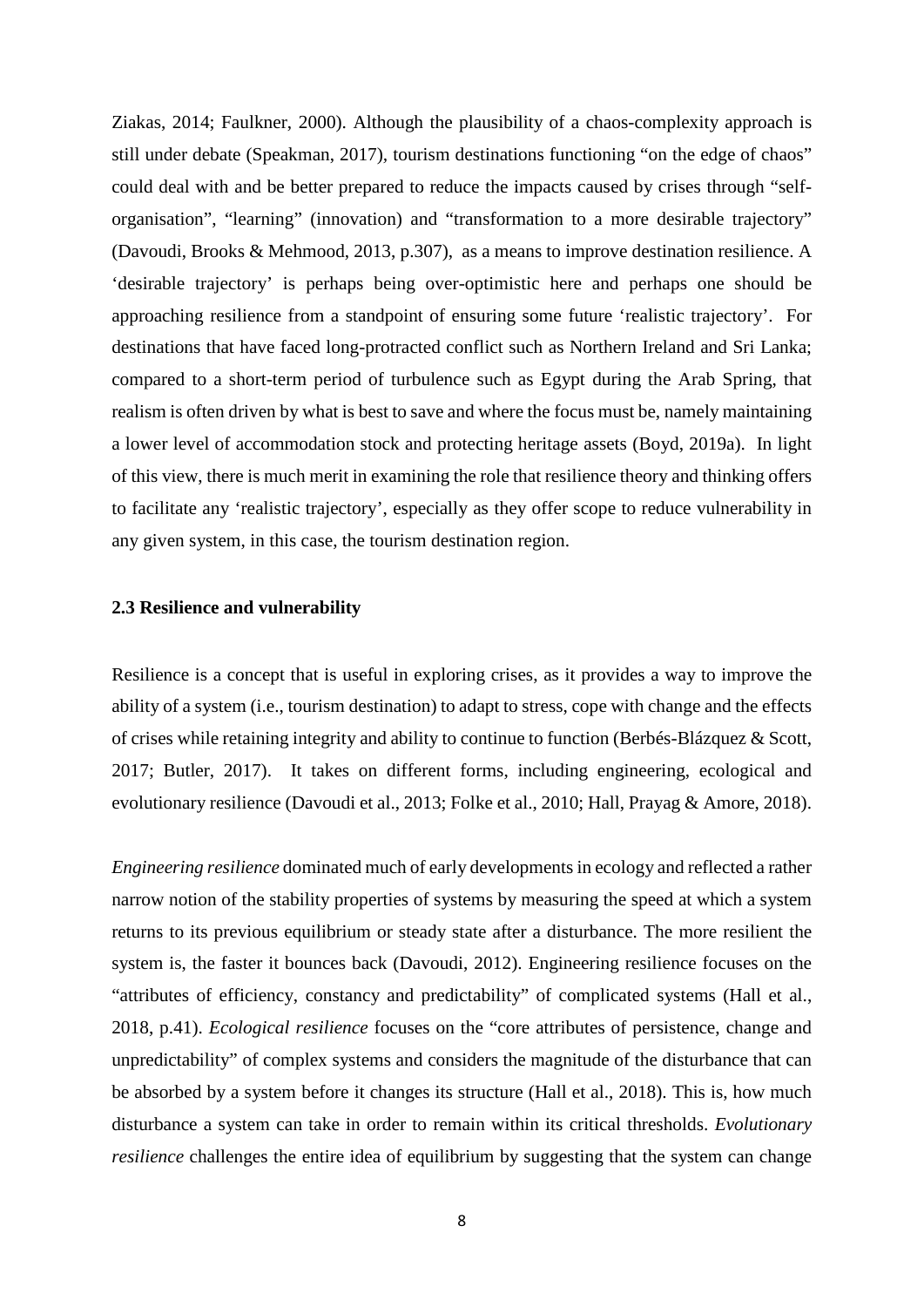Ziakas, 2014; Faulkner, 2000). Although the plausibility of a chaos-complexity approach is still under debate (Speakman, 2017)*,* tourism destinations functioning "on the edge of chaos" could deal with and be better prepared to reduce the impacts caused by crises through "selforganisation", "learning" (innovation) and "transformation to a more desirable trajectory" (Davoudi, Brooks & Mehmood, 2013, p.307), as a means to improve destination resilience. A 'desirable trajectory' is perhaps being over-optimistic here and perhaps one should be approaching resilience from a standpoint of ensuring some future 'realistic trajectory'. For destinations that have faced long-protracted conflict such as Northern Ireland and Sri Lanka; compared to a short-term period of turbulence such as Egypt during the Arab Spring, that realism is often driven by what is best to save and where the focus must be, namely maintaining a lower level of accommodation stock and protecting heritage assets (Boyd, 2019a). In light of this view, there is much merit in examining the role that resilience theory and thinking offers to facilitate any 'realistic trajectory', especially as they offer scope to reduce vulnerability in any given system, in this case, the tourism destination region.

#### **2.3 Resilience and vulnerability**

Resilience is a concept that is useful in exploring crises, as it provides a way to improve the ability of a system (i.e., tourism destination) to adapt to stress, cope with change and the effects of crises while retaining integrity and ability to continue to function (Berbés-Blázquez & Scott, 2017; Butler, 2017). It takes on different forms, including engineering, ecological and evolutionary resilience (Davoudi et al., 2013; Folke et al., 2010; Hall, Prayag & Amore, 2018).

*Engineering resilience* dominated much of early developments in ecology and reflected a rather narrow notion of the stability properties of systems by measuring the speed at which a system returns to its previous equilibrium or steady state after a disturbance. The more resilient the system is, the faster it bounces back (Davoudi, 2012). Engineering resilience focuses on the "attributes of efficiency, constancy and predictability" of complicated systems (Hall et al., 2018, p.41). *Ecological resilience* focuses on the "core attributes of persistence, change and unpredictability" of complex systems and considers the magnitude of the disturbance that can be absorbed by a system before it changes its structure (Hall et al., 2018). This is, how much disturbance a system can take in order to remain within its critical thresholds. *Evolutionary resilience* challenges the entire idea of equilibrium by suggesting that the system can change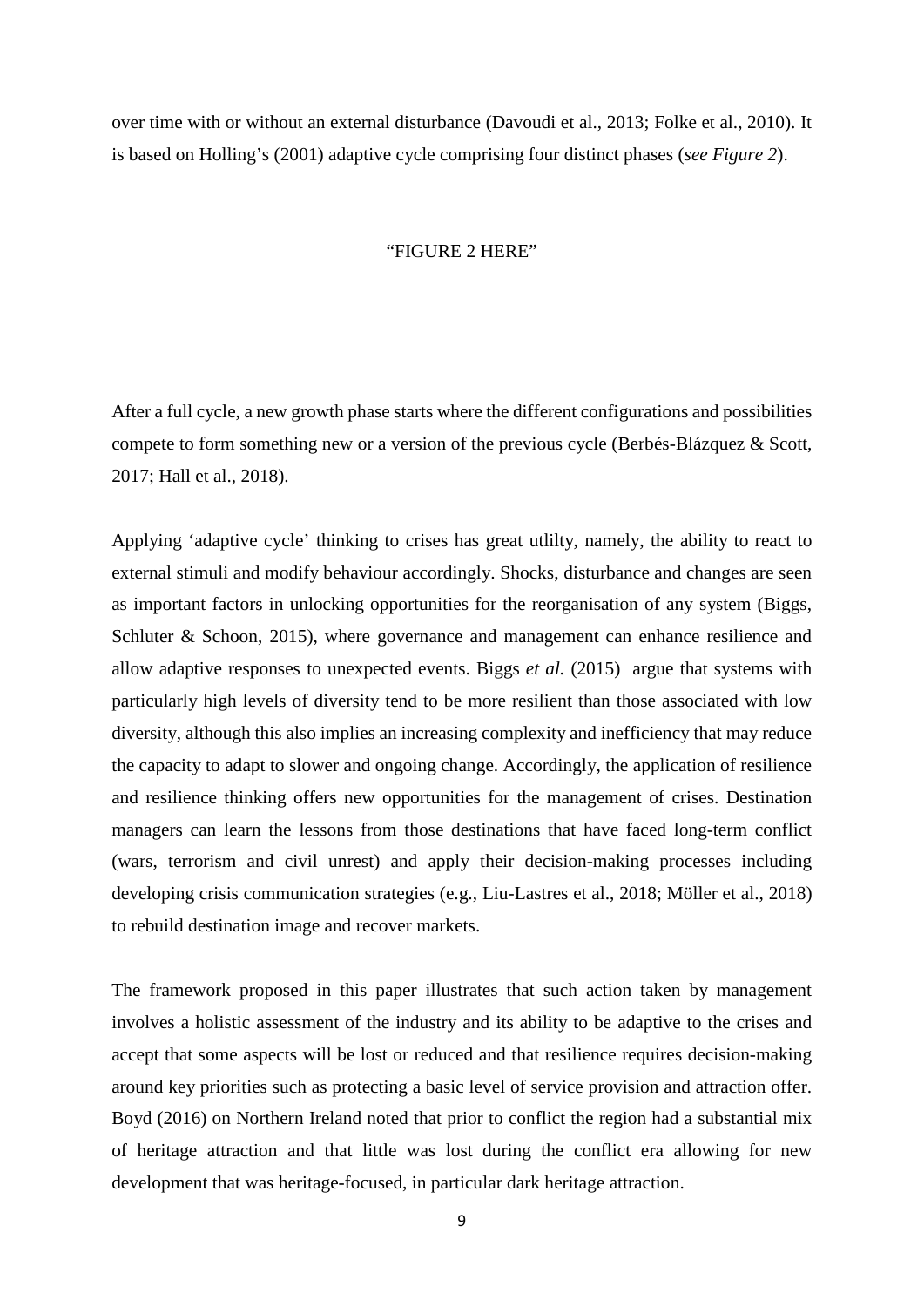over time with or without an external disturbance (Davoudi et al., 2013; Folke et al., 2010). It is based on Holling's (2001) adaptive cycle comprising four distinct phases (*see Figure 2*).

#### "FIGURE 2 HERE"

After a full cycle, a new growth phase starts where the different configurations and possibilities compete to form something new or a version of the previous cycle (Berbés-Blázquez & Scott, 2017; Hall et al., 2018).

Applying 'adaptive cycle' thinking to crises has great utlilty, namely, the ability to react to external stimuli and modify behaviour accordingly. Shocks, disturbance and changes are seen as important factors in unlocking opportunities for the reorganisation of any system (Biggs, Schluter & Schoon, 2015), where governance and management can enhance resilience and allow adaptive responses to unexpected events. Biggs *et al.* (2015) argue that systems with particularly high levels of diversity tend to be more resilient than those associated with low diversity, although this also implies an increasing complexity and inefficiency that may reduce the capacity to adapt to slower and ongoing change. Accordingly, the application of resilience and resilience thinking offers new opportunities for the management of crises. Destination managers can learn the lessons from those destinations that have faced long-term conflict (wars, terrorism and civil unrest) and apply their decision-making processes including developing crisis communication strategies (e.g., Liu-Lastres et al., 2018; Möller et al., 2018) to rebuild destination image and recover markets.

The framework proposed in this paper illustrates that such action taken by management involves a holistic assessment of the industry and its ability to be adaptive to the crises and accept that some aspects will be lost or reduced and that resilience requires decision-making around key priorities such as protecting a basic level of service provision and attraction offer. Boyd (2016) on Northern Ireland noted that prior to conflict the region had a substantial mix of heritage attraction and that little was lost during the conflict era allowing for new development that was heritage-focused, in particular dark heritage attraction.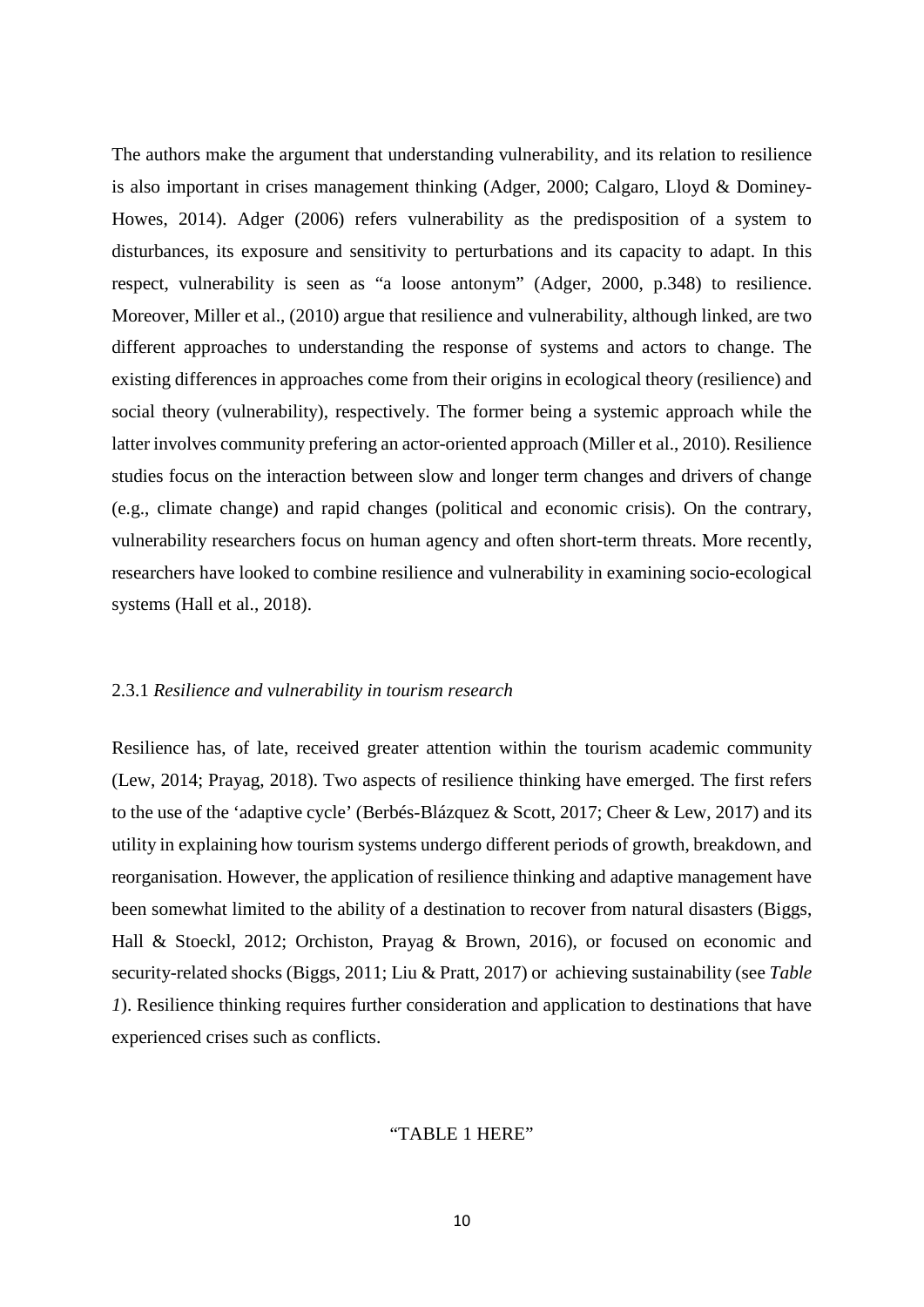The authors make the argument that understanding vulnerability, and its relation to resilience is also important in crises management thinking (Adger, 2000; Calgaro, Lloyd & Dominey-Howes, 2014). Adger (2006) refers vulnerability as the predisposition of a system to disturbances, its exposure and sensitivity to perturbations and its capacity to adapt. In this respect, vulnerability is seen as "a loose antonym" (Adger, 2000, p.348) to resilience. Moreover, Miller et al., (2010) argue that resilience and vulnerability, although linked, are two different approaches to understanding the response of systems and actors to change. The existing differences in approaches come from their origins in ecological theory (resilience) and social theory (vulnerability), respectively. The former being a systemic approach while the latter involves community prefering an actor-oriented approach (Miller et al., 2010). Resilience studies focus on the interaction between slow and longer term changes and drivers of change (e.g., climate change) and rapid changes (political and economic crisis). On the contrary, vulnerability researchers focus on human agency and often short-term threats. More recently, researchers have looked to combine resilience and vulnerability in examining socio-ecological systems (Hall et al., 2018).

#### 2.3.1 *Resilience and vulnerability in tourism research*

Resilience has, of late, received greater attention within the tourism academic community (Lew, 2014; Prayag, 2018). Two aspects of resilience thinking have emerged. The first refers to the use of the 'adaptive cycle' (Berbés-Blázquez & Scott, 2017; Cheer & Lew, 2017) and its utility in explaining how tourism systems undergo different periods of growth, breakdown, and reorganisation. However, the application of resilience thinking and adaptive management have been somewhat limited to the ability of a destination to recover from natural disasters (Biggs, Hall & Stoeckl, 2012; Orchiston, Prayag & Brown, 2016), or focused on economic and security-related shocks (Biggs, 2011; Liu & Pratt, 2017) or achieving sustainability (see *Table 1*). Resilience thinking requires further consideration and application to destinations that have experienced crises such as conflicts.

#### "TABLE 1 HERE"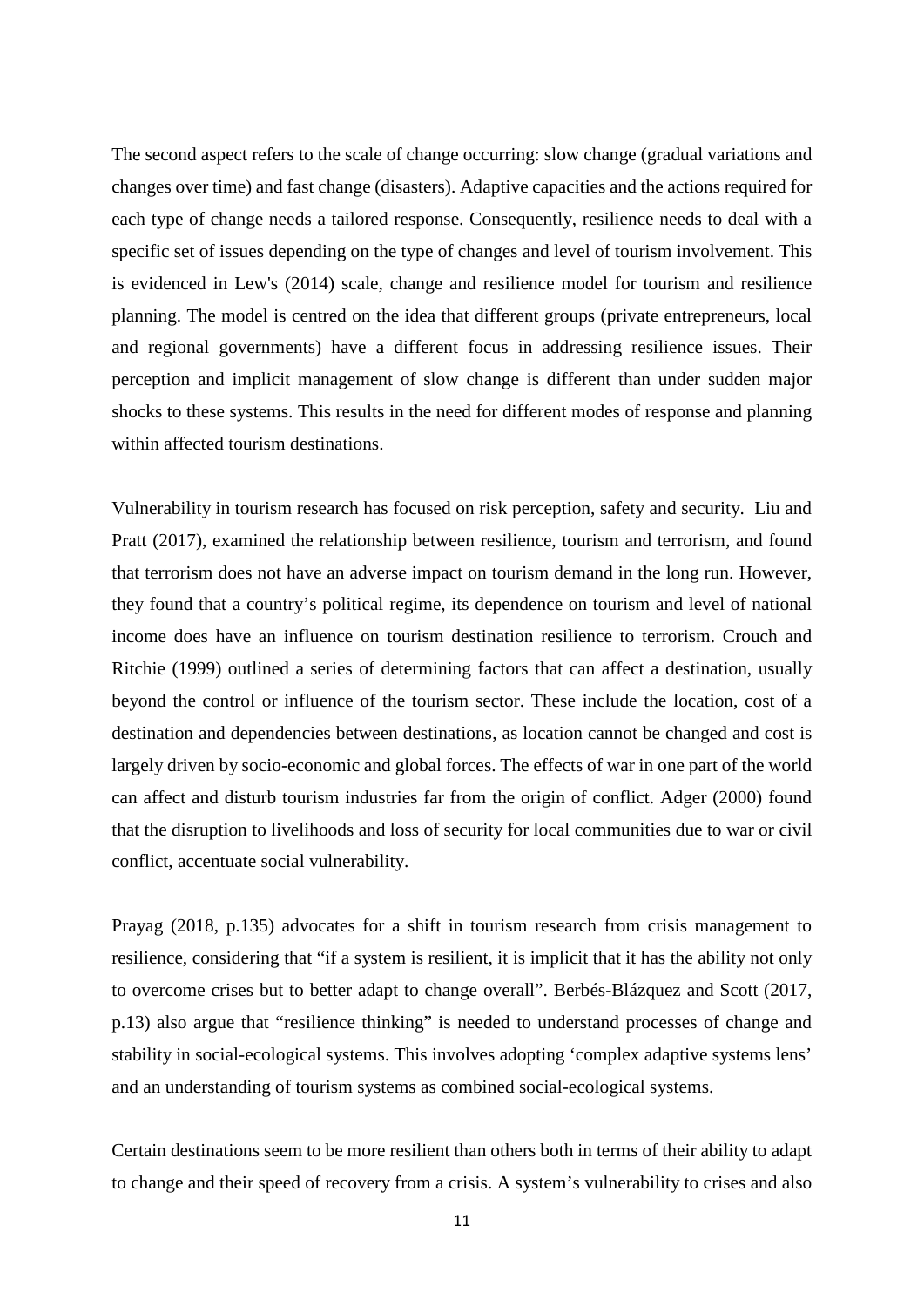The second aspect refers to the scale of change occurring: slow change (gradual variations and changes over time) and fast change (disasters). Adaptive capacities and the actions required for each type of change needs a tailored response. Consequently, resilience needs to deal with a specific set of issues depending on the type of changes and level of tourism involvement. This is evidenced in Lew's (2014) scale, change and resilience model for tourism and resilience planning. The model is centred on the idea that different groups (private entrepreneurs, local and regional governments) have a different focus in addressing resilience issues. Their perception and implicit management of slow change is different than under sudden major shocks to these systems. This results in the need for different modes of response and planning within affected tourism destinations.

Vulnerability in tourism research has focused on risk perception, safety and security. Liu and Pratt (2017), examined the relationship between resilience, tourism and terrorism, and found that terrorism does not have an adverse impact on tourism demand in the long run. However, they found that a country's political regime, its dependence on tourism and level of national income does have an influence on tourism destination resilience to terrorism. Crouch and Ritchie (1999) outlined a series of determining factors that can affect a destination, usually beyond the control or influence of the tourism sector. These include the location, cost of a destination and dependencies between destinations, as location cannot be changed and cost is largely driven by socio-economic and global forces. The effects of war in one part of the world can affect and disturb tourism industries far from the origin of conflict. Adger (2000) found that the disruption to livelihoods and loss of security for local communities due to war or civil conflict, accentuate social vulnerability.

Prayag (2018, p.135) advocates for a shift in tourism research from crisis management to resilience, considering that "if a system is resilient, it is implicit that it has the ability not only to overcome crises but to better adapt to change overall". Berbés-Blázquez and Scott (2017, p.13) also argue that "resilience thinking" is needed to understand processes of change and stability in social-ecological systems. This involves adopting 'complex adaptive systems lens' and an understanding of tourism systems as combined social-ecological systems.

Certain destinations seem to be more resilient than others both in terms of their ability to adapt to change and their speed of recovery from a crisis. A system's vulnerability to crises and also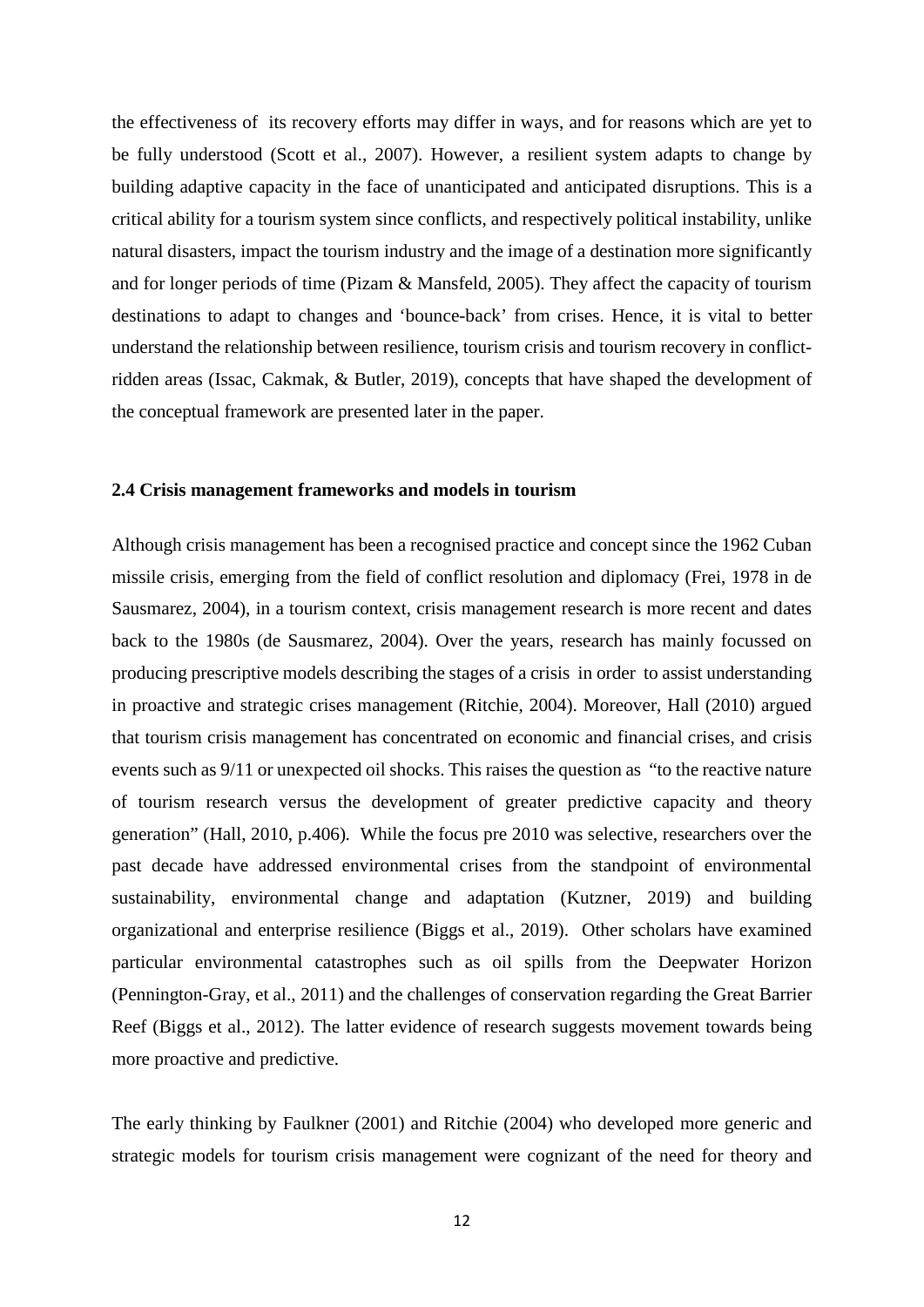the effectiveness of its recovery efforts may differ in ways, and for reasons which are yet to be fully understood (Scott et al., 2007). However, a resilient system adapts to change by building adaptive capacity in the face of unanticipated and anticipated disruptions. This is a critical ability for a tourism system since conflicts, and respectively political instability, unlike natural disasters, impact the tourism industry and the image of a destination more significantly and for longer periods of time (Pizam & Mansfeld, 2005). They affect the capacity of tourism destinations to adapt to changes and 'bounce-back' from crises. Hence, it is vital to better understand the relationship between resilience, tourism crisis and tourism recovery in conflictridden areas (Issac, Cakmak, & Butler, 2019), concepts that have shaped the development of the conceptual framework are presented later in the paper.

#### **2.4 Crisis management frameworks and models in tourism**

Although crisis management has been a recognised practice and concept since the 1962 Cuban missile crisis, emerging from the field of conflict resolution and diplomacy (Frei, 1978 in de Sausmarez, 2004), in a tourism context, crisis management research is more recent and dates back to the 1980s (de Sausmarez, 2004). Over the years, research has mainly focussed on producing prescriptive models describing the stages of a crisis in order to assist understanding in proactive and strategic crises management (Ritchie, 2004). Moreover, Hall (2010) argued that tourism crisis management has concentrated on economic and financial crises, and crisis events such as 9/11 or unexpected oil shocks. This raises the question as "to the reactive nature of tourism research versus the development of greater predictive capacity and theory generation" (Hall, 2010, p.406)*.* While the focus pre 2010 was selective, researchers over the past decade have addressed environmental crises from the standpoint of environmental sustainability, environmental change and adaptation (Kutzner, 2019) and building organizational and enterprise resilience (Biggs et al., 2019). Other scholars have examined particular environmental catastrophes such as oil spills from the Deepwater Horizon (Pennington-Gray, et al., 2011) and the challenges of conservation regarding the Great Barrier Reef (Biggs et al., 2012). The latter evidence of research suggests movement towards being more proactive and predictive.

The early thinking by Faulkner (2001) and Ritchie (2004) who developed more generic and strategic models for tourism crisis management were cognizant of the need for theory and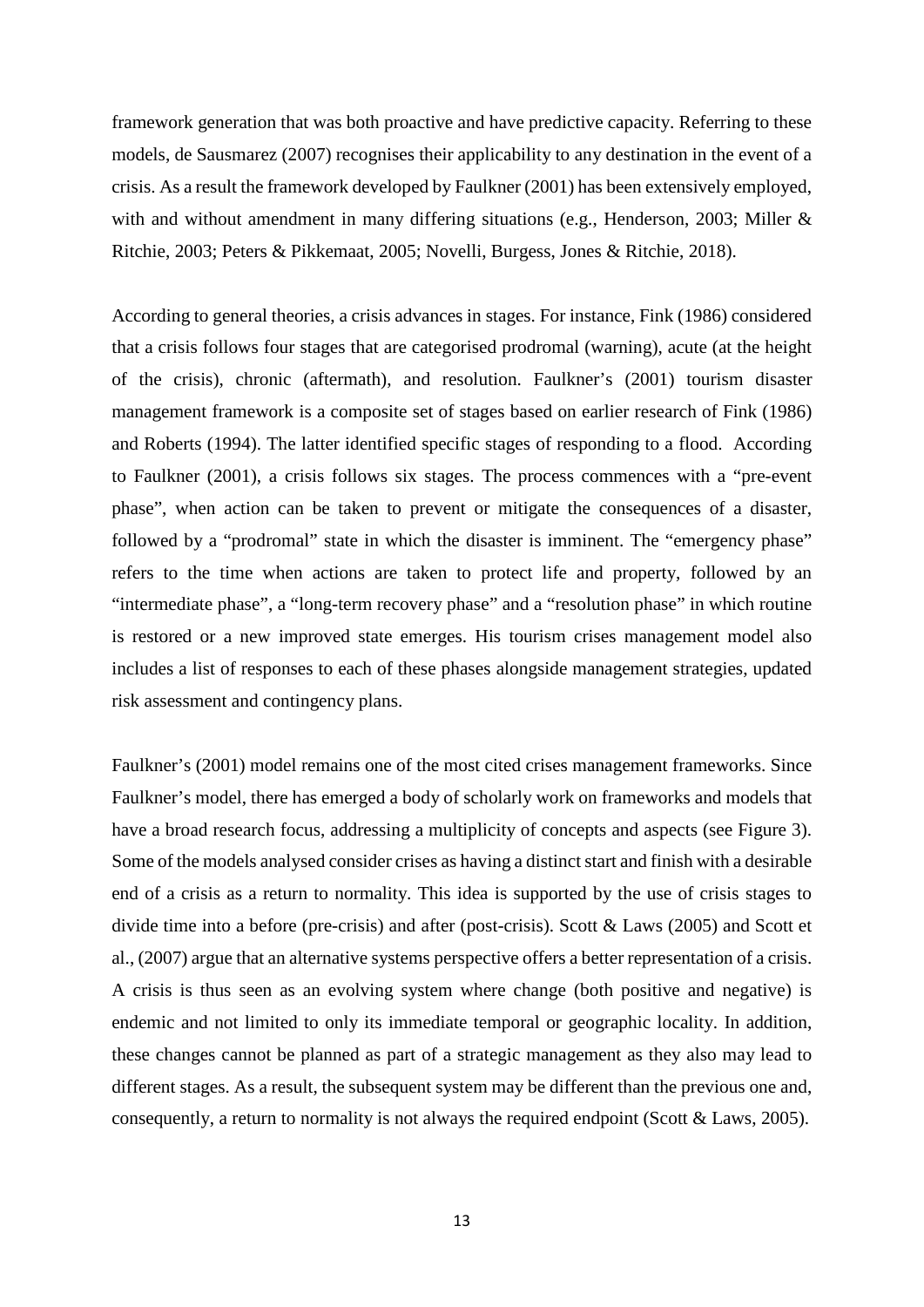framework generation that was both proactive and have predictive capacity. Referring to these models, de Sausmarez (2007) recognises their applicability to any destination in the event of a crisis. As a result the framework developed by Faulkner (2001) has been extensively employed, with and without amendment in many differing situations (e.g., Henderson, 2003; Miller & Ritchie, 2003; Peters & Pikkemaat, 2005; Novelli, Burgess, Jones & Ritchie, 2018).

According to general theories, a crisis advances in stages. For instance, Fink (1986) considered that a crisis follows four stages that are categorised prodromal (warning), acute (at the height of the crisis), chronic (aftermath), and resolution. Faulkner's (2001) tourism disaster management framework is a composite set of stages based on earlier research of Fink (1986) and Roberts (1994). The latter identified specific stages of responding to a flood. According to Faulkner (2001), a crisis follows six stages. The process commences with a "pre-event phase", when action can be taken to prevent or mitigate the consequences of a disaster, followed by a "prodromal" state in which the disaster is imminent. The "emergency phase" refers to the time when actions are taken to protect life and property, followed by an "intermediate phase", a "long-term recovery phase" and a "resolution phase" in which routine is restored or a new improved state emerges. His tourism crises management model also includes a list of responses to each of these phases alongside management strategies, updated risk assessment and contingency plans.

Faulkner's (2001) model remains one of the most cited crises management frameworks. Since Faulkner's model, there has emerged a body of scholarly work on frameworks and models that have a broad research focus, addressing a multiplicity of concepts and aspects (see Figure 3). Some of the models analysed consider crises as having a distinct start and finish with a desirable end of a crisis as a return to normality. This idea is supported by the use of crisis stages to divide time into a before (pre-crisis) and after (post-crisis). Scott & Laws (2005) and Scott et al., (2007) argue that an alternative systems perspective offers a better representation of a crisis. A crisis is thus seen as an evolving system where change (both positive and negative) is endemic and not limited to only its immediate temporal or geographic locality. In addition, these changes cannot be planned as part of a strategic management as they also may lead to different stages. As a result, the subsequent system may be different than the previous one and, consequently, a return to normality is not always the required endpoint (Scott & Laws, 2005).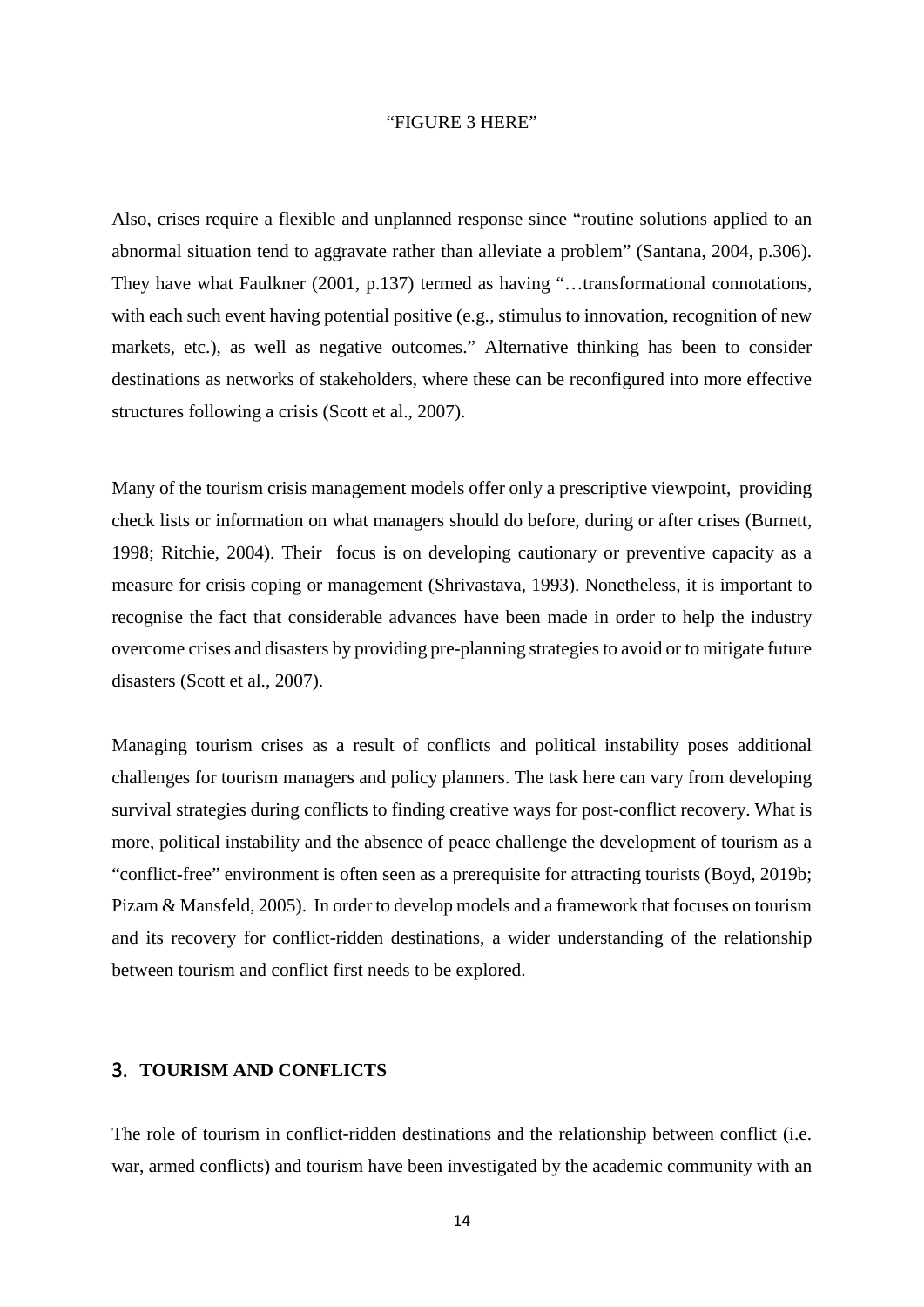#### "FIGURE 3 HERE"

Also, crises require a flexible and unplanned response since "routine solutions applied to an abnormal situation tend to aggravate rather than alleviate a problem" (Santana, 2004, p.306). They have what Faulkner (2001, p.137) termed as having "…transformational connotations, with each such event having potential positive (e.g., stimulus to innovation, recognition of new markets, etc.), as well as negative outcomes." Alternative thinking has been to consider destinations as networks of stakeholders, where these can be reconfigured into more effective structures following a crisis (Scott et al., 2007).

Many of the tourism crisis management models offer only a prescriptive viewpoint, providing check lists or information on what managers should do before, during or after crises (Burnett, 1998; Ritchie, 2004). Their focus is on developing cautionary or preventive capacity as a measure for crisis coping or management (Shrivastava, 1993). Nonetheless, it is important to recognise the fact that considerable advances have been made in order to help the industry overcome crises and disasters by providing pre-planning strategies to avoid or to mitigate future disasters (Scott et al., 2007).

Managing tourism crises as a result of conflicts and political instability poses additional challenges for tourism managers and policy planners. The task here can vary from developing survival strategies during conflicts to finding creative ways for post-conflict recovery. What is more, political instability and the absence of peace challenge the development of tourism as a "conflict-free" environment is often seen as a prerequisite for attracting tourists (Boyd, 2019b; Pizam & Mansfeld, 2005). In order to develop models and a framework that focuses on tourism and its recovery for conflict-ridden destinations, a wider understanding of the relationship between tourism and conflict first needs to be explored.

### 3. **TOURISM AND CONFLICTS**

The role of tourism in conflict-ridden destinations and the relationship between conflict (i.e. war, armed conflicts) and tourism have been investigated by the academic community with an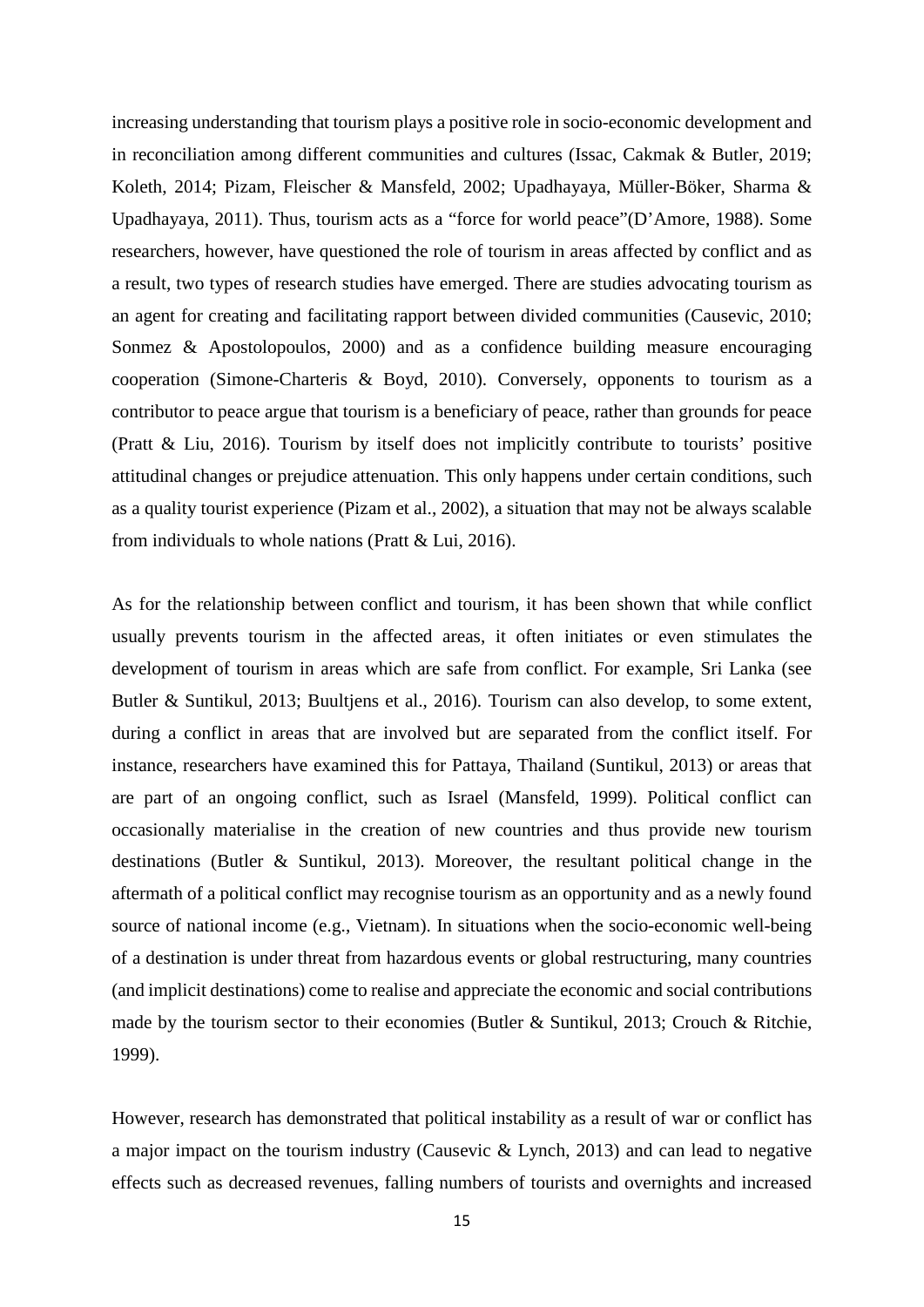increasing understanding that tourism plays a positive role in socio-economic development and in reconciliation among different communities and cultures (Issac, Cakmak & Butler, 2019; Koleth, 2014; Pizam, Fleischer & Mansfeld, 2002; Upadhayaya, Müller-Böker, Sharma & Upadhayaya, 2011). Thus, tourism acts as a "force for world peace"(D'Amore, 1988). Some researchers, however, have questioned the role of tourism in areas affected by conflict and as a result, two types of research studies have emerged. There are studies advocating tourism as an agent for creating and facilitating rapport between divided communities (Causevic, 2010; Sonmez & Apostolopoulos, 2000) and as a confidence building measure encouraging cooperation (Simone-Charteris & Boyd, 2010). Conversely, opponents to tourism as a contributor to peace argue that tourism is a beneficiary of peace, rather than grounds for peace (Pratt & Liu, 2016). Tourism by itself does not implicitly contribute to tourists' positive attitudinal changes or prejudice attenuation. This only happens under certain conditions, such as a quality tourist experience (Pizam et al., 2002), a situation that may not be always scalable from individuals to whole nations (Pratt & Lui, 2016).

As for the relationship between conflict and tourism, it has been shown that while conflict usually prevents tourism in the affected areas, it often initiates or even stimulates the development of tourism in areas which are safe from conflict. For example, Sri Lanka (see Butler & Suntikul, 2013; Buultjens et al., 2016). Tourism can also develop, to some extent, during a conflict in areas that are involved but are separated from the conflict itself. For instance, researchers have examined this for Pattaya, Thailand (Suntikul, 2013) or areas that are part of an ongoing conflict, such as Israel (Mansfeld, 1999). Political conflict can occasionally materialise in the creation of new countries and thus provide new tourism destinations (Butler & Suntikul, 2013). Moreover, the resultant political change in the aftermath of a political conflict may recognise tourism as an opportunity and as a newly found source of national income (e.g., Vietnam). In situations when the socio-economic well-being of a destination is under threat from hazardous events or global restructuring, many countries (and implicit destinations) come to realise and appreciate the economic and social contributions made by the tourism sector to their economies (Butler & Suntikul, 2013; Crouch & Ritchie, 1999).

However, research has demonstrated that political instability as a result of war or conflict has a major impact on the tourism industry (Causevic & Lynch, 2013) and can lead to negative effects such as decreased revenues, falling numbers of tourists and overnights and increased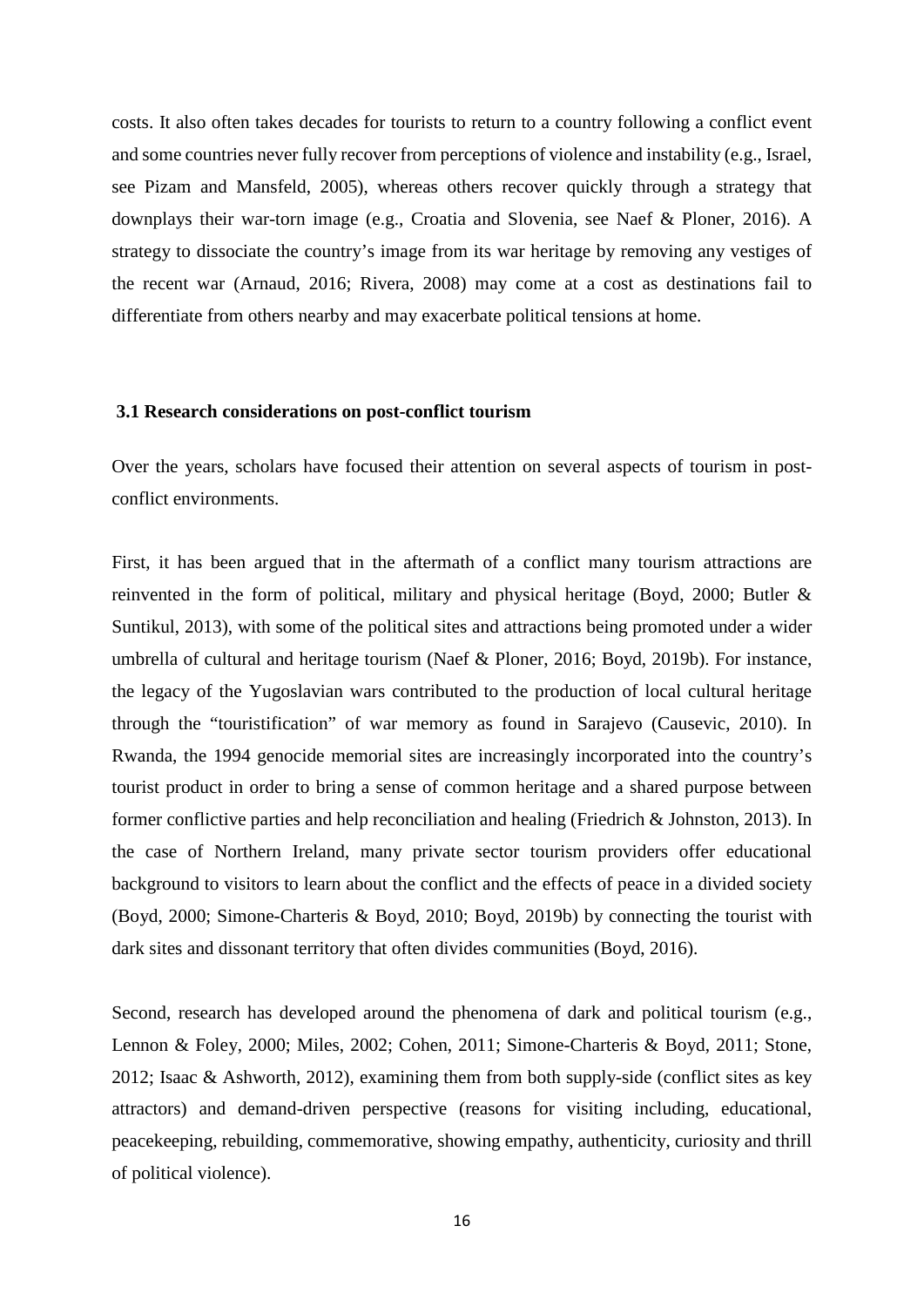costs. It also often takes decades for tourists to return to a country following a conflict event and some countries never fully recover from perceptions of violence and instability (e.g., Israel, see Pizam and Mansfeld, 2005), whereas others recover quickly through a strategy that downplays their war-torn image (e.g., Croatia and Slovenia, see Naef & Ploner, 2016). A strategy to dissociate the country's image from its war heritage by removing any vestiges of the recent war (Arnaud, 2016; Rivera, 2008) may come at a cost as destinations fail to differentiate from others nearby and may exacerbate political tensions at home.

#### **3.1 Research considerations on post-conflict tourism**

Over the years, scholars have focused their attention on several aspects of tourism in postconflict environments.

First, it has been argued that in the aftermath of a conflict many tourism attractions are reinvented in the form of political, military and physical heritage (Boyd, 2000; Butler & Suntikul, 2013), with some of the political sites and attractions being promoted under a wider umbrella of cultural and heritage tourism (Naef & Ploner, 2016; Boyd, 2019b). For instance, the legacy of the Yugoslavian wars contributed to the production of local cultural heritage through the "touristification" of war memory as found in Sarajevo (Causevic, 2010). In Rwanda, the 1994 genocide memorial sites are increasingly incorporated into the country's tourist product in order to bring a sense of common heritage and a shared purpose between former conflictive parties and help reconciliation and healing (Friedrich & Johnston, 2013). In the case of Northern Ireland, many private sector tourism providers offer educational background to visitors to learn about the conflict and the effects of peace in a divided society (Boyd, 2000; Simone-Charteris & Boyd, 2010; Boyd, 2019b) by connecting the tourist with dark sites and dissonant territory that often divides communities (Boyd, 2016).

Second, research has developed around the phenomena of dark and political tourism (e.g., Lennon & Foley, 2000; Miles, 2002; Cohen, 2011; Simone-Charteris & Boyd, 2011; Stone, 2012; Isaac & Ashworth, 2012), examining them from both supply-side (conflict sites as key attractors) and demand-driven perspective (reasons for visiting including, educational, peacekeeping, rebuilding, commemorative, showing empathy, authenticity, curiosity and thrill of political violence).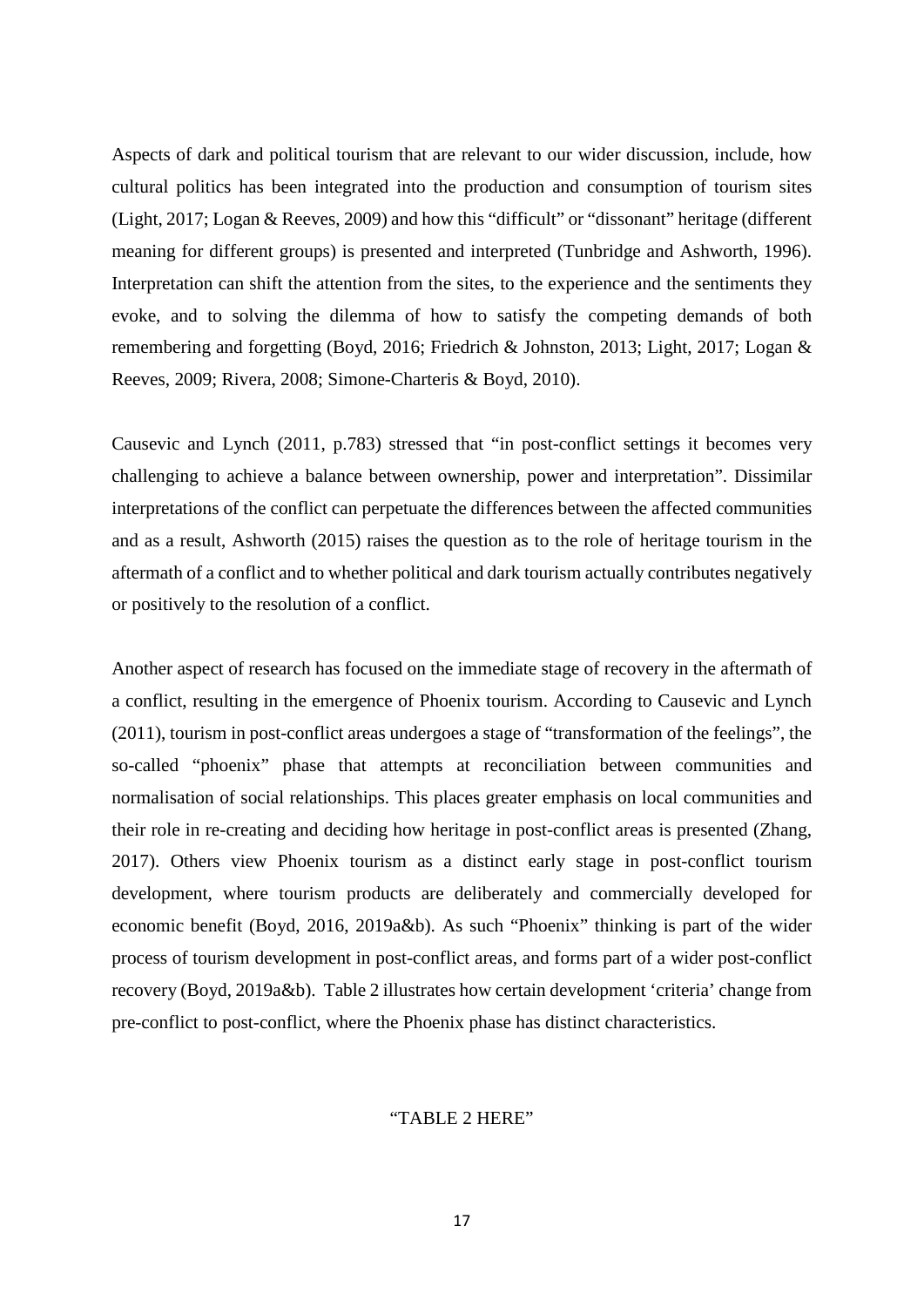Aspects of dark and political tourism that are relevant to our wider discussion, include, how cultural politics has been integrated into the production and consumption of tourism sites (Light, 2017; Logan & Reeves, 2009) and how this "difficult" or "dissonant" heritage (different meaning for different groups) is presented and interpreted (Tunbridge and Ashworth, 1996). Interpretation can shift the attention from the sites, to the experience and the sentiments they evoke, and to solving the dilemma of how to satisfy the competing demands of both remembering and forgetting (Boyd, 2016; Friedrich & Johnston, 2013; Light, 2017; Logan & Reeves, 2009; Rivera, 2008; Simone-Charteris & Boyd, 2010).

Causevic and Lynch (2011, p.783) stressed that "in post-conflict settings it becomes very challenging to achieve a balance between ownership, power and interpretation". Dissimilar interpretations of the conflict can perpetuate the differences between the affected communities and as a result, Ashworth (2015) raises the question as to the role of heritage tourism in the aftermath of a conflict and to whether political and dark tourism actually contributes negatively or positively to the resolution of a conflict.

Another aspect of research has focused on the immediate stage of recovery in the aftermath of a conflict, resulting in the emergence of Phoenix tourism. According to Causevic and Lynch (2011), tourism in post-conflict areas undergoes a stage of "transformation of the feelings", the so-called "phoenix" phase that attempts at reconciliation between communities and normalisation of social relationships. This places greater emphasis on local communities and their role in re-creating and deciding how heritage in post-conflict areas is presented (Zhang, 2017). Others view Phoenix tourism as a distinct early stage in post-conflict tourism development, where tourism products are deliberately and commercially developed for economic benefit (Boyd, 2016, 2019a&b). As such "Phoenix" thinking is part of the wider process of tourism development in post-conflict areas, and forms part of a wider post-conflict recovery (Boyd, 2019a&b). Table 2 illustrates how certain development 'criteria' change from pre-conflict to post-conflict, where the Phoenix phase has distinct characteristics.

#### "TABLE 2 HERE"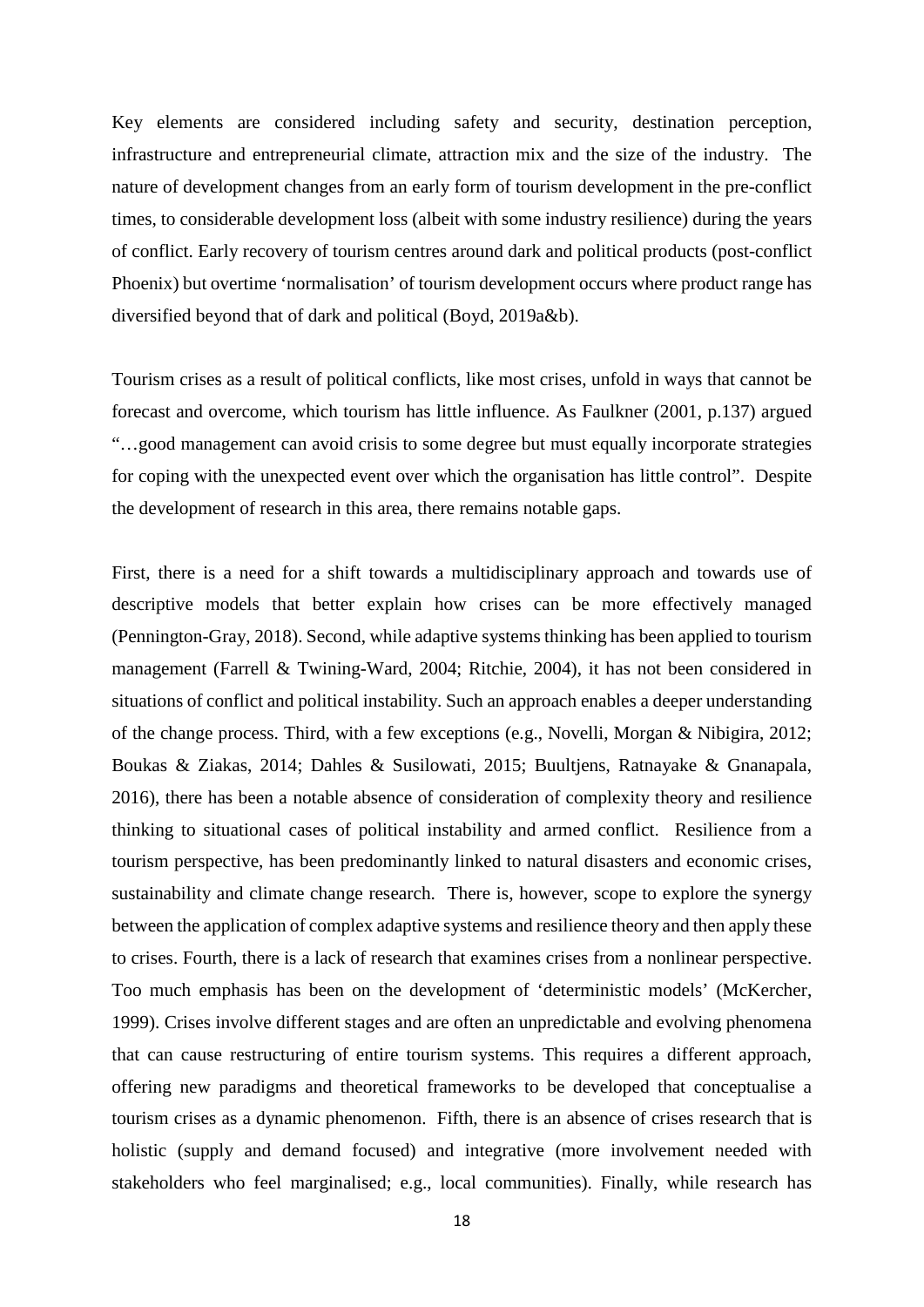Key elements are considered including safety and security, destination perception, infrastructure and entrepreneurial climate, attraction mix and the size of the industry. The nature of development changes from an early form of tourism development in the pre-conflict times, to considerable development loss (albeit with some industry resilience) during the years of conflict. Early recovery of tourism centres around dark and political products (post-conflict Phoenix) but overtime 'normalisation' of tourism development occurs where product range has diversified beyond that of dark and political (Boyd, 2019a&b).

Tourism crises as a result of political conflicts, like most crises, unfold in ways that cannot be forecast and overcome, which tourism has little influence. As Faulkner (2001, p.137) argued "…good management can avoid crisis to some degree but must equally incorporate strategies for coping with the unexpected event over which the organisation has little control". Despite the development of research in this area, there remains notable gaps.

First, there is a need for a shift towards a multidisciplinary approach and towards use of descriptive models that better explain how crises can be more effectively managed (Pennington-Gray, 2018). Second, while adaptive systems thinking has been applied to tourism management (Farrell & Twining-Ward, 2004; Ritchie, 2004), it has not been considered in situations of conflict and political instability. Such an approach enables a deeper understanding of the change process. Third, with a few exceptions (e.g., Novelli, Morgan & Nibigira, 2012; Boukas & Ziakas, 2014; Dahles & Susilowati, 2015; Buultjens, Ratnayake & Gnanapala, 2016), there has been a notable absence of consideration of complexity theory and resilience thinking to situational cases of political instability and armed conflict. Resilience from a tourism perspective, has been predominantly linked to natural disasters and economic crises, sustainability and climate change research. There is, however, scope to explore the synergy between the application of complex adaptive systems and resilience theory and then apply these to crises. Fourth, there is a lack of research that examines crises from a nonlinear perspective. Too much emphasis has been on the development of 'deterministic models' (McKercher, 1999). Crises involve different stages and are often an unpredictable and evolving phenomena that can cause restructuring of entire tourism systems. This requires a different approach, offering new paradigms and theoretical frameworks to be developed that conceptualise a tourism crises as a dynamic phenomenon. Fifth, there is an absence of crises research that is holistic (supply and demand focused) and integrative (more involvement needed with stakeholders who feel marginalised; e.g., local communities). Finally, while research has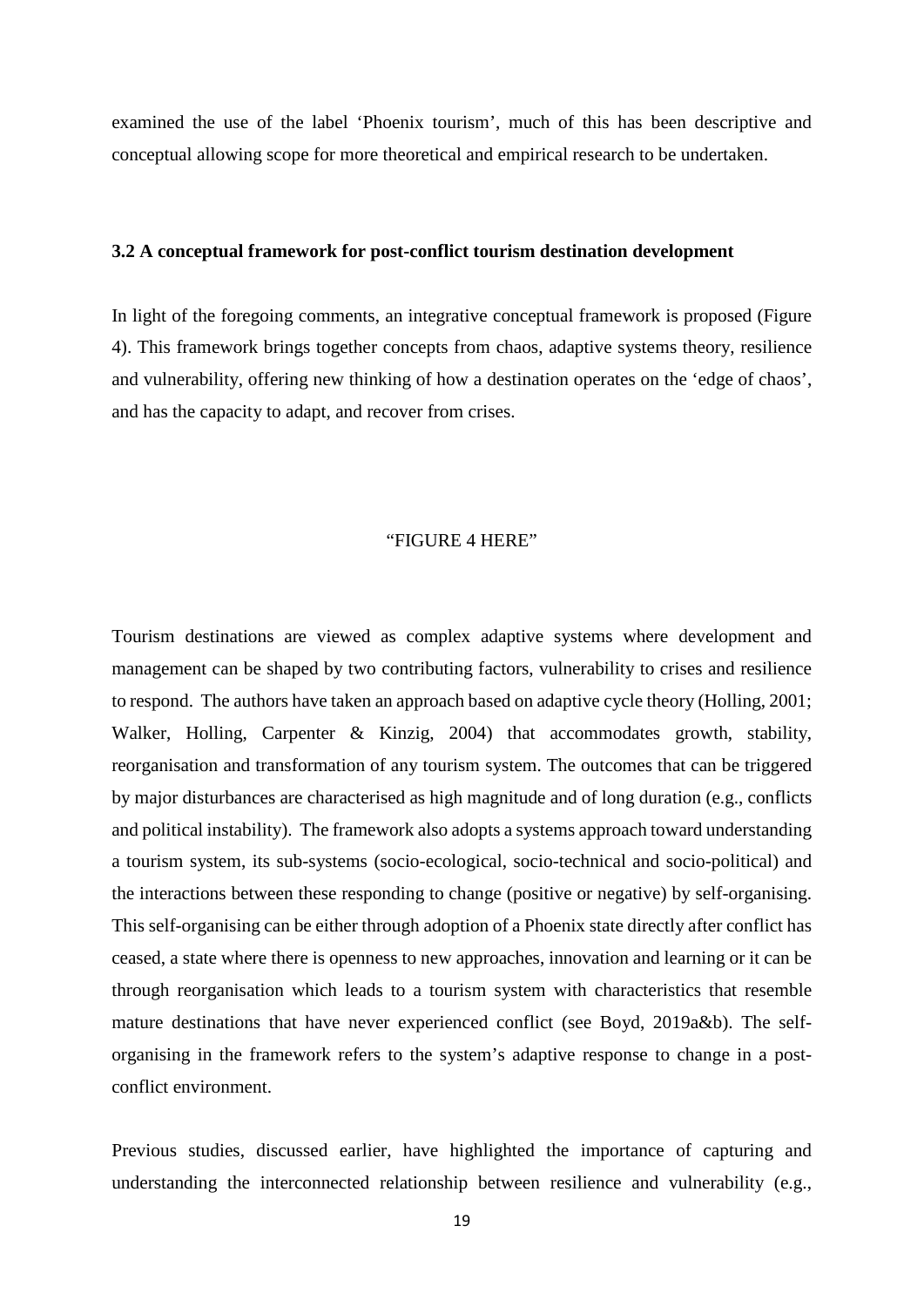examined the use of the label 'Phoenix tourism', much of this has been descriptive and conceptual allowing scope for more theoretical and empirical research to be undertaken.

#### **3.2 A conceptual framework for post-conflict tourism destination development**

In light of the foregoing comments, an integrative conceptual framework is proposed (Figure 4). This framework brings together concepts from chaos, adaptive systems theory, resilience and vulnerability, offering new thinking of how a destination operates on the 'edge of chaos', and has the capacity to adapt, and recover from crises.

#### "FIGURE 4 HERE"

Tourism destinations are viewed as complex adaptive systems where development and management can be shaped by two contributing factors, vulnerability to crises and resilience to respond. The authors have taken an approach based on adaptive cycle theory (Holling, 2001; Walker, Holling, Carpenter & Kinzig, 2004) that accommodates growth, stability, reorganisation and transformation of any tourism system. The outcomes that can be triggered by major disturbances are characterised as high magnitude and of long duration (e.g., conflicts and political instability). The framework also adopts a systems approach toward understanding a tourism system, its sub-systems (socio-ecological, socio-technical and socio-political) and the interactions between these responding to change (positive or negative) by self-organising. This self-organising can be either through adoption of a Phoenix state directly after conflict has ceased, a state where there is openness to new approaches, innovation and learning or it can be through reorganisation which leads to a tourism system with characteristics that resemble mature destinations that have never experienced conflict (see Boyd, 2019a&b). The selforganising in the framework refers to the system's adaptive response to change in a postconflict environment.

Previous studies, discussed earlier, have highlighted the importance of capturing and understanding the interconnected relationship between resilience and vulnerability (e.g.,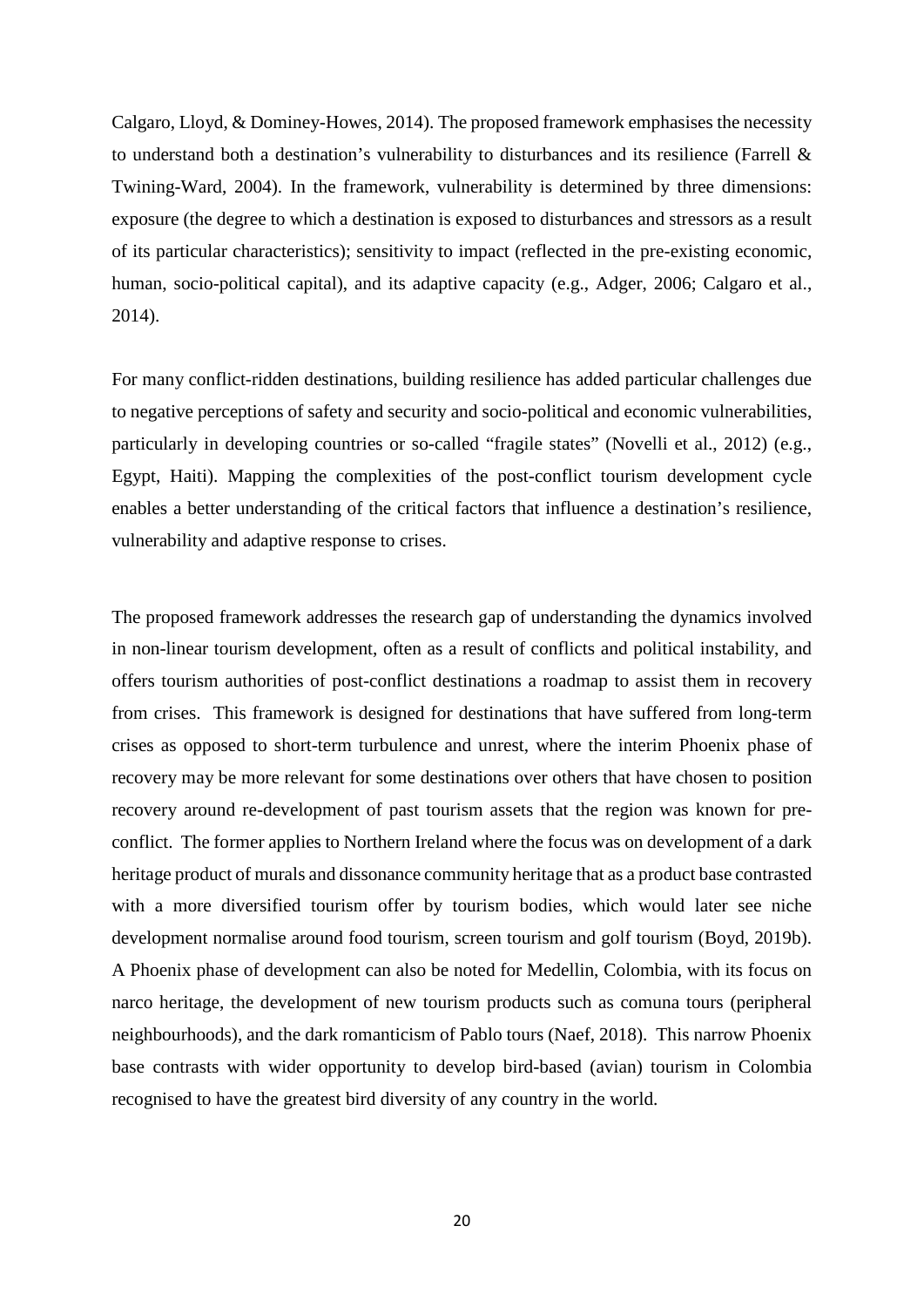Calgaro, Lloyd, & Dominey-Howes, 2014). The proposed framework emphasises the necessity to understand both a destination's vulnerability to disturbances and its resilience (Farrell & Twining-Ward, 2004). In the framework, vulnerability is determined by three dimensions: exposure (the degree to which a destination is exposed to disturbances and stressors as a result of its particular characteristics); sensitivity to impact (reflected in the pre-existing economic, human, socio-political capital), and its adaptive capacity (e.g., Adger, 2006; Calgaro et al., 2014).

For many conflict-ridden destinations, building resilience has added particular challenges due to negative perceptions of safety and security and socio-political and economic vulnerabilities, particularly in developing countries or so-called "fragile states" (Novelli et al., 2012) (e.g., Egypt, Haiti). Mapping the complexities of the post-conflict tourism development cycle enables a better understanding of the critical factors that influence a destination's resilience, vulnerability and adaptive response to crises.

The proposed framework addresses the research gap of understanding the dynamics involved in non-linear tourism development, often as a result of conflicts and political instability, and offers tourism authorities of post-conflict destinations a roadmap to assist them in recovery from crises. This framework is designed for destinations that have suffered from long-term crises as opposed to short-term turbulence and unrest, where the interim Phoenix phase of recovery may be more relevant for some destinations over others that have chosen to position recovery around re-development of past tourism assets that the region was known for preconflict. The former applies to Northern Ireland where the focus was on development of a dark heritage product of murals and dissonance community heritage that as a product base contrasted with a more diversified tourism offer by tourism bodies, which would later see niche development normalise around food tourism, screen tourism and golf tourism (Boyd, 2019b). A Phoenix phase of development can also be noted for Medellin, Colombia, with its focus on narco heritage, the development of new tourism products such as comuna tours (peripheral neighbourhoods), and the dark romanticism of Pablo tours (Naef, 2018). This narrow Phoenix base contrasts with wider opportunity to develop bird-based (avian) tourism in Colombia recognised to have the greatest bird diversity of any country in the world.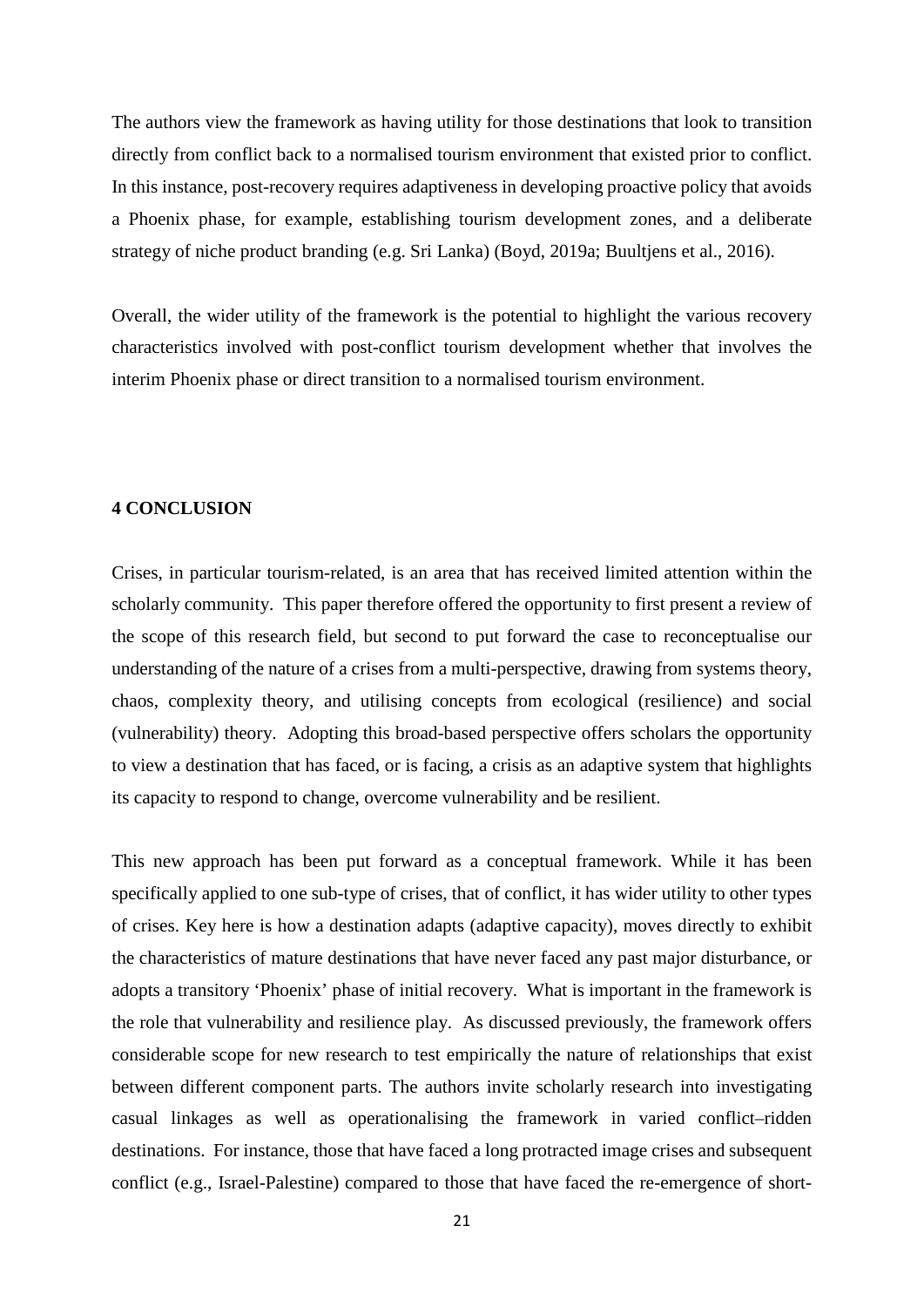The authors view the framework as having utility for those destinations that look to transition directly from conflict back to a normalised tourism environment that existed prior to conflict. In this instance, post-recovery requires adaptiveness in developing proactive policy that avoids a Phoenix phase, for example, establishing tourism development zones, and a deliberate strategy of niche product branding (e.g. Sri Lanka) (Boyd, 2019a; Buultjens et al., 2016).

Overall, the wider utility of the framework is the potential to highlight the various recovery characteristics involved with post-conflict tourism development whether that involves the interim Phoenix phase or direct transition to a normalised tourism environment.

#### **4 CONCLUSION**

Crises, in particular tourism-related, is an area that has received limited attention within the scholarly community. This paper therefore offered the opportunity to first present a review of the scope of this research field, but second to put forward the case to reconceptualise our understanding of the nature of a crises from a multi-perspective, drawing from systems theory, chaos, complexity theory, and utilising concepts from ecological (resilience) and social (vulnerability) theory. Adopting this broad-based perspective offers scholars the opportunity to view a destination that has faced, or is facing, a crisis as an adaptive system that highlights its capacity to respond to change, overcome vulnerability and be resilient.

This new approach has been put forward as a conceptual framework. While it has been specifically applied to one sub-type of crises, that of conflict, it has wider utility to other types of crises. Key here is how a destination adapts (adaptive capacity), moves directly to exhibit the characteristics of mature destinations that have never faced any past major disturbance, or adopts a transitory 'Phoenix' phase of initial recovery. What is important in the framework is the role that vulnerability and resilience play. As discussed previously, the framework offers considerable scope for new research to test empirically the nature of relationships that exist between different component parts. The authors invite scholarly research into investigating casual linkages as well as operationalising the framework in varied conflict–ridden destinations. For instance, those that have faced a long protracted image crises and subsequent conflict (e.g., Israel-Palestine) compared to those that have faced the re-emergence of short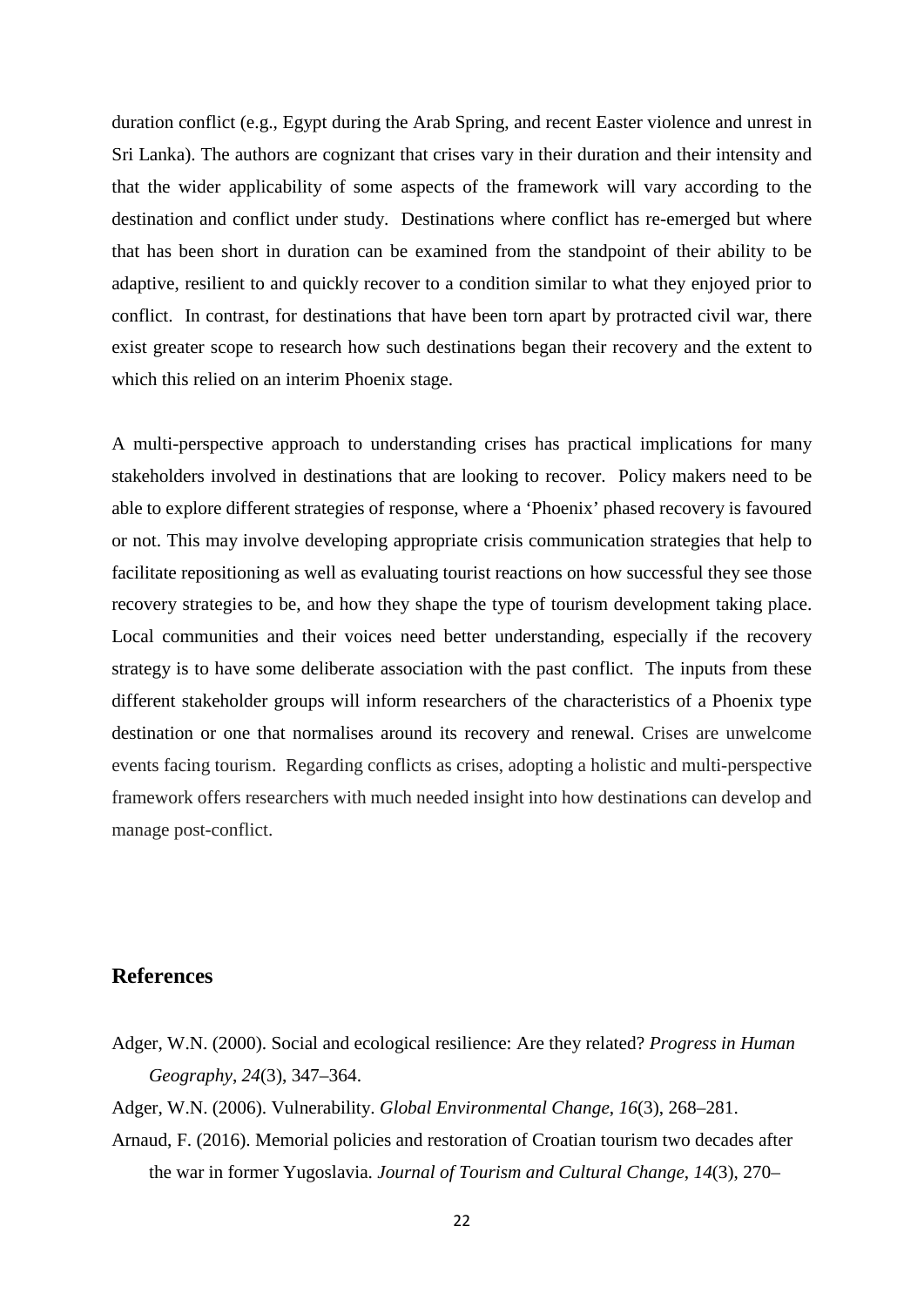duration conflict (e.g., Egypt during the Arab Spring, and recent Easter violence and unrest in Sri Lanka). The authors are cognizant that crises vary in their duration and their intensity and that the wider applicability of some aspects of the framework will vary according to the destination and conflict under study. Destinations where conflict has re-emerged but where that has been short in duration can be examined from the standpoint of their ability to be adaptive, resilient to and quickly recover to a condition similar to what they enjoyed prior to conflict. In contrast, for destinations that have been torn apart by protracted civil war, there exist greater scope to research how such destinations began their recovery and the extent to which this relied on an interim Phoenix stage.

A multi-perspective approach to understanding crises has practical implications for many stakeholders involved in destinations that are looking to recover. Policy makers need to be able to explore different strategies of response, where a 'Phoenix' phased recovery is favoured or not. This may involve developing appropriate crisis communication strategies that help to facilitate repositioning as well as evaluating tourist reactions on how successful they see those recovery strategies to be, and how they shape the type of tourism development taking place. Local communities and their voices need better understanding, especially if the recovery strategy is to have some deliberate association with the past conflict. The inputs from these different stakeholder groups will inform researchers of the characteristics of a Phoenix type destination or one that normalises around its recovery and renewal. Crises are unwelcome events facing tourism. Regarding conflicts as crises, adopting a holistic and multi-perspective framework offers researchers with much needed insight into how destinations can develop and manage post-conflict.

## **References**

- Adger, W.N. (2000). Social and ecological resilience: Are they related? *Progress in Human Geography*, *24*(3), 347–364.
- Adger, W.N. (2006). Vulnerability. *Global Environmental Change*, *16*(3), 268–281.
- Arnaud, F. (2016). Memorial policies and restoration of Croatian tourism two decades after the war in former Yugoslavia. *Journal of Tourism and Cultural Change*, *14*(3), 270–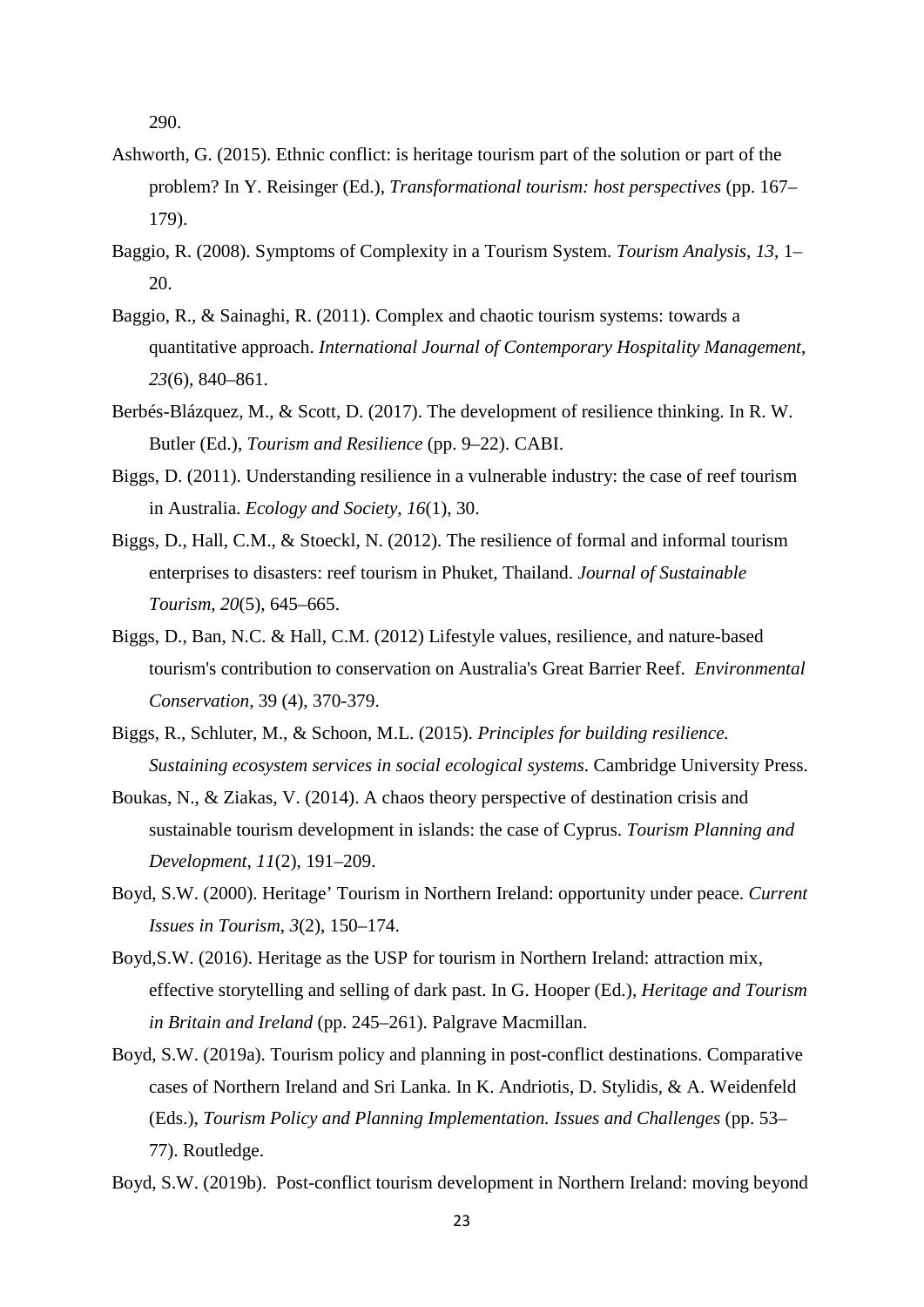290.

- Ashworth, G. (2015). Ethnic conflict: is heritage tourism part of the solution or part of the problem? In Y. Reisinger (Ed.), *Transformational tourism: host perspectives* (pp. 167– 179).
- Baggio, R. (2008). Symptoms of Complexity in a Tourism System. *Tourism Analysis*, *13*, 1– 20.
- Baggio, R., & Sainaghi, R. (2011). Complex and chaotic tourism systems: towards a quantitative approach. *International Journal of Contemporary Hospitality Management*, *23*(6), 840–861.
- Berbés-Blázquez, M., & Scott, D. (2017). The development of resilience thinking. In R. W. Butler (Ed.), *Tourism and Resilience* (pp. 9–22). CABI.
- Biggs, D. (2011). Understanding resilience in a vulnerable industry: the case of reef tourism in Australia. *Ecology and Society*, *16*(1), 30.
- Biggs, D., Hall, C.M., & Stoeckl, N. (2012). The resilience of formal and informal tourism enterprises to disasters: reef tourism in Phuket, Thailand. *Journal of Sustainable Tourism*, *20*(5), 645–665.
- Biggs, D., Ban, N.C. & Hall, C.M. (2012) Lifestyle values, resilience, and nature-based tourism's contribution to conservation on Australia's Great Barrier Reef. *Environmental Conservation,* 39 (4), 370-379.
- Biggs, R., Schluter, M., & Schoon, M.L. (2015). *Principles for building resilience. Sustaining ecosystem services in social ecological systems*. Cambridge University Press.
- Boukas, N., & Ziakas, V. (2014). A chaos theory perspective of destination crisis and sustainable tourism development in islands: the case of Cyprus. *Tourism Planning and Development*, *11*(2), 191–209.
- Boyd, S.W. (2000). Heritage' Tourism in Northern Ireland: opportunity under peace. *Current Issues in Tourism*, *3*(2), 150–174.
- Boyd,S.W. (2016). Heritage as the USP for tourism in Northern Ireland: attraction mix, effective storytelling and selling of dark past. In G. Hooper (Ed.), *Heritage and Tourism in Britain and Ireland* (pp. 245–261). Palgrave Macmillan.
- Boyd, S.W. (2019a). Tourism policy and planning in post-conflict destinations. Comparative cases of Northern Ireland and Sri Lanka. In K. Andriotis, D. Stylidis, & A. Weidenfeld (Eds.), *Tourism Policy and Planning Implementation. Issues and Challenges* (pp. 53– 77). Routledge.

Boyd, S.W. (2019b). Post-conflict tourism development in Northern Ireland: moving beyond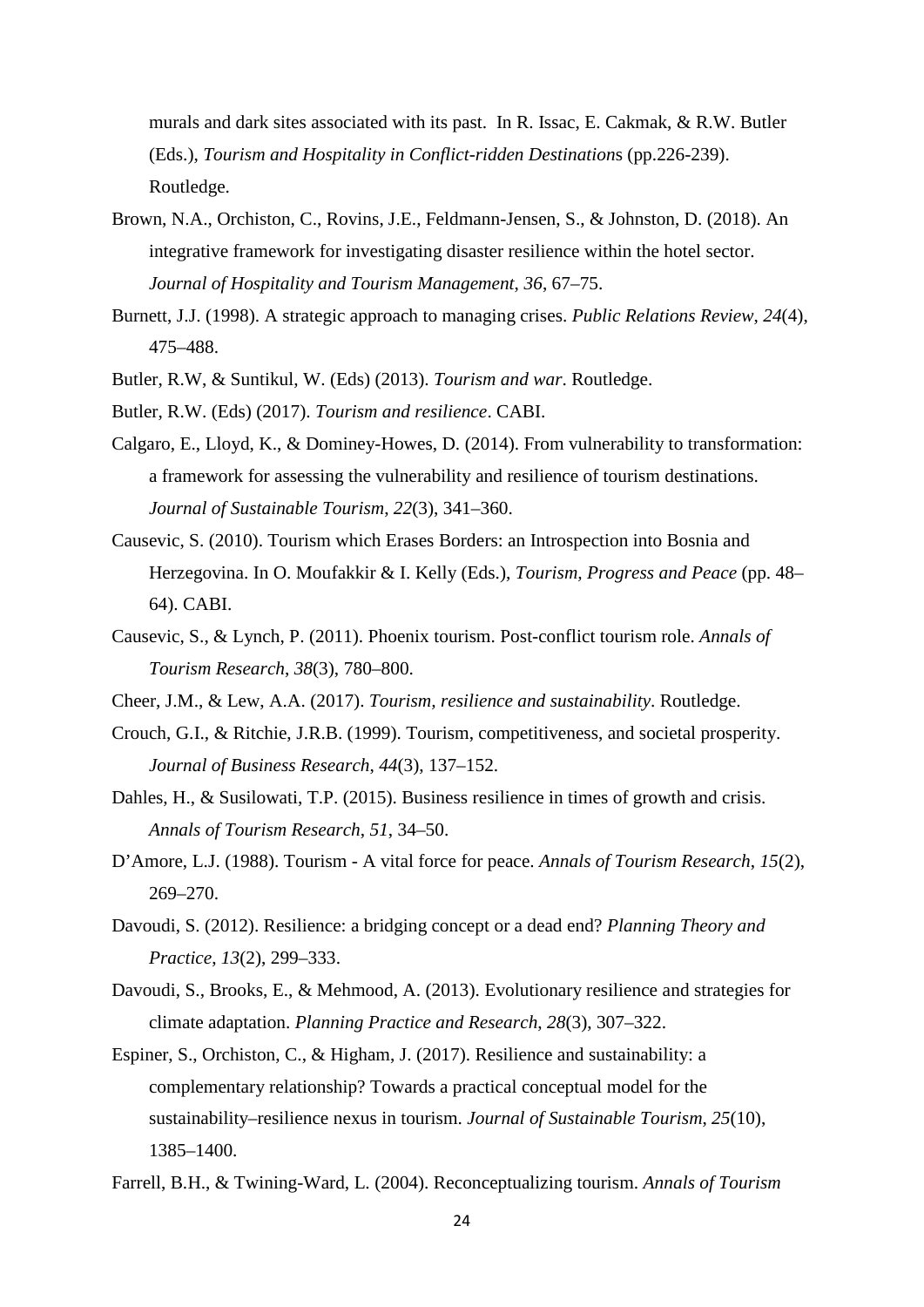murals and dark sites associated with its past. In R. Issac, E. Cakmak, & R.W. Butler (Eds.), *Tourism and Hospitality in Conflict-ridden Destination*s (pp.226-239). Routledge.

- Brown, N.A., Orchiston, C., Rovins, J.E., Feldmann-Jensen, S., & Johnston, D. (2018). An integrative framework for investigating disaster resilience within the hotel sector. *Journal of Hospitality and Tourism Management*, *36*, 67–75.
- Burnett, J.J. (1998). A strategic approach to managing crises. *Public Relations Review*, *24*(4), 475–488.
- Butler, R.W, & Suntikul, W. (Eds) (2013). *Tourism and war*. Routledge.
- Butler, R.W. (Eds) (2017). *Tourism and resilience*. CABI.
- Calgaro, E., Lloyd, K., & Dominey-Howes, D. (2014). From vulnerability to transformation: a framework for assessing the vulnerability and resilience of tourism destinations. *Journal of Sustainable Tourism*, *22*(3), 341–360.
- Causevic, S. (2010). Tourism which Erases Borders: an Introspection into Bosnia and Herzegovina. In O. Moufakkir & I. Kelly (Eds.), *Tourism, Progress and Peace* (pp. 48– 64). CABI.
- Causevic, S., & Lynch, P. (2011). Phoenix tourism. Post-conflict tourism role. *Annals of Tourism Research*, *38*(3), 780–800.
- Cheer, J.M., & Lew, A.A. (2017). *Tourism, resilience and sustainability*. Routledge.
- Crouch, G.I., & Ritchie, J.R.B. (1999). Tourism, competitiveness, and societal prosperity. *Journal of Business Research*, *44*(3), 137–152.
- Dahles, H., & Susilowati, T.P. (2015). Business resilience in times of growth and crisis. *Annals of Tourism Research*, *51*, 34–50.
- D'Amore, L.J. (1988). Tourism A vital force for peace. *Annals of Tourism Research*, *15*(2), 269–270.
- Davoudi, S. (2012). Resilience: a bridging concept or a dead end? *Planning Theory and Practice*, *13*(2), 299–333.
- Davoudi, S., Brooks, E., & Mehmood, A. (2013). Evolutionary resilience and strategies for climate adaptation. *Planning Practice and Research*, *28*(3), 307–322.
- Espiner, S., Orchiston, C., & Higham, J. (2017). Resilience and sustainability: a complementary relationship? Towards a practical conceptual model for the sustainability–resilience nexus in tourism. *Journal of Sustainable Tourism*, *25*(10), 1385–1400.
- Farrell, B.H., & Twining-Ward, L. (2004). Reconceptualizing tourism. *Annals of Tourism*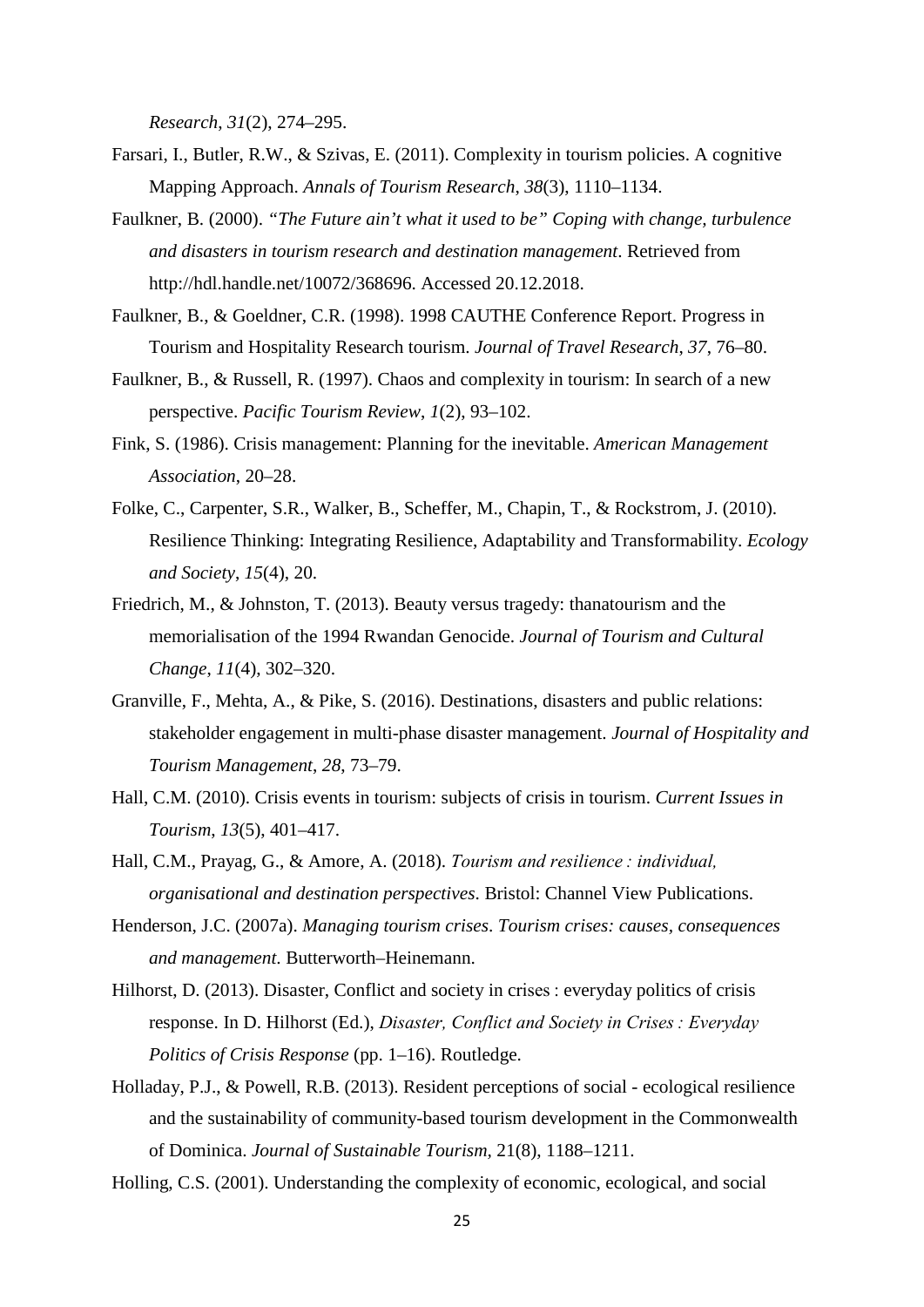*Research*, *31*(2), 274–295.

- Farsari, I., Butler, R.W., & Szivas, E. (2011). Complexity in tourism policies. A cognitive Mapping Approach. *Annals of Tourism Research*, *38*(3), 1110–1134.
- Faulkner, B. (2000). *"The Future ain't what it used to be" Coping with change, turbulence and disasters in tourism research and destination management*. Retrieved from http://hdl.handle.net/10072/368696. Accessed 20.12.2018.
- Faulkner, B., & Goeldner, C.R. (1998). 1998 CAUTHE Conference Report. Progress in Tourism and Hospitality Research tourism. *Journal of Travel Research*, *37*, 76–80.
- Faulkner, B., & Russell, R. (1997). Chaos and complexity in tourism: In search of a new perspective. *Pacific Tourism Review*, *1*(2), 93–102.
- Fink, S. (1986). Crisis management: Planning for the inevitable. *American Management Association*, 20–28.
- Folke, C., Carpenter, S.R., Walker, B., Scheffer, M., Chapin, T., & Rockstrom, J. (2010). Resilience Thinking: Integrating Resilience, Adaptability and Transformability. *Ecology and Society*, *15*(4), 20.
- Friedrich, M., & Johnston, T. (2013). Beauty versus tragedy: thanatourism and the memorialisation of the 1994 Rwandan Genocide. *Journal of Tourism and Cultural Change*, *11*(4), 302–320.
- Granville, F., Mehta, A., & Pike, S. (2016). Destinations, disasters and public relations: stakeholder engagement in multi-phase disaster management. *Journal of Hospitality and Tourism Management*, *28*, 73–79.
- Hall, C.M. (2010). Crisis events in tourism: subjects of crisis in tourism. *Current Issues in Tourism*, *13*(5), 401–417.
- Hall, C.M., Prayag, G., & Amore, A. (2018). *Tourism and resilience : individual, organisational and destination perspectives*. Bristol: Channel View Publications.
- Henderson, J.C. (2007a). *Managing tourism crises*. *Tourism crises: causes, consequences and management*. Butterworth–Heinemann.
- Hilhorst, D. (2013). Disaster, Conflict and society in crises : everyday politics of crisis response. In D. Hilhorst (Ed.), *Disaster, Conflict and Society in Crises : Everyday Politics of Crisis Response* (pp. 1–16). Routledge.
- Holladay, P.J., & Powell, R.B. (2013). Resident perceptions of social ecological resilience and the sustainability of community-based tourism development in the Commonwealth of Dominica. *Journal of Sustainable Tourism,* 21(8), 1188–1211.
- Holling, C.S. (2001). Understanding the complexity of economic, ecological, and social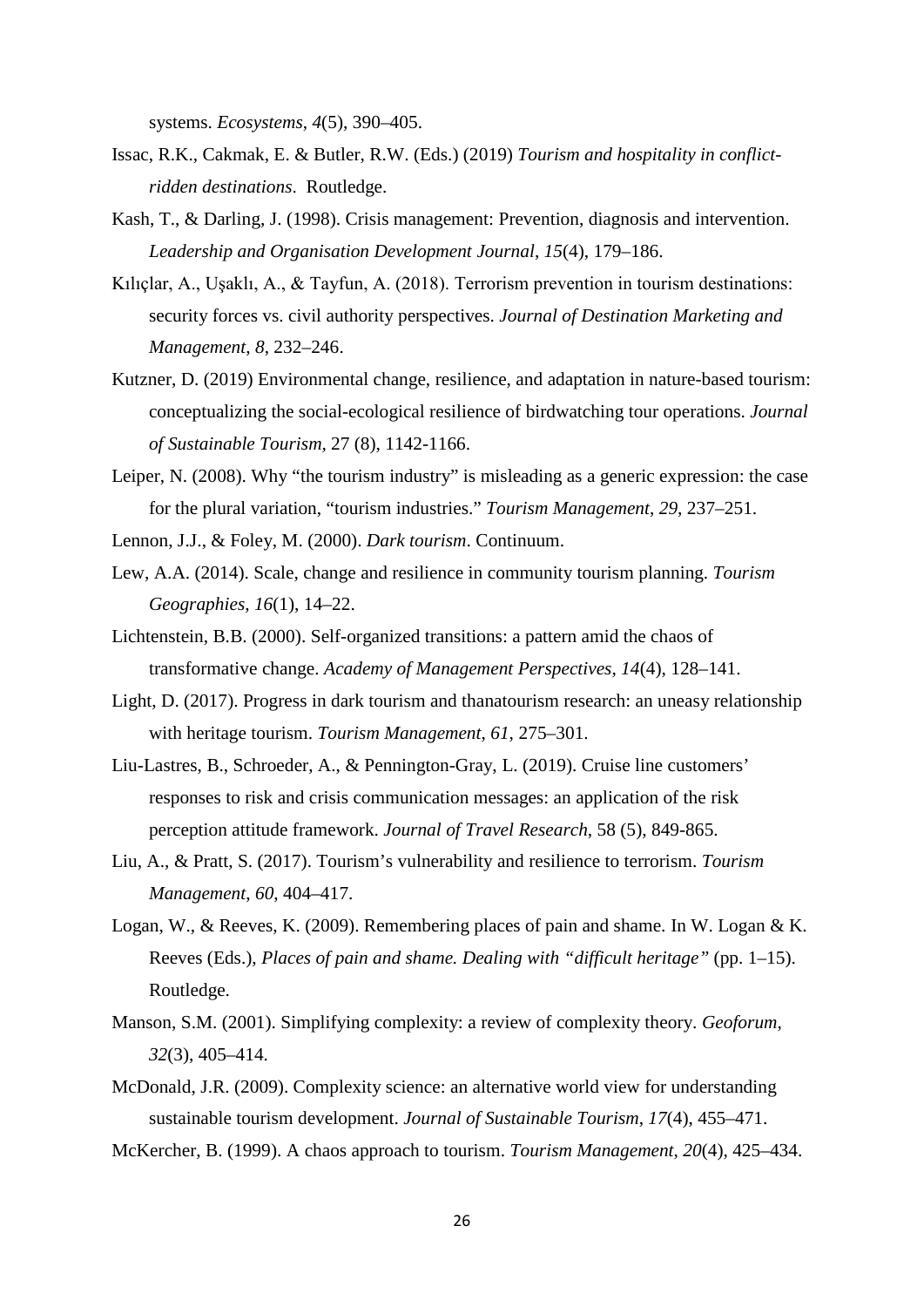systems. *Ecosystems*, *4*(5), 390–405.

- Issac, R.K., Cakmak, E. & Butler, R.W. (Eds.) (2019) *Tourism and hospitality in conflictridden destinations*. Routledge.
- Kash, T., & Darling, J. (1998). Crisis management: Prevention, diagnosis and intervention. *Leadership and Organisation Development Journal*, *15*(4), 179–186.
- Kılıçlar, A., Uşaklı, A., & Tayfun, A. (2018). Terrorism prevention in tourism destinations: security forces vs. civil authority perspectives. *Journal of Destination Marketing and Management*, *8*, 232–246.
- Kutzner, D. (2019) Environmental change, resilience, and adaptation in nature-based tourism: conceptualizing the social-ecological resilience of birdwatching tour operations. *Journal of Sustainable Tourism,* 27 (8), 1142-1166.
- Leiper, N. (2008). Why "the tourism industry" is misleading as a generic expression: the case for the plural variation, "tourism industries." *Tourism Management*, *29*, 237–251.
- Lennon, J.J., & Foley, M. (2000). *Dark tourism*. Continuum.
- Lew, A.A. (2014). Scale, change and resilience in community tourism planning. *Tourism Geographies*, *16*(1), 14–22.
- Lichtenstein, B.B. (2000). Self-organized transitions: a pattern amid the chaos of transformative change. *Academy of Management Perspectives*, *14*(4), 128–141.
- Light, D. (2017). Progress in dark tourism and thanatourism research: an uneasy relationship with heritage tourism. *Tourism Management*, *61*, 275–301.
- Liu-Lastres, B., Schroeder, A., & Pennington-Gray, L. (2019). Cruise line customers' responses to risk and crisis communication messages: an application of the risk perception attitude framework. *Journal of Travel Research*, 58 (5), 849-865.
- Liu, A., & Pratt, S. (2017). Tourism's vulnerability and resilience to terrorism. *Tourism Management*, *60*, 404–417.
- Logan, W., & Reeves, K. (2009). Remembering places of pain and shame. In W. Logan & K. Reeves (Eds.), *Places of pain and shame. Dealing with "difficult heritage"* (pp. 1–15). Routledge.
- Manson, S.M. (2001). Simplifying complexity: a review of complexity theory. *Geoforum*, *32*(3), 405–414.
- McDonald, J.R. (2009). Complexity science: an alternative world view for understanding sustainable tourism development. *Journal of Sustainable Tourism*, *17*(4), 455–471.
- McKercher, B. (1999). A chaos approach to tourism. *Tourism Management*, *20*(4), 425–434.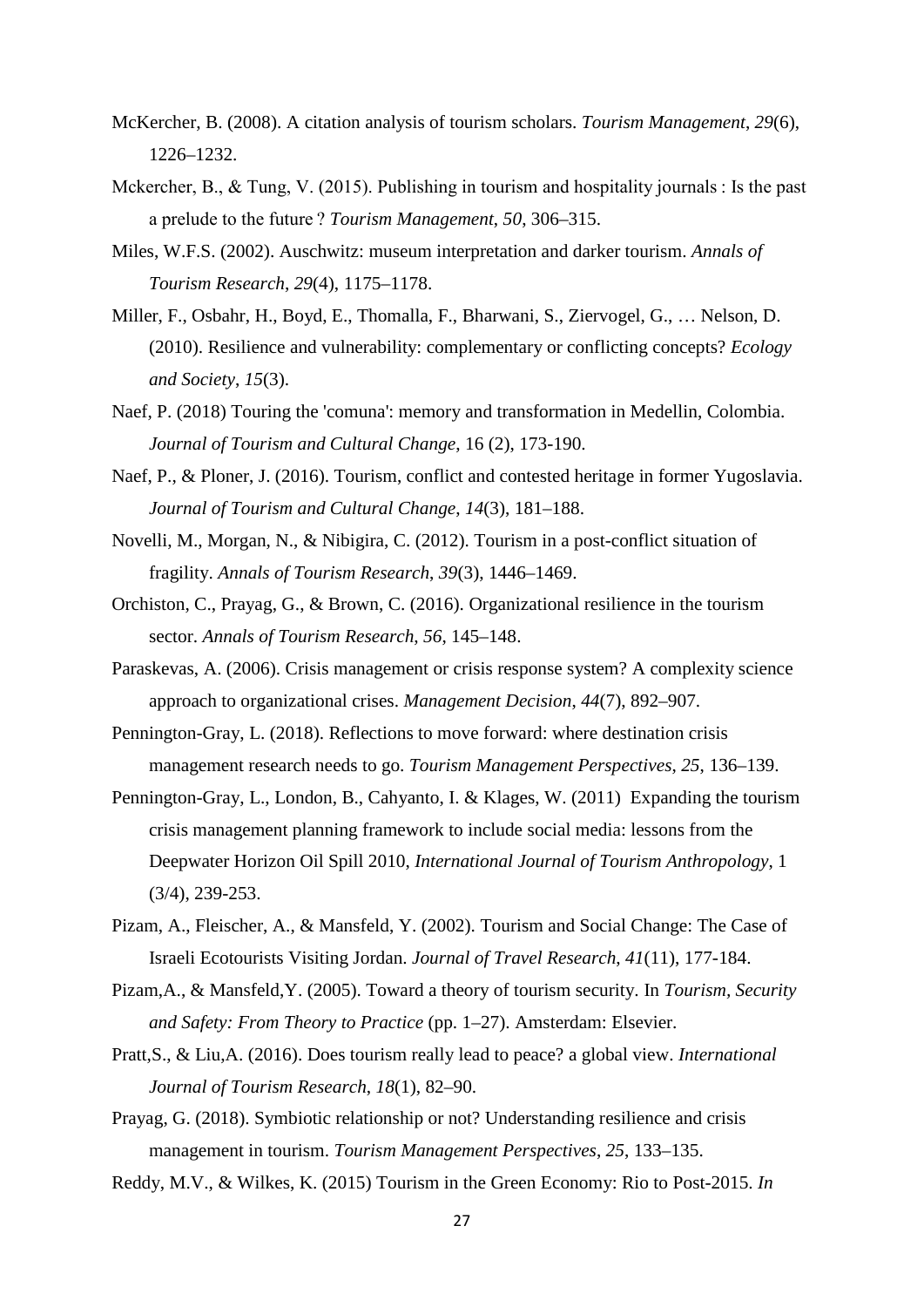- McKercher, B. (2008). A citation analysis of tourism scholars. *Tourism Management*, *29*(6), 1226–1232.
- Mckercher, B., & Tung, V. (2015). Publishing in tourism and hospitality journals : Is the past a prelude to the future ? *Tourism Management*, *50*, 306–315.
- Miles, W.F.S. (2002). Auschwitz: museum interpretation and darker tourism. *Annals of Tourism Research*, *29*(4), 1175–1178.
- Miller, F., Osbahr, H., Boyd, E., Thomalla, F., Bharwani, S., Ziervogel, G., … Nelson, D. (2010). Resilience and vulnerability: complementary or conflicting concepts? *Ecology and Society*, *15*(3).
- Naef, P. (2018) Touring the 'comuna': memory and transformation in Medellin, Colombia. *Journal of Tourism and Cultural Change*, 16 (2), 173-190.
- Naef, P., & Ploner, J. (2016). Tourism, conflict and contested heritage in former Yugoslavia. *Journal of Tourism and Cultural Change*, *14*(3), 181–188.
- Novelli, M., Morgan, N., & Nibigira, C. (2012). Tourism in a post-conflict situation of fragility. *Annals of Tourism Research*, *39*(3), 1446–1469.
- Orchiston, C., Prayag, G., & Brown, C. (2016). Organizational resilience in the tourism sector. *Annals of Tourism Research*, *56*, 145–148.
- Paraskevas, A. (2006). Crisis management or crisis response system? A complexity science approach to organizational crises. *Management Decision*, *44*(7), 892–907.
- Pennington-Gray, L. (2018). Reflections to move forward: where destination crisis management research needs to go. *Tourism Management Perspectives*, *25*, 136–139.
- Pennington-Gray, L., London, B., Cahyanto, I. & Klages, W. (2011) Expanding the tourism crisis management planning framework to include social media: lessons from the Deepwater Horizon Oil Spill 2010, *International Journal of Tourism Anthropology*, 1 (3/4), 239-253.
- Pizam, A., Fleischer, A., & Mansfeld, Y. (2002). Tourism and Social Change: The Case of Israeli Ecotourists Visiting Jordan. *Journal of Travel Research*, *41*(11), 177-184.
- Pizam,A., & Mansfeld,Y. (2005). Toward a theory of tourism security. In *Tourism, Security and Safety: From Theory to Practice* (pp. 1–27). Amsterdam: Elsevier.
- Pratt,S., & Liu,A. (2016). Does tourism really lead to peace? a global view. *International Journal of Tourism Research*, *18*(1), 82–90.
- Prayag, G. (2018). Symbiotic relationship or not? Understanding resilience and crisis management in tourism. *Tourism Management Perspectives*, *25*, 133–135.

Reddy, M.V., & Wilkes, K. (2015) Tourism in the Green Economy: Rio to Post-2015. *In*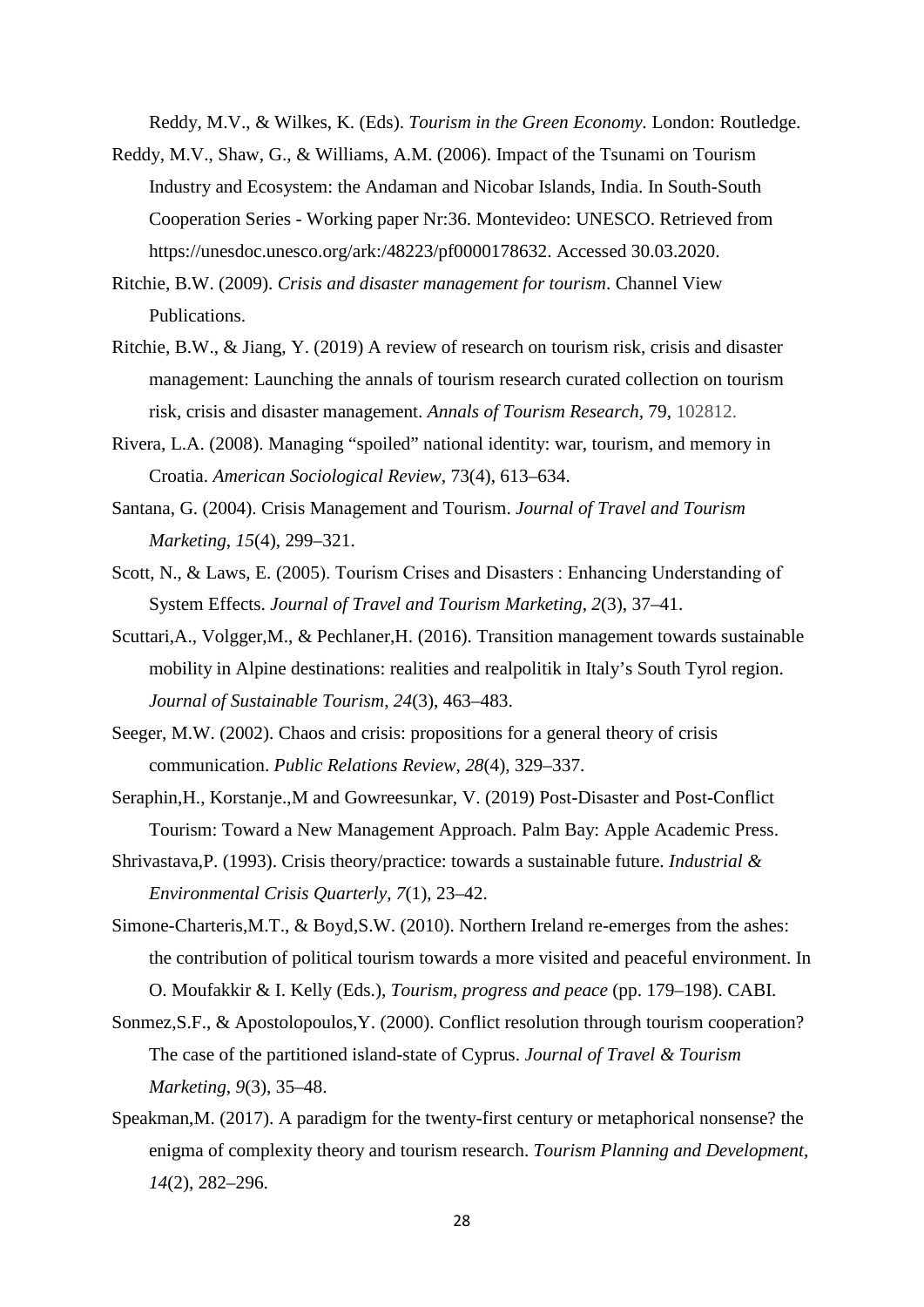Reddy, M.V., & Wilkes, K. (Eds). *Tourism in the Green Economy.* London: Routledge.

- Reddy, M.V., Shaw, G., & Williams, A.M. (2006). Impact of the Tsunami on Tourism Industry and Ecosystem: the Andaman and Nicobar Islands, India. In South-South Cooperation Series - Working paper Nr:36. Montevideo: UNESCO. Retrieved from https://unesdoc.unesco.org/ark:/48223/pf0000178632. Accessed 30.03.2020.
- Ritchie, B.W. (2009). *Crisis and disaster management for tourism*. Channel View Publications.
- Ritchie, B.W., & Jiang, Y. (2019) A review of research on tourism risk, crisis and disaster management: Launching the annals of tourism research curated collection on tourism risk, crisis and disaster management. *Annals of Tourism Research,* 79, 102812.
- Rivera, L.A. (2008). Managing "spoiled" national identity: war, tourism, and memory in Croatia. *American Sociological Review,* 73(4), 613–634.
- Santana, G. (2004). Crisis Management and Tourism. *Journal of Travel and Tourism Marketing*, *15*(4), 299–321.
- Scott, N., & Laws, E. (2005). Tourism Crises and Disasters : Enhancing Understanding of System Effects. *Journal of Travel and Tourism Marketing*, *2*(3), 37–41.
- Scuttari,A., Volgger,M., & Pechlaner,H. (2016). Transition management towards sustainable mobility in Alpine destinations: realities and realpolitik in Italy's South Tyrol region. *Journal of Sustainable Tourism*, *24*(3), 463–483.
- Seeger, M.W. (2002). Chaos and crisis: propositions for a general theory of crisis communication. *Public Relations Review*, *28*(4), 329–337.
- Seraphin,H., Korstanje.,M and Gowreesunkar, V. (2019) Post-Disaster and Post-Conflict Tourism: Toward a New Management Approach. Palm Bay: Apple Academic Press.
- Shrivastava,P. (1993). Crisis theory/practice: towards a sustainable future. *Industrial & Environmental Crisis Quarterly*, *7*(1), 23–42.
- Simone-Charteris,M.T., & Boyd,S.W. (2010). Northern Ireland re-emerges from the ashes: the contribution of political tourism towards a more visited and peaceful environment. In O. Moufakkir & I. Kelly (Eds.), *Tourism, progress and peace* (pp. 179–198). CABI.
- Sonmez,S.F., & Apostolopoulos,Y. (2000). Conflict resolution through tourism cooperation? The case of the partitioned island-state of Cyprus. *Journal of Travel & Tourism Marketing*, *9*(3), 35–48.
- Speakman,M. (2017). A paradigm for the twenty-first century or metaphorical nonsense? the enigma of complexity theory and tourism research. *Tourism Planning and Development*, *14*(2), 282–296.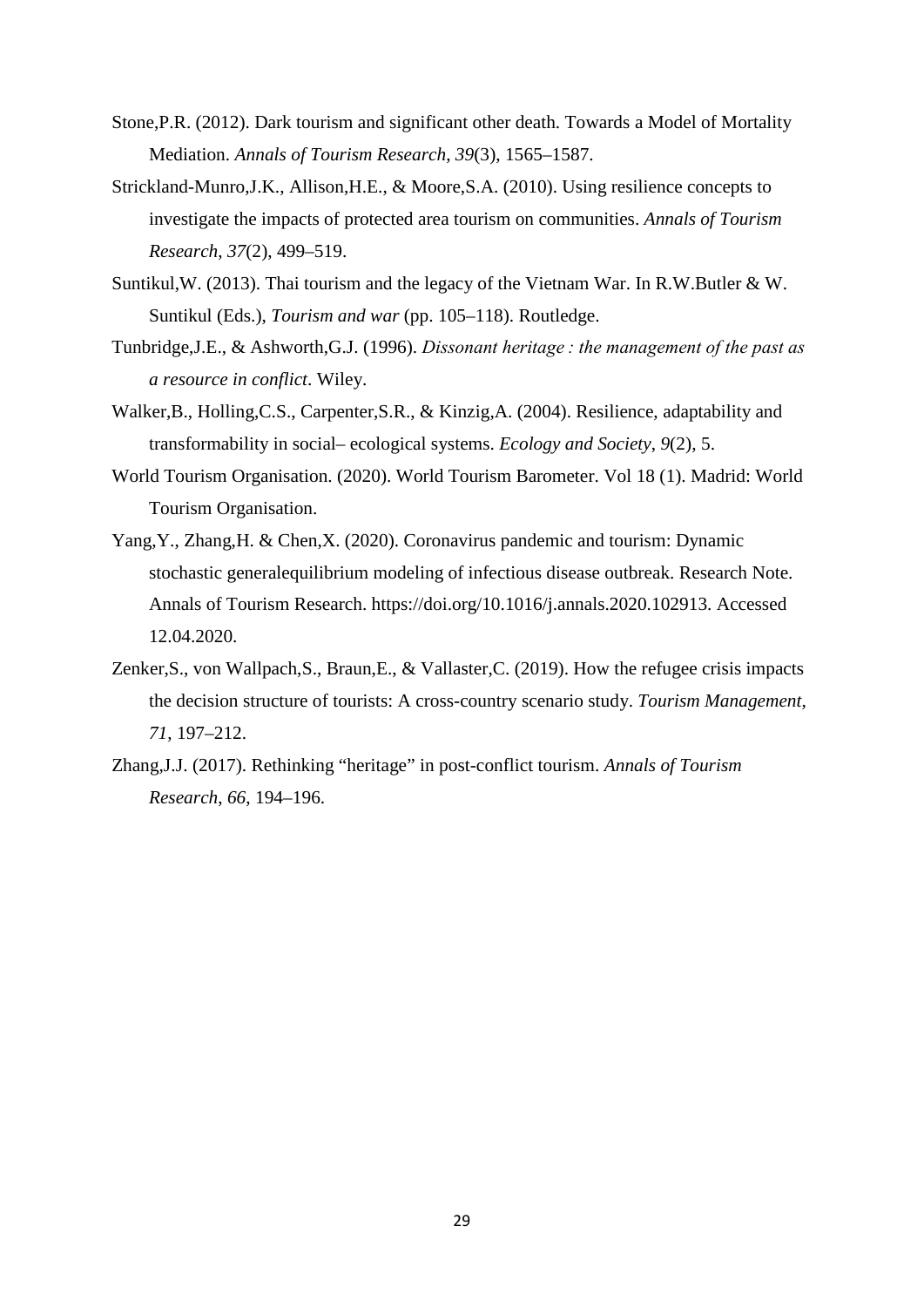- Stone,P.R. (2012). Dark tourism and significant other death. Towards a Model of Mortality Mediation. *Annals of Tourism Research*, *39*(3), 1565–1587.
- Strickland-Munro,J.K., Allison,H.E., & Moore,S.A. (2010). Using resilience concepts to investigate the impacts of protected area tourism on communities. *Annals of Tourism Research*, *37*(2), 499–519.
- Suntikul,W. (2013). Thai tourism and the legacy of the Vietnam War. In R.W.Butler & W. Suntikul (Eds.), *Tourism and war* (pp. 105–118). Routledge.
- Tunbridge,J.E., & Ashworth,G.J. (1996). *Dissonant heritage : the management of the past as a resource in conflict*. Wiley.
- Walker,B., Holling,C.S., Carpenter,S.R., & Kinzig,A. (2004). Resilience, adaptability and transformability in social– ecological systems. *Ecology and Society*, *9*(2), 5.
- World Tourism Organisation. (2020). World Tourism Barometer. Vol 18 (1). Madrid: World Tourism Organisation.
- Yang,Y., Zhang,H. & Chen,X. (2020). Coronavirus pandemic and tourism: Dynamic stochastic generalequilibrium modeling of infectious disease outbreak. Research Note. Annals of Tourism Research. https://doi.org/10.1016/j.annals.2020.102913. Accessed 12.04.2020.
- Zenker,S., von Wallpach,S., Braun,E., & Vallaster,C. (2019). How the refugee crisis impacts the decision structure of tourists: A cross-country scenario study. *Tourism Management*, *71*, 197–212.
- Zhang,J.J. (2017). Rethinking "heritage" in post-conflict tourism. *Annals of Tourism Research*, *66*, 194–196.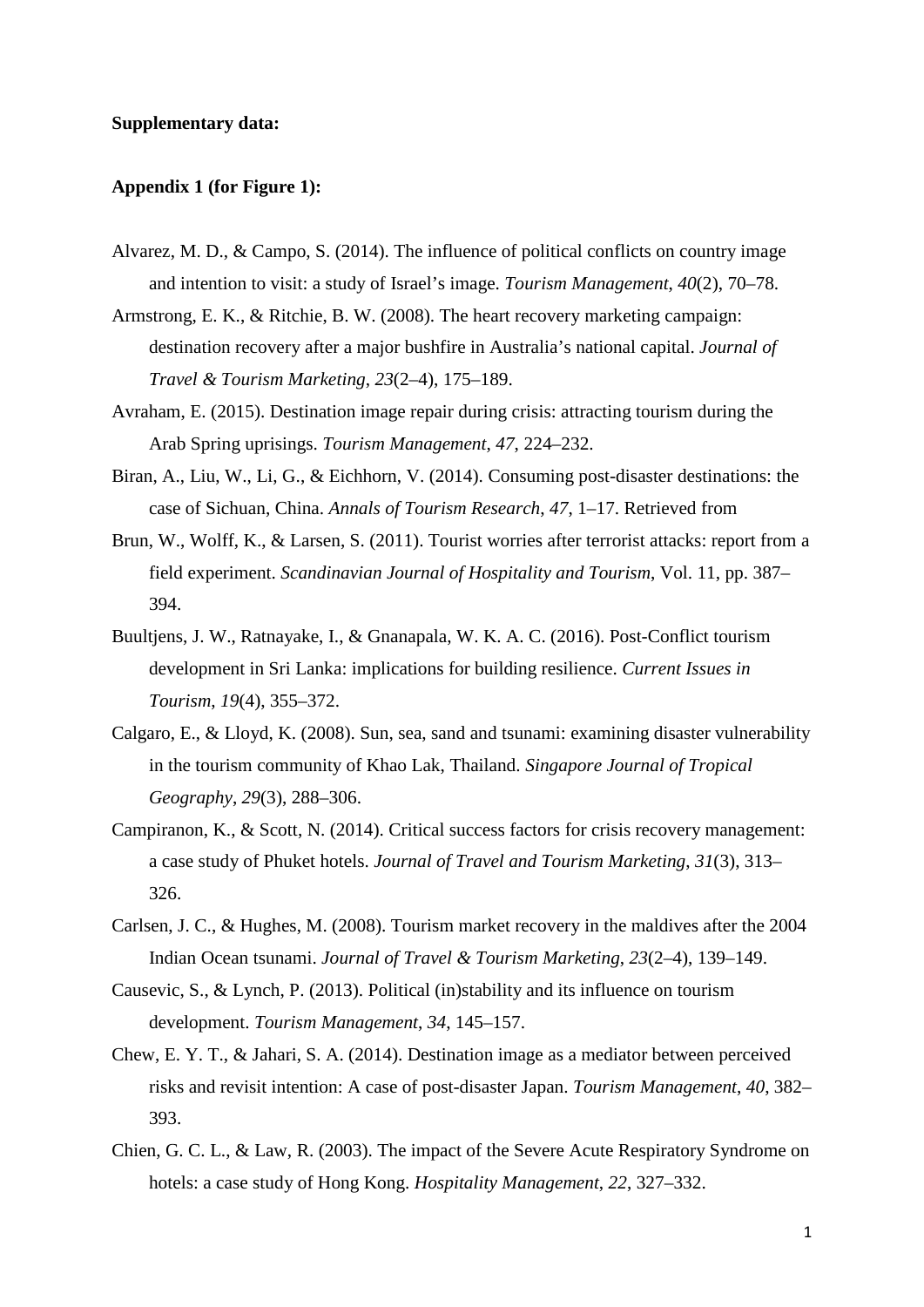#### **Supplementary data:**

#### **Appendix 1 (for Figure 1):**

- Alvarez, M. D., & Campo, S. (2014). The influence of political conflicts on country image and intention to visit: a study of Israel's image. *Tourism Management*, *40*(2), 70–78.
- Armstrong, E. K., & Ritchie, B. W. (2008). The heart recovery marketing campaign: destination recovery after a major bushfire in Australia's national capital. *Journal of Travel & Tourism Marketing*, *23*(2–4), 175–189.
- Avraham, E. (2015). Destination image repair during crisis: attracting tourism during the Arab Spring uprisings. *Tourism Management*, *47*, 224–232.
- Biran, A., Liu, W., Li, G., & Eichhorn, V. (2014). Consuming post-disaster destinations: the case of Sichuan, China. *Annals of Tourism Research*, *47*, 1–17. Retrieved from
- Brun, W., Wolff, K., & Larsen, S. (2011). Tourist worries after terrorist attacks: report from a field experiment. *Scandinavian Journal of Hospitality and Tourism*, Vol. 11, pp. 387– 394.
- Buultjens, J. W., Ratnayake, I., & Gnanapala, W. K. A. C. (2016). Post-Conflict tourism development in Sri Lanka: implications for building resilience. *Current Issues in Tourism*, *19*(4), 355–372.
- Calgaro, E., & Lloyd, K. (2008). Sun, sea, sand and tsunami: examining disaster vulnerability in the tourism community of Khao Lak, Thailand. *Singapore Journal of Tropical Geography*, *29*(3), 288–306.
- Campiranon, K., & Scott, N. (2014). Critical success factors for crisis recovery management: a case study of Phuket hotels. *Journal of Travel and Tourism Marketing*, *31*(3), 313– 326.
- Carlsen, J. C., & Hughes, M. (2008). Tourism market recovery in the maldives after the 2004 Indian Ocean tsunami. *Journal of Travel & Tourism Marketing*, *23*(2–4), 139–149.
- Causevic, S., & Lynch, P. (2013). Political (in)stability and its influence on tourism development. *Tourism Management*, *34*, 145–157.
- Chew, E. Y. T., & Jahari, S. A. (2014). Destination image as a mediator between perceived risks and revisit intention: A case of post-disaster Japan. *Tourism Management*, *40*, 382– 393.
- Chien, G. C. L., & Law, R. (2003). The impact of the Severe Acute Respiratory Syndrome on hotels: a case study of Hong Kong. *Hospitality Management*, *22*, 327–332.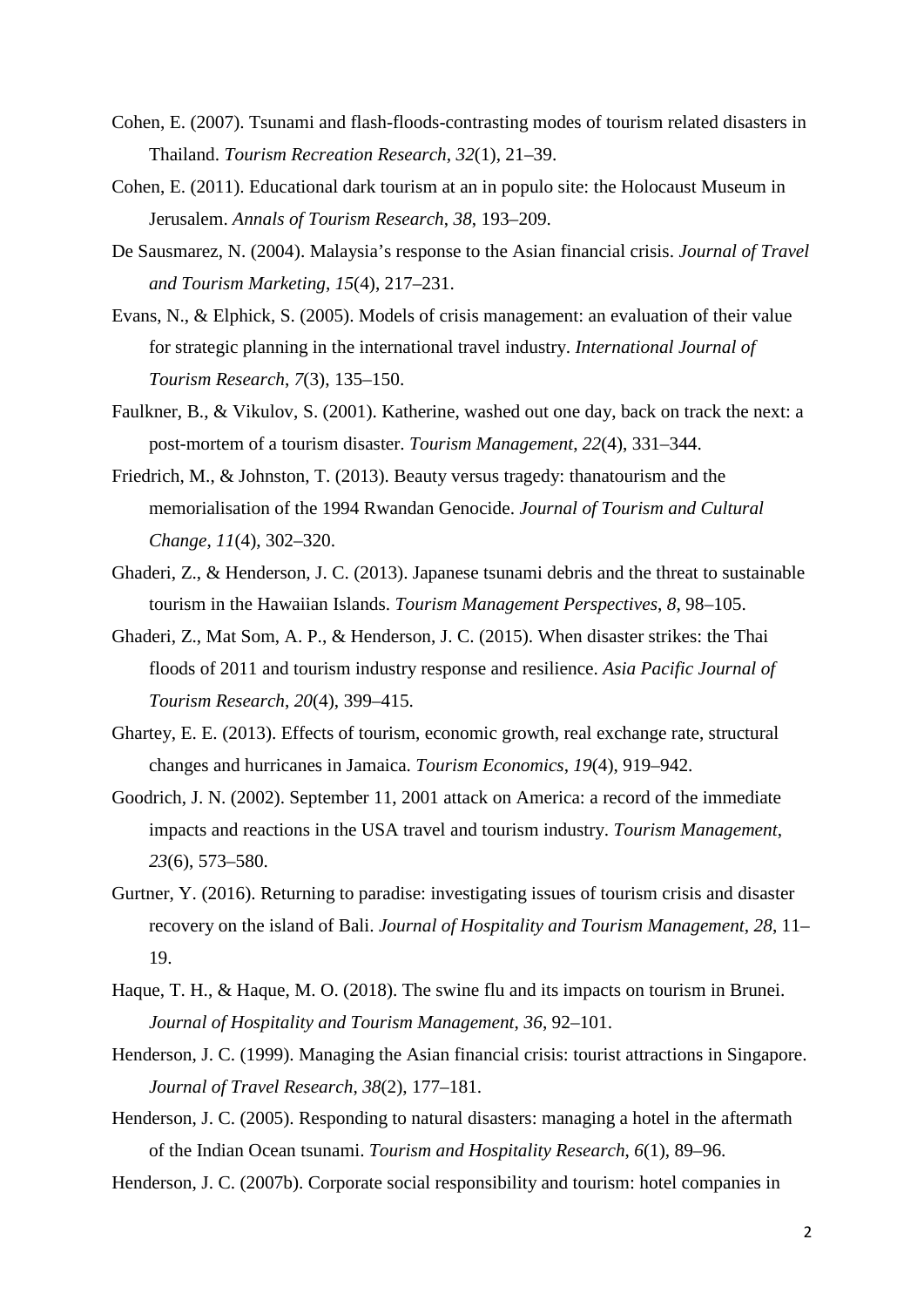- Cohen, E. (2007). Tsunami and flash-floods-contrasting modes of tourism related disasters in Thailand. *Tourism Recreation Research*, *32*(1), 21–39.
- Cohen, E. (2011). Educational dark tourism at an in populo site: the Holocaust Museum in Jerusalem. *Annals of Tourism Research*, *38*, 193–209.
- De Sausmarez, N. (2004). Malaysia's response to the Asian financial crisis. *Journal of Travel and Tourism Marketing*, *15*(4), 217–231.
- Evans, N., & Elphick, S. (2005). Models of crisis management: an evaluation of their value for strategic planning in the international travel industry. *International Journal of Tourism Research*, *7*(3), 135–150.
- Faulkner, B., & Vikulov, S. (2001). Katherine, washed out one day, back on track the next: a post-mortem of a tourism disaster. *Tourism Management*, *22*(4), 331–344.
- Friedrich, M., & Johnston, T. (2013). Beauty versus tragedy: thanatourism and the memorialisation of the 1994 Rwandan Genocide. *Journal of Tourism and Cultural Change*, *11*(4), 302–320.
- Ghaderi, Z., & Henderson, J. C. (2013). Japanese tsunami debris and the threat to sustainable tourism in the Hawaiian Islands. *Tourism Management Perspectives*, *8*, 98–105.
- Ghaderi, Z., Mat Som, A. P., & Henderson, J. C. (2015). When disaster strikes: the Thai floods of 2011 and tourism industry response and resilience. *Asia Pacific Journal of Tourism Research*, *20*(4), 399–415.
- Ghartey, E. E. (2013). Effects of tourism, economic growth, real exchange rate, structural changes and hurricanes in Jamaica. *Tourism Economics*, *19*(4), 919–942.
- Goodrich, J. N. (2002). September 11, 2001 attack on America: a record of the immediate impacts and reactions in the USA travel and tourism industry. *Tourism Management*, *23*(6), 573–580.
- Gurtner, Y. (2016). Returning to paradise: investigating issues of tourism crisis and disaster recovery on the island of Bali. *Journal of Hospitality and Tourism Management*, *28*, 11– 19.
- Haque, T. H., & Haque, M. O. (2018). The swine flu and its impacts on tourism in Brunei. *Journal of Hospitality and Tourism Management*, *36*, 92–101.
- Henderson, J. C. (1999). Managing the Asian financial crisis: tourist attractions in Singapore. *Journal of Travel Research*, *38*(2), 177–181.
- Henderson, J. C. (2005). Responding to natural disasters: managing a hotel in the aftermath of the Indian Ocean tsunami. *Tourism and Hospitality Research*, *6*(1), 89–96.

Henderson, J. C. (2007b). Corporate social responsibility and tourism: hotel companies in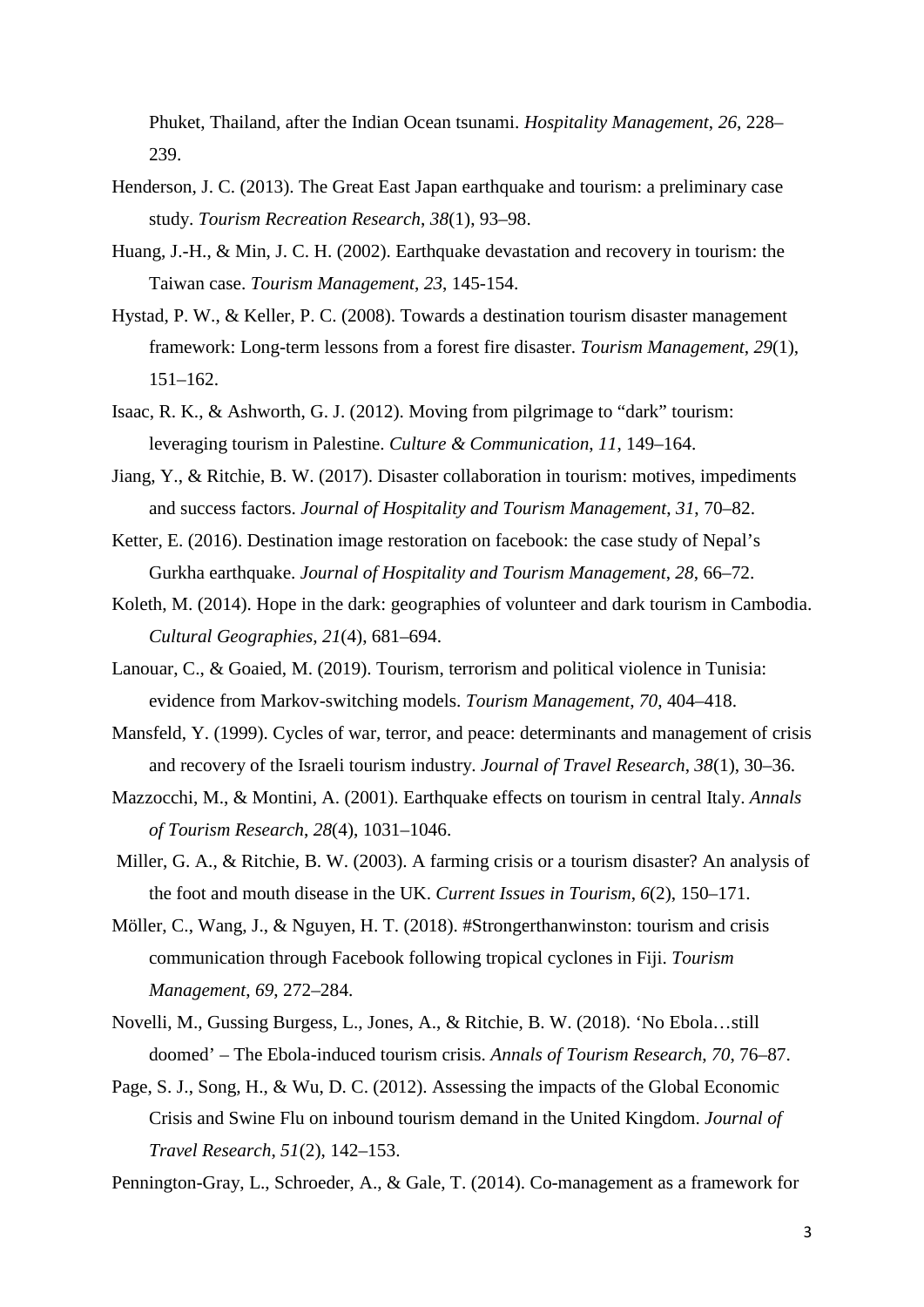Phuket, Thailand, after the Indian Ocean tsunami. *Hospitality Management*, *26*, 228– 239.

- Henderson, J. C. (2013). The Great East Japan earthquake and tourism: a preliminary case study. *Tourism Recreation Research*, *38*(1), 93–98.
- Huang, J.-H., & Min, J. C. H. (2002). Earthquake devastation and recovery in tourism: the Taiwan case. *Tourism Management*, *23*, 145-154.
- Hystad, P. W., & Keller, P. C. (2008). Towards a destination tourism disaster management framework: Long-term lessons from a forest fire disaster. *Tourism Management*, *29*(1), 151–162.
- Isaac, R. K., & Ashworth, G. J. (2012). Moving from pilgrimage to "dark" tourism: leveraging tourism in Palestine. *Culture & Communication*, *11*, 149–164.
- Jiang, Y., & Ritchie, B. W. (2017). Disaster collaboration in tourism: motives, impediments and success factors. *Journal of Hospitality and Tourism Management*, *31*, 70–82.
- Ketter, E. (2016). Destination image restoration on facebook: the case study of Nepal's Gurkha earthquake. *Journal of Hospitality and Tourism Management*, *28*, 66–72.
- Koleth, M. (2014). Hope in the dark: geographies of volunteer and dark tourism in Cambodia. *Cultural Geographies*, *21*(4), 681–694.
- Lanouar, C., & Goaied, M. (2019). Tourism, terrorism and political violence in Tunisia: evidence from Markov-switching models. *Tourism Management*, *70*, 404–418.
- Mansfeld, Y. (1999). Cycles of war, terror, and peace: determinants and management of crisis and recovery of the Israeli tourism industry. *Journal of Travel Research*, *38*(1), 30–36.
- Mazzocchi, M., & Montini, A. (2001). Earthquake effects on tourism in central Italy. *Annals of Tourism Research*, *28*(4), 1031–1046.
- Miller, G. A., & Ritchie, B. W. (2003). A farming crisis or a tourism disaster? An analysis of the foot and mouth disease in the UK. *Current Issues in Tourism*, *6*(2), 150–171.
- Möller, C., Wang, J., & Nguyen, H. T. (2018). #Strongerthanwinston: tourism and crisis communication through Facebook following tropical cyclones in Fiji. *Tourism Management*, *69*, 272–284.
- Novelli, M., Gussing Burgess, L., Jones, A., & Ritchie, B. W. (2018). 'No Ebola…still doomed' – The Ebola-induced tourism crisis. *Annals of Tourism Research*, *70*, 76–87.
- Page, S. J., Song, H., & Wu, D. C. (2012). Assessing the impacts of the Global Economic Crisis and Swine Flu on inbound tourism demand in the United Kingdom. *Journal of Travel Research*, *51*(2), 142–153.

Pennington-Gray, L., Schroeder, A., & Gale, T. (2014). Co-management as a framework for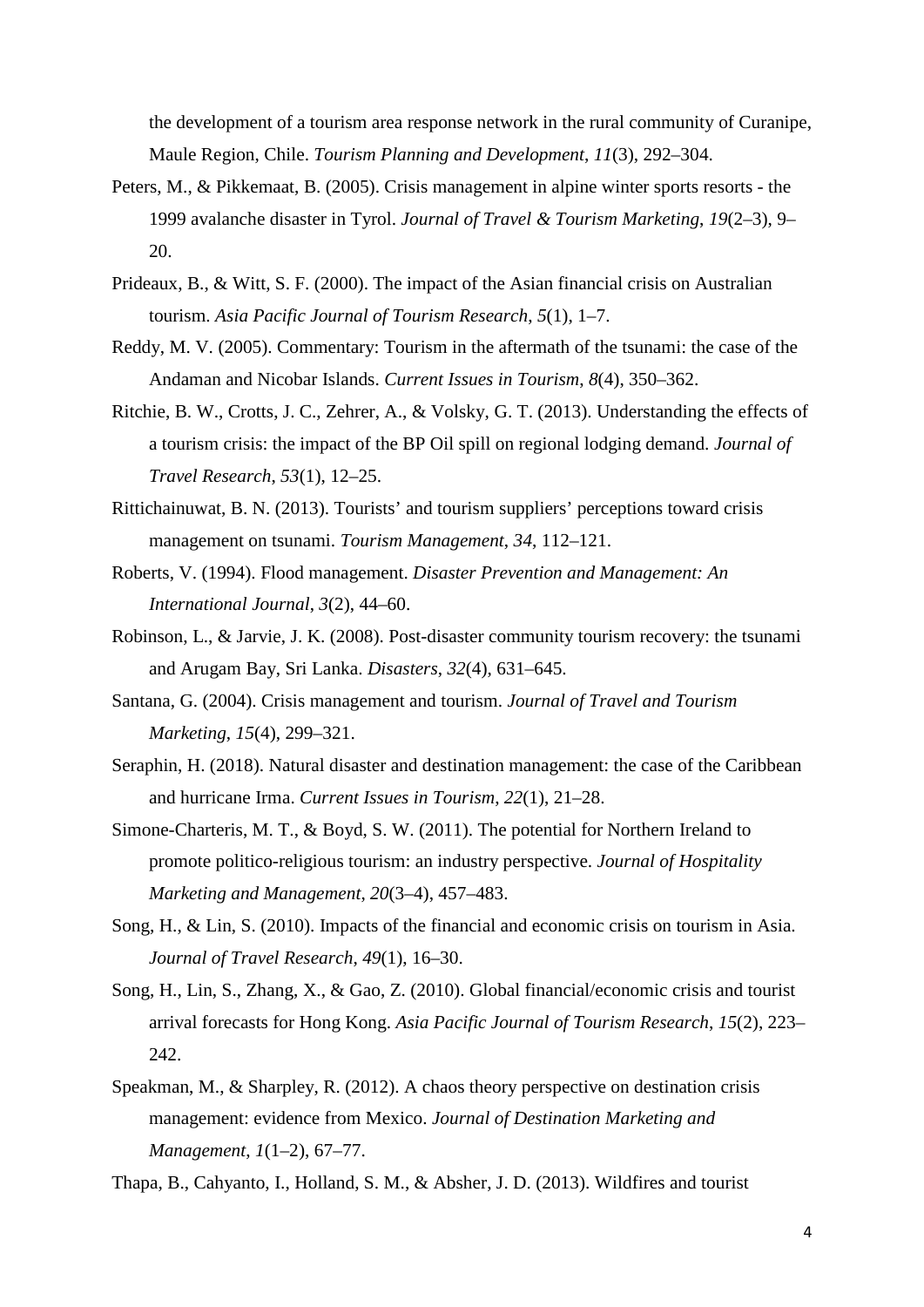the development of a tourism area response network in the rural community of Curanipe, Maule Region, Chile. *Tourism Planning and Development*, *11*(3), 292–304.

- Peters, M., & Pikkemaat, B. (2005). Crisis management in alpine winter sports resorts the 1999 avalanche disaster in Tyrol. *Journal of Travel & Tourism Marketing*, *19*(2–3), 9– 20.
- Prideaux, B., & Witt, S. F. (2000). The impact of the Asian financial crisis on Australian tourism. *Asia Pacific Journal of Tourism Research*, *5*(1), 1–7.
- Reddy, M. V. (2005). Commentary: Tourism in the aftermath of the tsunami: the case of the Andaman and Nicobar Islands. *Current Issues in Tourism*, *8*(4), 350–362.
- Ritchie, B. W., Crotts, J. C., Zehrer, A., & Volsky, G. T. (2013). Understanding the effects of a tourism crisis: the impact of the BP Oil spill on regional lodging demand. *Journal of Travel Research*, *53*(1), 12–25.
- Rittichainuwat, B. N. (2013). Tourists' and tourism suppliers' perceptions toward crisis management on tsunami. *Tourism Management*, *34*, 112–121.
- Roberts, V. (1994). Flood management. *Disaster Prevention and Management: An International Journal*, *3*(2), 44–60.
- Robinson, L., & Jarvie, J. K. (2008). Post-disaster community tourism recovery: the tsunami and Arugam Bay, Sri Lanka. *Disasters*, *32*(4), 631–645.
- Santana, G. (2004). Crisis management and tourism. *Journal of Travel and Tourism Marketing*, *15*(4), 299–321.
- Seraphin, H. (2018). Natural disaster and destination management: the case of the Caribbean and hurricane Irma. *Current Issues in Tourism*, *22*(1), 21–28.
- Simone-Charteris, M. T., & Boyd, S. W. (2011). The potential for Northern Ireland to promote politico-religious tourism: an industry perspective. *Journal of Hospitality Marketing and Management*, *20*(3–4), 457–483.
- Song, H., & Lin, S. (2010). Impacts of the financial and economic crisis on tourism in Asia. *Journal of Travel Research*, *49*(1), 16–30.
- Song, H., Lin, S., Zhang, X., & Gao, Z. (2010). Global financial/economic crisis and tourist arrival forecasts for Hong Kong. *Asia Pacific Journal of Tourism Research*, *15*(2), 223– 242.
- Speakman, M., & Sharpley, R. (2012). A chaos theory perspective on destination crisis management: evidence from Mexico. *Journal of Destination Marketing and Management*, *1*(1–2), 67–77.
- Thapa, B., Cahyanto, I., Holland, S. M., & Absher, J. D. (2013). Wildfires and tourist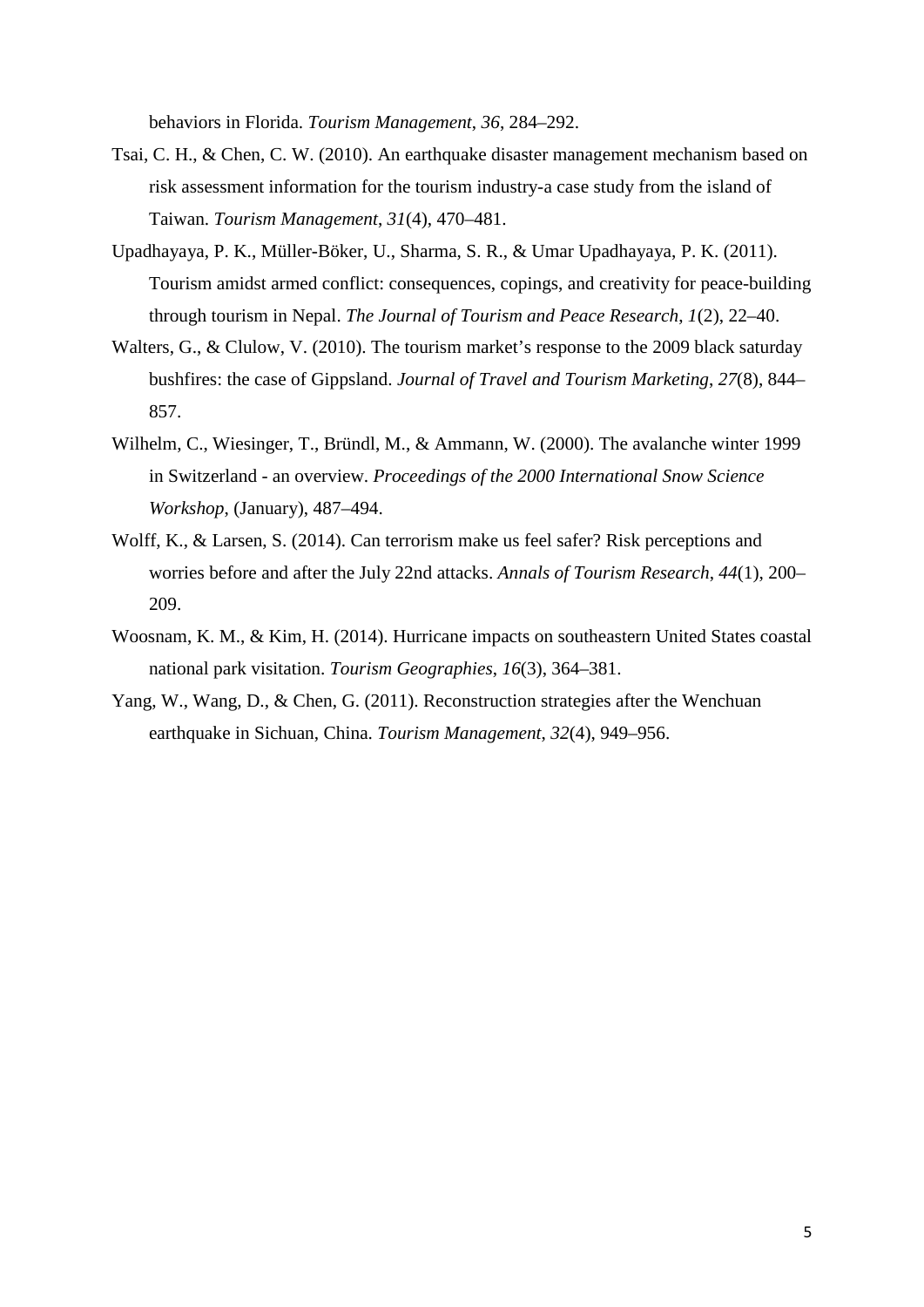behaviors in Florida. *Tourism Management*, *36*, 284–292.

- Tsai, C. H., & Chen, C. W. (2010). An earthquake disaster management mechanism based on risk assessment information for the tourism industry-a case study from the island of Taiwan. *Tourism Management*, *31*(4), 470–481.
- Upadhayaya, P. K., Müller-Böker, U., Sharma, S. R., & Umar Upadhayaya, P. K. (2011). Tourism amidst armed conflict: consequences, copings, and creativity for peace-building through tourism in Nepal. *The Journal of Tourism and Peace Research*, *1*(2), 22–40.
- Walters, G., & Clulow, V. (2010). The tourism market's response to the 2009 black saturday bushfires: the case of Gippsland. *Journal of Travel and Tourism Marketing*, *27*(8), 844– 857.
- Wilhelm, C., Wiesinger, T., Bründl, M., & Ammann, W. (2000). The avalanche winter 1999 in Switzerland - an overview. *Proceedings of the 2000 International Snow Science Workshop*, (January), 487–494.
- Wolff, K., & Larsen, S. (2014). Can terrorism make us feel safer? Risk perceptions and worries before and after the July 22nd attacks. *Annals of Tourism Research*, *44*(1), 200– 209.
- Woosnam, K. M., & Kim, H. (2014). Hurricane impacts on southeastern United States coastal national park visitation. *Tourism Geographies*, *16*(3), 364–381.
- Yang, W., Wang, D., & Chen, G. (2011). Reconstruction strategies after the Wenchuan earthquake in Sichuan, China. *Tourism Management*, *32*(4), 949–956.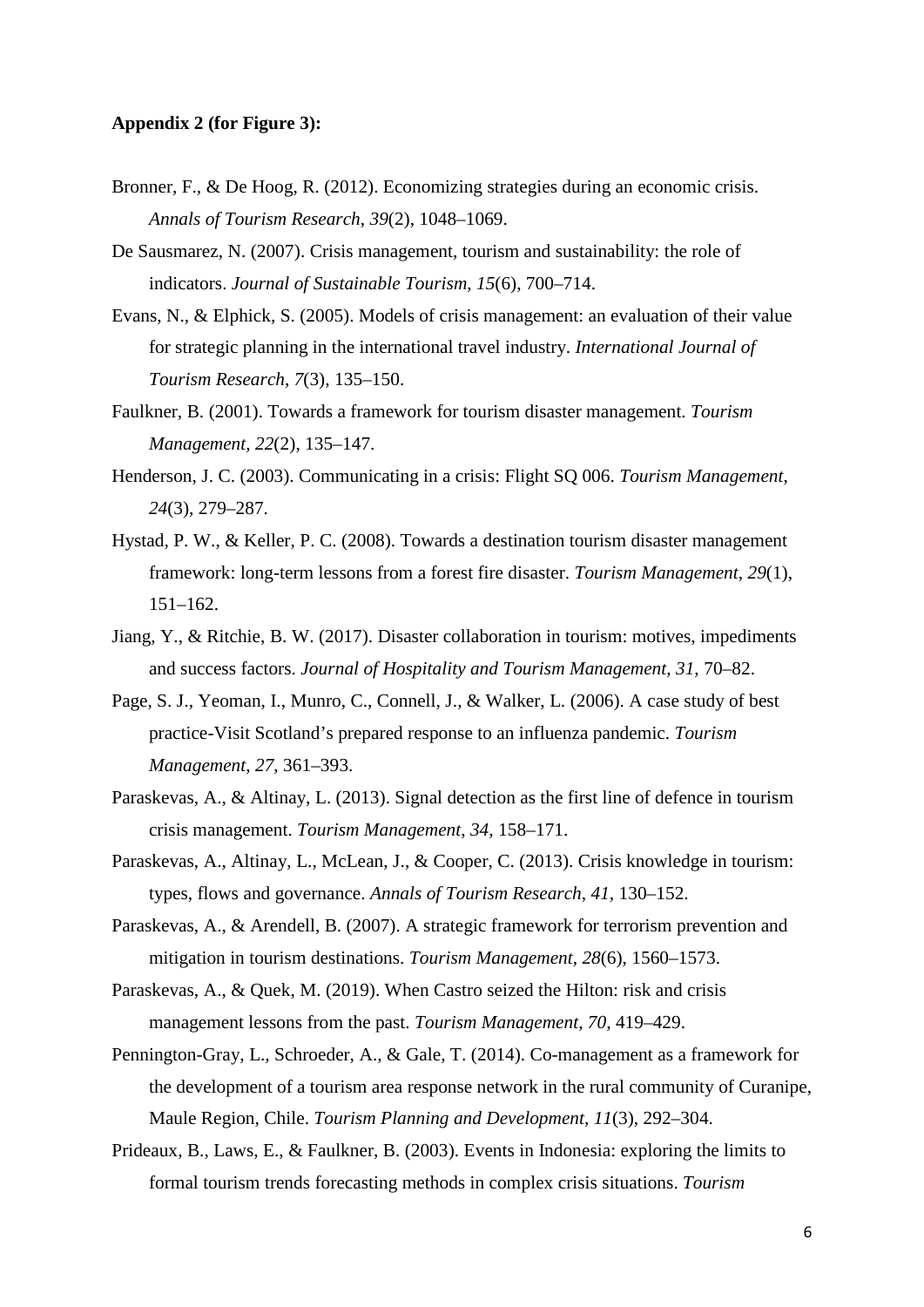#### **Appendix 2 (for Figure 3):**

- Bronner, F., & De Hoog, R. (2012). Economizing strategies during an economic crisis. *Annals of Tourism Research*, *39*(2), 1048–1069.
- De Sausmarez, N. (2007). Crisis management, tourism and sustainability: the role of indicators. *Journal of Sustainable Tourism*, *15*(6), 700–714.
- Evans, N., & Elphick, S. (2005). Models of crisis management: an evaluation of their value for strategic planning in the international travel industry. *International Journal of Tourism Research*, *7*(3), 135–150.
- Faulkner, B. (2001). Towards a framework for tourism disaster management. *Tourism Management*, *22*(2), 135–147.
- Henderson, J. C. (2003). Communicating in a crisis: Flight SQ 006. *Tourism Management*, *24*(3), 279–287.
- Hystad, P. W., & Keller, P. C. (2008). Towards a destination tourism disaster management framework: long-term lessons from a forest fire disaster. *Tourism Management*, *29*(1), 151–162.
- Jiang, Y., & Ritchie, B. W. (2017). Disaster collaboration in tourism: motives, impediments and success factors. *Journal of Hospitality and Tourism Management*, *31*, 70–82.
- Page, S. J., Yeoman, I., Munro, C., Connell, J., & Walker, L. (2006). A case study of best practice-Visit Scotland's prepared response to an influenza pandemic. *Tourism Management*, *27*, 361–393.
- Paraskevas, A., & Altinay, L. (2013). Signal detection as the first line of defence in tourism crisis management. *Tourism Management*, *34*, 158–171.
- Paraskevas, A., Altinay, L., McLean, J., & Cooper, C. (2013). Crisis knowledge in tourism: types, flows and governance. *Annals of Tourism Research*, *41*, 130–152.
- Paraskevas, A., & Arendell, B. (2007). A strategic framework for terrorism prevention and mitigation in tourism destinations. *Tourism Management*, *28*(6), 1560–1573.
- Paraskevas, A., & Quek, M. (2019). When Castro seized the Hilton: risk and crisis management lessons from the past. *Tourism Management*, *70*, 419–429.
- Pennington-Gray, L., Schroeder, A., & Gale, T. (2014). Co-management as a framework for the development of a tourism area response network in the rural community of Curanipe, Maule Region, Chile. *Tourism Planning and Development*, *11*(3), 292–304.
- Prideaux, B., Laws, E., & Faulkner, B. (2003). Events in Indonesia: exploring the limits to formal tourism trends forecasting methods in complex crisis situations. *Tourism*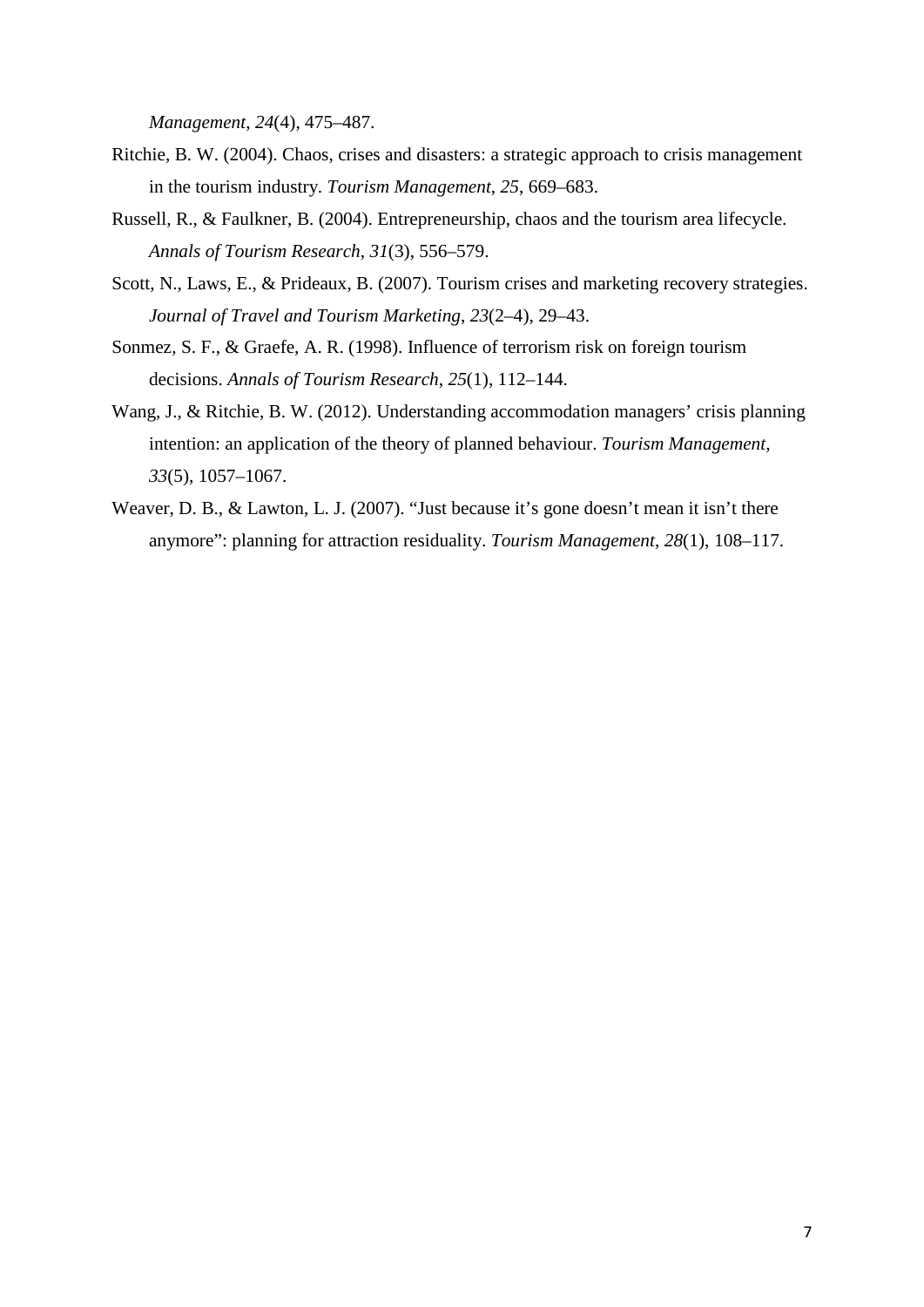*Management*, *24*(4), 475–487.

- Ritchie, B. W. (2004). Chaos, crises and disasters: a strategic approach to crisis management in the tourism industry. *Tourism Management*, *25*, 669–683.
- Russell, R., & Faulkner, B. (2004). Entrepreneurship, chaos and the tourism area lifecycle. *Annals of Tourism Research*, *31*(3), 556–579.
- Scott, N., Laws, E., & Prideaux, B. (2007). Tourism crises and marketing recovery strategies. *Journal of Travel and Tourism Marketing*, *23*(2–4), 29–43.
- Sonmez, S. F., & Graefe, A. R. (1998). Influence of terrorism risk on foreign tourism decisions. *Annals of Tourism Research*, *25*(1), 112–144.
- Wang, J., & Ritchie, B. W. (2012). Understanding accommodation managers' crisis planning intention: an application of the theory of planned behaviour. *Tourism Management*, *33*(5), 1057–1067.
- Weaver, D. B., & Lawton, L. J. (2007). "Just because it's gone doesn't mean it isn't there anymore": planning for attraction residuality. *Tourism Management*, *28*(1), 108–117.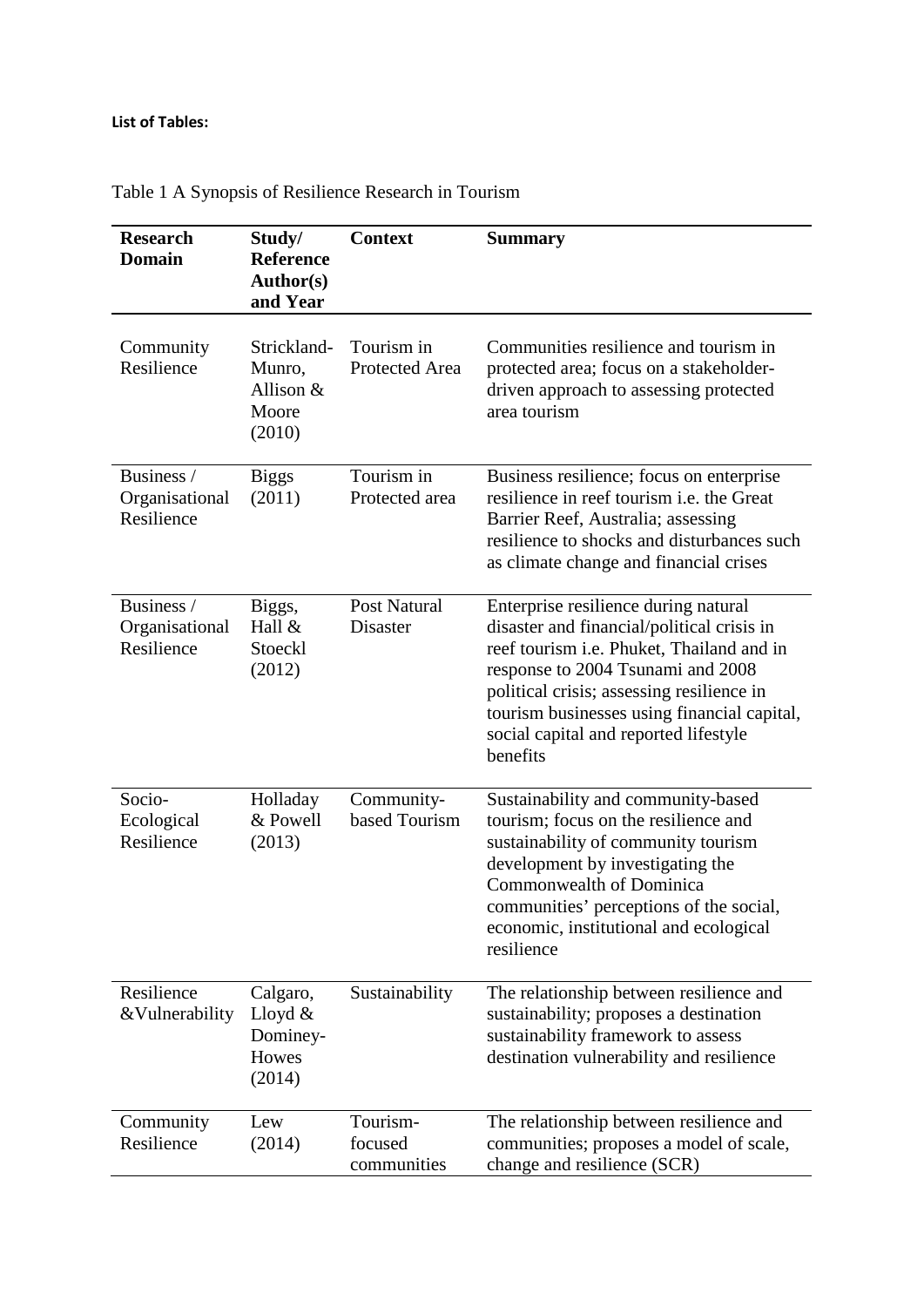## **List of Tables:**

| <b>Research</b><br><b>Domain</b>           | Study/<br><b>Reference</b><br>Author(s)<br>and Year   | <b>Context</b>                     | <b>Summary</b>                                                                                                                                                                                                                                                                                                        |
|--------------------------------------------|-------------------------------------------------------|------------------------------------|-----------------------------------------------------------------------------------------------------------------------------------------------------------------------------------------------------------------------------------------------------------------------------------------------------------------------|
| Community<br>Resilience                    | Strickland-<br>Munro,<br>Allison &<br>Moore<br>(2010) | Tourism in<br>Protected Area       | Communities resilience and tourism in<br>protected area; focus on a stakeholder-<br>driven approach to assessing protected<br>area tourism                                                                                                                                                                            |
| Business /<br>Organisational<br>Resilience | <b>Biggs</b><br>(2011)                                | Tourism in<br>Protected area       | Business resilience; focus on enterprise<br>resilience in reef tourism <i>i.e.</i> the Great<br>Barrier Reef, Australia; assessing<br>resilience to shocks and disturbances such<br>as climate change and financial crises                                                                                            |
| Business /<br>Organisational<br>Resilience | Biggs,<br>Hall &<br>Stoeckl<br>(2012)                 | <b>Post Natural</b><br>Disaster    | Enterprise resilience during natural<br>disaster and financial/political crisis in<br>reef tourism i.e. Phuket, Thailand and in<br>response to 2004 Tsunami and 2008<br>political crisis; assessing resilience in<br>tourism businesses using financial capital,<br>social capital and reported lifestyle<br>benefits |
| Socio-<br>Ecological<br>Resilience         | Holladay<br>& Powell<br>(2013)                        | Community-<br>based Tourism        | Sustainability and community-based<br>tourism; focus on the resilience and<br>sustainability of community tourism<br>development by investigating the<br>Commonwealth of Dominica<br>communities' perceptions of the social,<br>economic, institutional and ecological<br>resilience                                  |
| Resilience<br>&Vulnerability               | Calgaro,<br>Lloyd $&$<br>Dominey-<br>Howes<br>(2014)  | Sustainability                     | The relationship between resilience and<br>sustainability; proposes a destination<br>sustainability framework to assess<br>destination vulnerability and resilience                                                                                                                                                   |
| Community<br>Resilience                    | Lew<br>(2014)                                         | Tourism-<br>focused<br>communities | The relationship between resilience and<br>communities; proposes a model of scale,<br>change and resilience (SCR)                                                                                                                                                                                                     |

Table 1 A Synopsis of Resilience Research in Tourism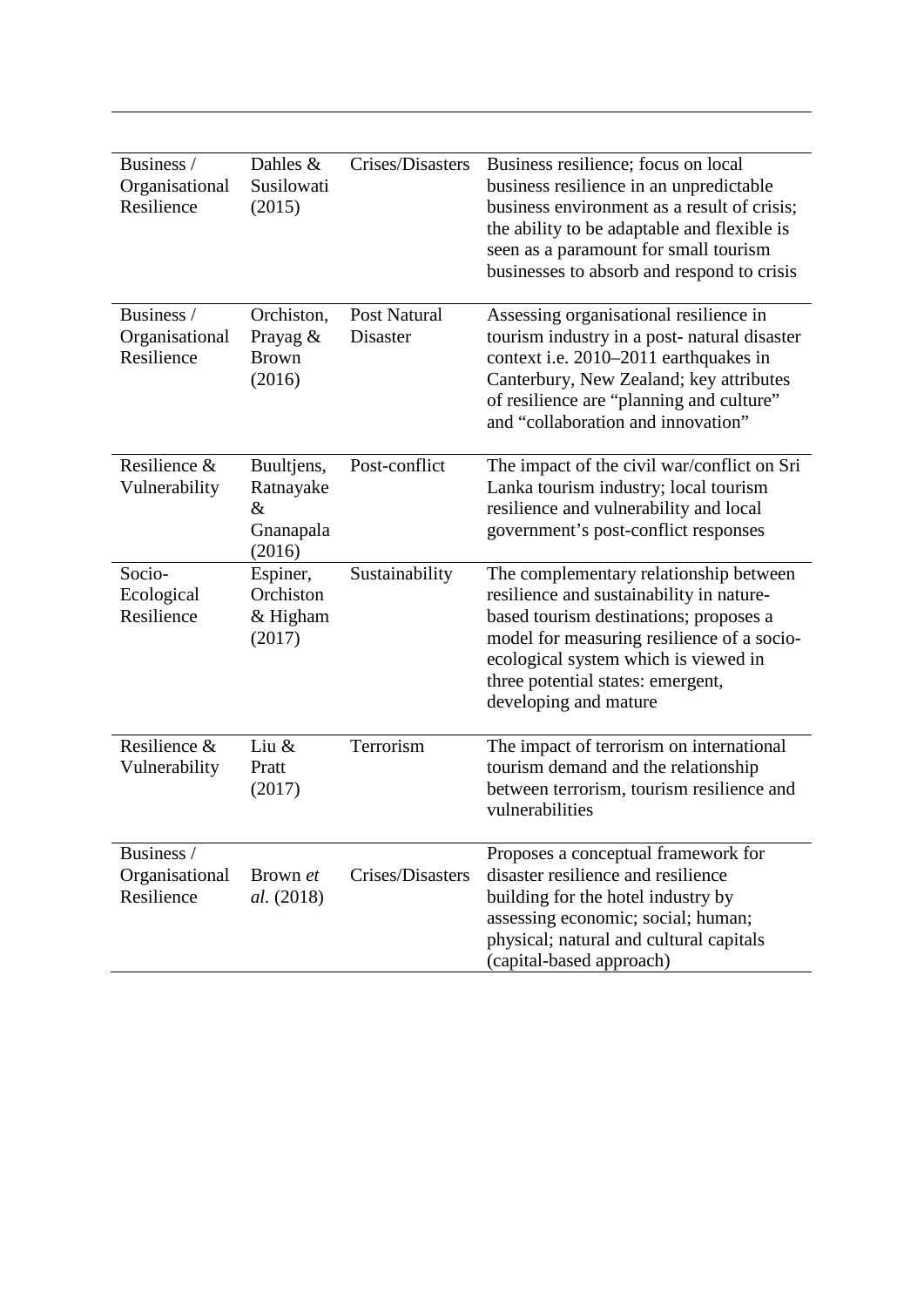| Business /<br>Organisational<br>Resilience | Dahles &<br>Susilowati<br>(2015)                       | Crises/Disasters                | Business resilience; focus on local<br>business resilience in an unpredictable<br>business environment as a result of crisis;<br>the ability to be adaptable and flexible is<br>seen as a paramount for small tourism<br>businesses to absorb and respond to crisis              |
|--------------------------------------------|--------------------------------------------------------|---------------------------------|----------------------------------------------------------------------------------------------------------------------------------------------------------------------------------------------------------------------------------------------------------------------------------|
| Business /<br>Organisational<br>Resilience | Orchiston,<br>Prayag &<br><b>Brown</b><br>(2016)       | <b>Post Natural</b><br>Disaster | Assessing organisational resilience in<br>tourism industry in a post-natural disaster<br>context i.e. 2010–2011 earthquakes in<br>Canterbury, New Zealand; key attributes<br>of resilience are "planning and culture"<br>and "collaboration and innovation"                      |
| Resilience &<br>Vulnerability              | Buultjens,<br>Ratnayake<br>$\&$<br>Gnanapala<br>(2016) | Post-conflict                   | The impact of the civil war/conflict on Sri<br>Lanka tourism industry; local tourism<br>resilience and vulnerability and local<br>government's post-conflict responses                                                                                                           |
| Socio-<br>Ecological<br>Resilience         | Espiner,<br>Orchiston<br>& Higham<br>(2017)            | Sustainability                  | The complementary relationship between<br>resilience and sustainability in nature-<br>based tourism destinations; proposes a<br>model for measuring resilience of a socio-<br>ecological system which is viewed in<br>three potential states: emergent,<br>developing and mature |
| Resilience &<br>Vulnerability              | Liu $&$<br>Pratt<br>(2017)                             | Terrorism                       | The impact of terrorism on international<br>tourism demand and the relationship<br>between terrorism, tourism resilience and<br>vulnerabilities                                                                                                                                  |
| Business /<br>Organisational<br>Resilience | Brown et<br>al. (2018)                                 | Crises/Disasters                | Proposes a conceptual framework for<br>disaster resilience and resilience<br>building for the hotel industry by<br>assessing economic; social; human;<br>physical; natural and cultural capitals<br>(capital-based approach)                                                     |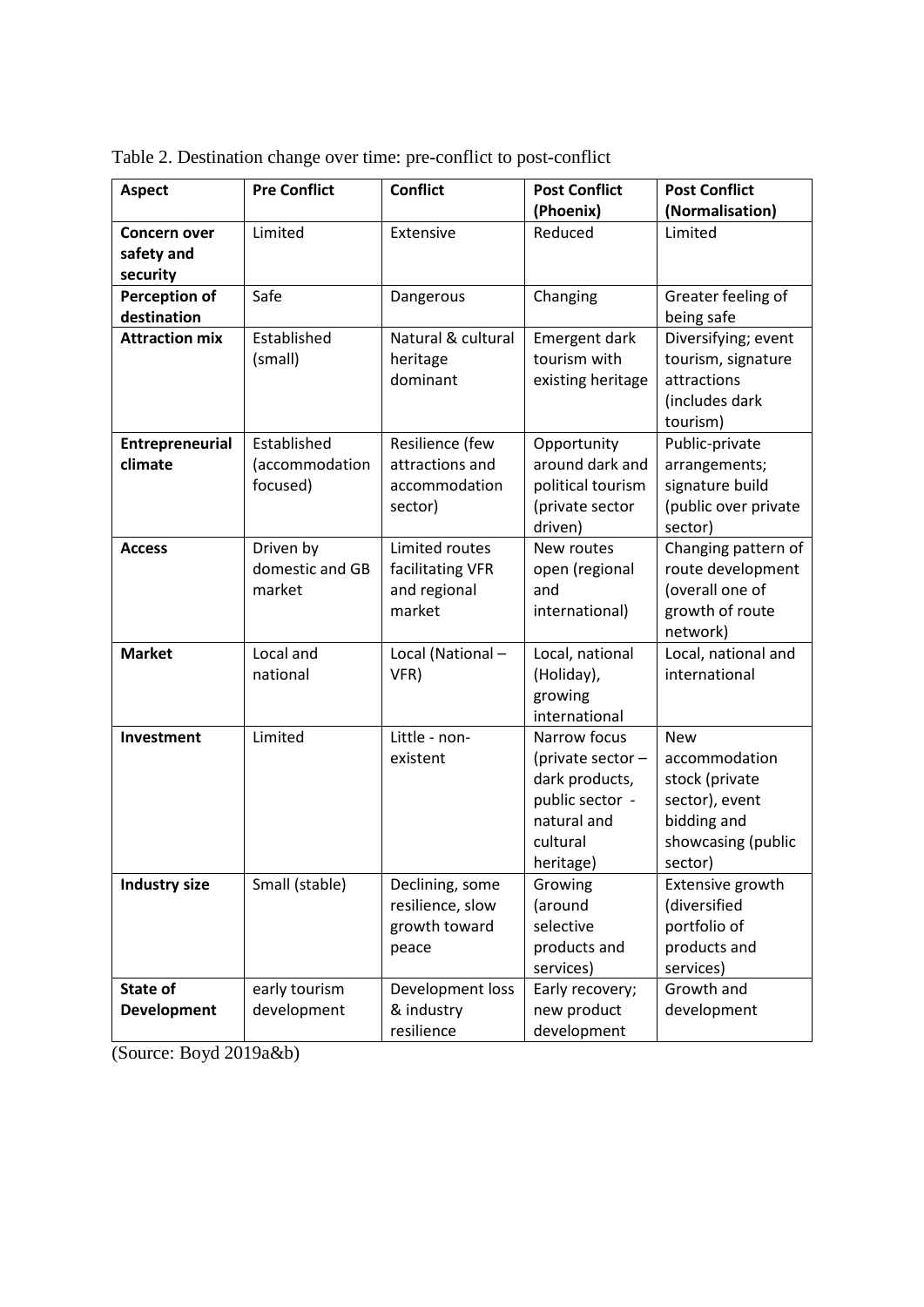| <b>Aspect</b>         | <b>Pre Conflict</b> | <b>Conflict</b>    | <b>Post Conflict</b> | <b>Post Conflict</b> |  |  |
|-----------------------|---------------------|--------------------|----------------------|----------------------|--|--|
|                       |                     |                    | (Phoenix)            | (Normalisation)      |  |  |
| <b>Concern over</b>   | Limited             | Extensive          | Reduced              | Limited              |  |  |
| safety and            |                     |                    |                      |                      |  |  |
| security              |                     |                    |                      |                      |  |  |
| <b>Perception of</b>  | Safe                | Dangerous          | Changing             | Greater feeling of   |  |  |
| destination           |                     |                    |                      | being safe           |  |  |
| <b>Attraction mix</b> | Established         | Natural & cultural | Emergent dark        | Diversifying; event  |  |  |
|                       | (small)             | heritage           | tourism with         | tourism, signature   |  |  |
|                       |                     | dominant           | existing heritage    | attractions          |  |  |
|                       |                     |                    |                      | (includes dark       |  |  |
|                       |                     |                    |                      | tourism)             |  |  |
| Entrepreneurial       | Established         | Resilience (few    | Opportunity          | Public-private       |  |  |
| climate               | (accommodation      | attractions and    | around dark and      | arrangements;        |  |  |
|                       | focused)            | accommodation      | political tourism    | signature build      |  |  |
|                       |                     | sector)            | (private sector      | (public over private |  |  |
|                       |                     |                    | driven)              | sector)              |  |  |
| <b>Access</b>         | Driven by           | Limited routes     | New routes           | Changing pattern of  |  |  |
|                       | domestic and GB     | facilitating VFR   | open (regional       | route development    |  |  |
|                       | market              | and regional       | and                  | (overall one of      |  |  |
|                       |                     | market             | international)       | growth of route      |  |  |
|                       |                     |                    |                      | network)             |  |  |
| <b>Market</b>         | Local and           | Local (National-   | Local, national      | Local, national and  |  |  |
|                       | national            | VFR)               | (Holiday),           | international        |  |  |
|                       |                     |                    | growing              |                      |  |  |
|                       |                     |                    | international        |                      |  |  |
| Investment            | Limited             | Little - non-      | Narrow focus         | <b>New</b>           |  |  |
|                       |                     | existent           | (private sector -    | accommodation        |  |  |
|                       |                     |                    | dark products,       | stock (private       |  |  |
|                       |                     |                    | public sector -      | sector), event       |  |  |
|                       |                     |                    | natural and          | bidding and          |  |  |
|                       |                     |                    | cultural             | showcasing (public   |  |  |
|                       |                     |                    | heritage)            | sector)              |  |  |
| <b>Industry size</b>  | Small (stable)      | Declining, some    | Growing              | Extensive growth     |  |  |
|                       |                     | resilience, slow   | (around              | (diversified         |  |  |
|                       |                     | growth toward      | selective            | portfolio of         |  |  |
|                       |                     | peace              | products and         | products and         |  |  |
|                       |                     |                    | services)            | services)            |  |  |
| State of              | early tourism       | Development loss   | Early recovery;      | Growth and           |  |  |
| <b>Development</b>    | development         | & industry         | new product          | development          |  |  |
|                       |                     | resilience         | development          |                      |  |  |

Table 2. Destination change over time: pre-conflict to post-conflict

(Source: Boyd 2019a&b)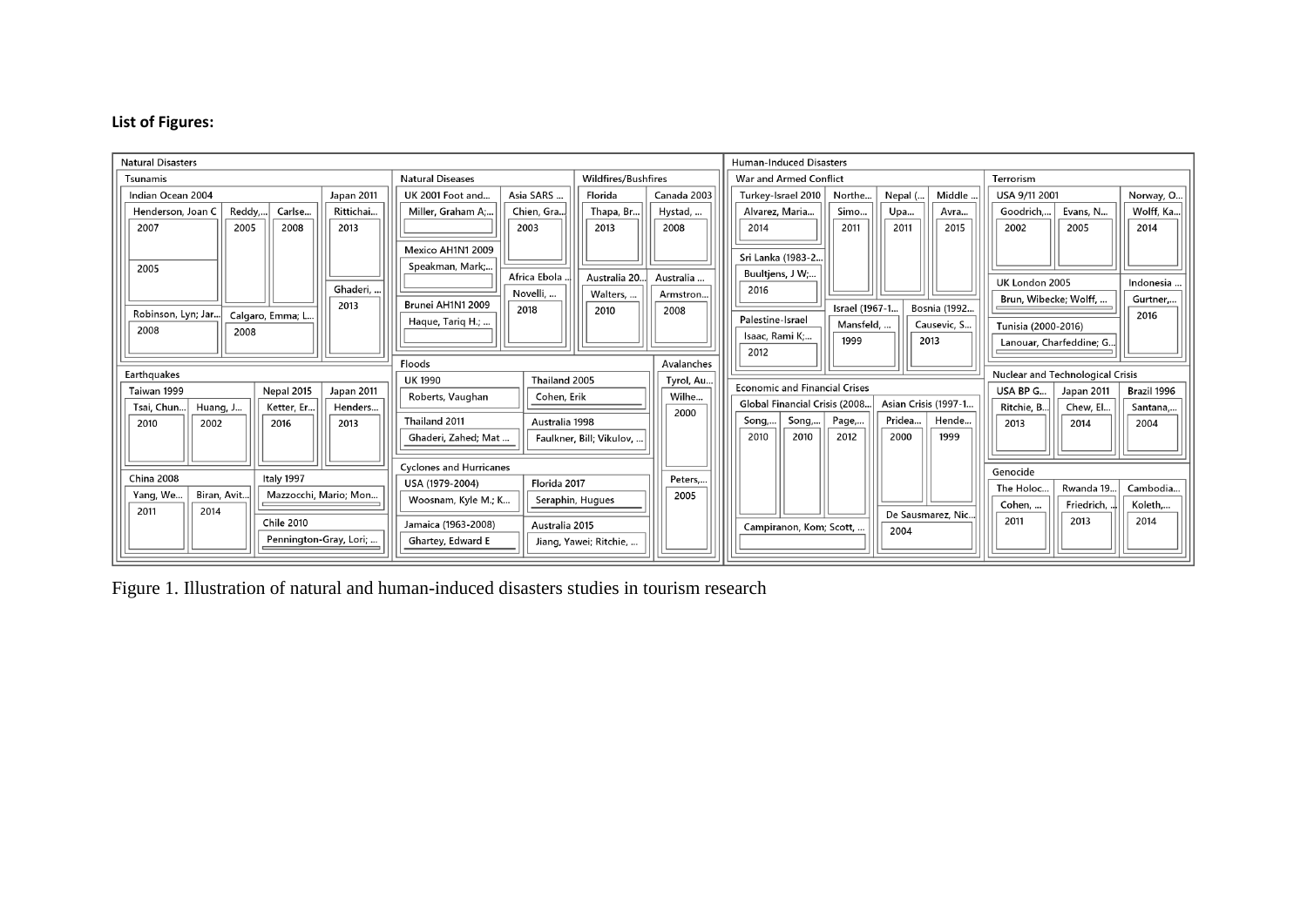# **List of Figures:**

| <b>Natural Disasters</b>                                                                             |                                       |                            |             |                               | <b>Human-Induced Disasters</b>       |                 |                                  |              |                       |                         |             |
|------------------------------------------------------------------------------------------------------|---------------------------------------|----------------------------|-------------|-------------------------------|--------------------------------------|-----------------|----------------------------------|--------------|-----------------------|-------------------------|-------------|
| Tsunamis                                                                                             | <b>Natural Diseases</b>               | <b>Wildfires/Bushfires</b> |             | <b>War and Armed Conflict</b> |                                      |                 |                                  |              | Terrorism             |                         |             |
| Indian Ocean 2004<br>Japan 2011                                                                      | Asia SARS<br>UK 2001 Foot and         | Florida                    | Canada 2003 |                               | Turkey-Israel 2010                   | Northe          | Nepal (                          | Middle       | USA 9/11 2001         |                         | Norway, O   |
| Reddy,<br>Carlse<br>Rittichai<br>Henderson, Joan C                                                   | Miller, Graham A;<br>Chien, Gra.      | Thapa, Br                  | Hystad,     |                               | Alvarez, Maria                       | Simo            | Upa                              | Avra         | Goodrich,             | Evans, N                | Wolff, Ka   |
| 2005<br>2007<br>2008<br>2013                                                                         | 2003                                  | 2013                       | 2008        |                               | 2014                                 | 2011            | 2011                             | 2015         | 2002                  | 2005                    | 2014        |
|                                                                                                      | Mexico AH1N1 2009                     |                            |             |                               |                                      |                 |                                  |              |                       |                         |             |
| 2005                                                                                                 | Speakman, Mark;                       |                            |             |                               | Sri Lanka (1983-2.                   |                 |                                  |              |                       |                         |             |
|                                                                                                      | Africa Ebola                          | Australia 20.              | Australia   |                               | Buultjens, J W;                      |                 |                                  |              | UK London 2005        |                         | Indonesia   |
| Ghaderi                                                                                              | Novelli,                              | Walters,                   | Armstron.   |                               | 2016                                 |                 |                                  |              | Brun, Wibecke; Wolff, |                         | Gurtner     |
| 2013<br>Robinson, Lyn; Jar<br>Calgaro, Emma; L.                                                      | Brunei AH1N1 2009<br>2018             | 2010                       | 2008        |                               |                                      | Israel (1967-1. |                                  | Bosnia (1992 |                       |                         | 2016        |
| 2008<br>2008                                                                                         | Haque, Tariq H.;                      |                            |             |                               | Palestine-Israel                     | Mansfeld,       |                                  | Causevic, S  | Tunisia (2000-2016)   |                         |             |
|                                                                                                      |                                       |                            |             |                               | Isaac, Rami K;<br>2012               | 1999            |                                  | 2013         |                       | Lanouar, Charfeddine; G |             |
|                                                                                                      | Floods                                |                            | Avalanches  |                               |                                      |                 |                                  |              |                       |                         |             |
| Earthquakes                                                                                          | Thailand 2005<br><b>UK 1990</b>       |                            | Tyrol, Au   |                               |                                      |                 | Nuclear and Technological Crisis |              |                       |                         |             |
| Nepal 2015<br>Taiwan 1999<br>Japan 2011                                                              | Roberts, Vaughan<br>Cohen, Erik       |                            | Wilhe       |                               | <b>Economic and Financial Crises</b> |                 |                                  |              | USA BP G              | Japan 2011              | Brazil 1996 |
| Tsai, Chun<br>Huang, J<br>Ketter, Er<br>Henders                                                      |                                       |                            | 2000        |                               | Global Financial Crisis (2008.       |                 | Asian Crisis (1997-1             |              | Ritchie, B            | Chew, El                | Santana     |
| 2016<br>2010<br>2002<br>2013                                                                         | Thailand 2011<br>Australia 1998       |                            |             |                               | Song,<br>Song,                       | Page,           | Pridea                           | Hende        | 2013                  | 2014                    | 2004        |
|                                                                                                      | Ghaderi, Zahed; Mat                   | Faulkner, Bill; Vikulov,   |             |                               | 2010<br>2010                         | 2012            | 2000                             | 1999         |                       |                         |             |
|                                                                                                      |                                       |                            |             |                               |                                      |                 |                                  |              |                       |                         |             |
| <b>Cyclones and Hurricanes</b><br><b>China 2008</b><br>Italy 1997<br>USA (1979-2004)<br>Florida 2017 |                                       |                            | Peters      |                               |                                      |                 |                                  |              | Genocide              |                         |             |
| Mazzocchi, Mario; Mon<br>Yang, We<br>Biran, Avit                                                     | Woosnam, Kyle M.; K                   |                            | 2005        |                               |                                      |                 |                                  |              | The Holoc             | Rwanda 19.              | Cambodia    |
| 2011<br>2014                                                                                         |                                       | Seraphin, Hugues           |             |                               |                                      |                 | De Sausmarez, Nic.               |              | Cohen,                | Friedrich,              | Koleth      |
| <b>Chile 2010</b>                                                                                    | Jamaica (1963-2008)<br>Australia 2015 |                            |             |                               | Campiranon, Kom; Scott,              |                 | 2004                             |              | 2011                  | 2013                    | 2014        |
| Pennington-Gray, Lori;                                                                               | Ghartey, Edward E                     | Jiang, Yawei; Ritchie,     |             |                               |                                      |                 |                                  |              |                       |                         |             |
|                                                                                                      |                                       |                            |             |                               |                                      |                 |                                  |              |                       |                         |             |

Figure 1. Illustration of natural and human-induced disasters studies in tourism research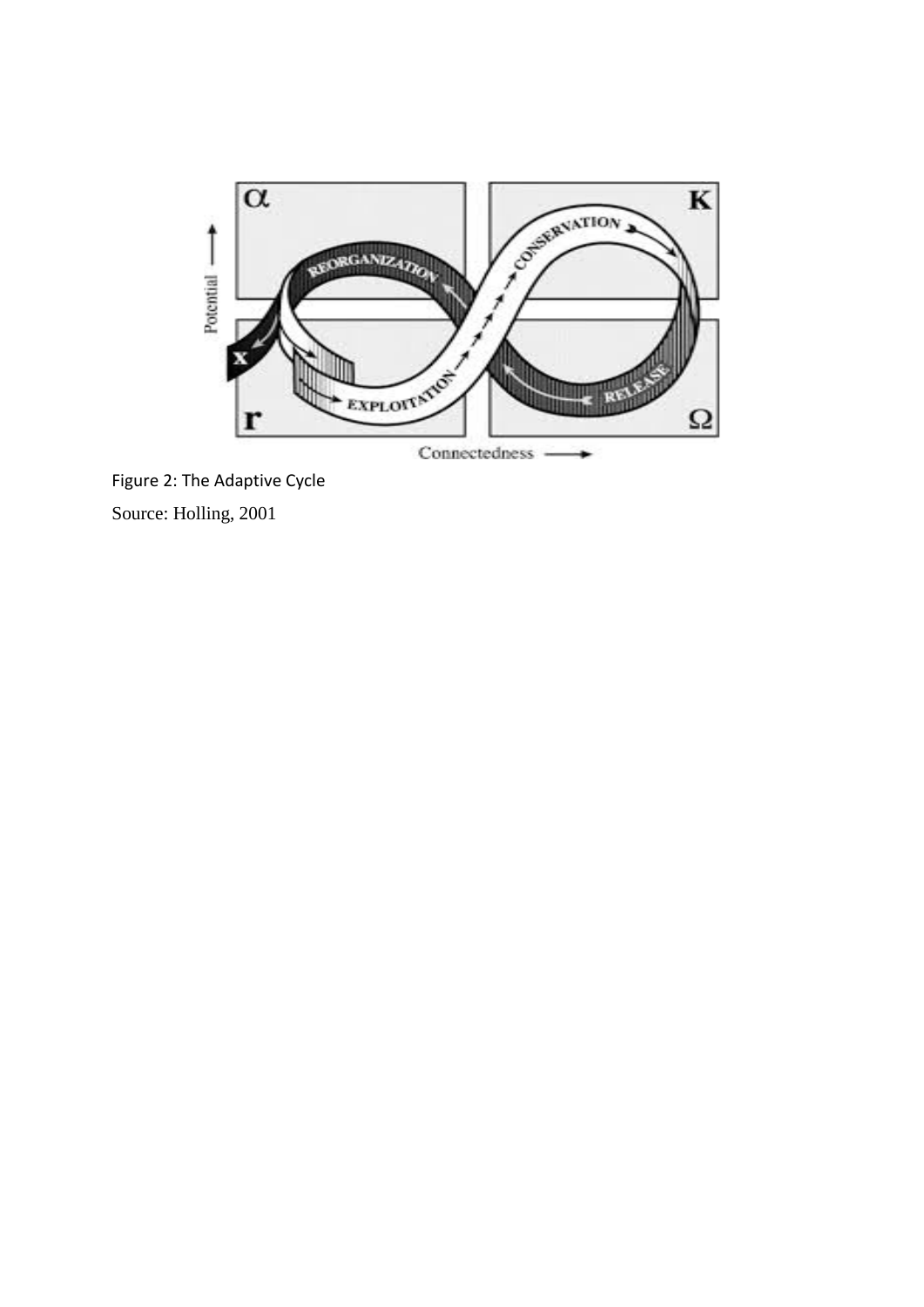

Connectedness

Figure 2: The Adaptive Cycle Source: Holling, 2001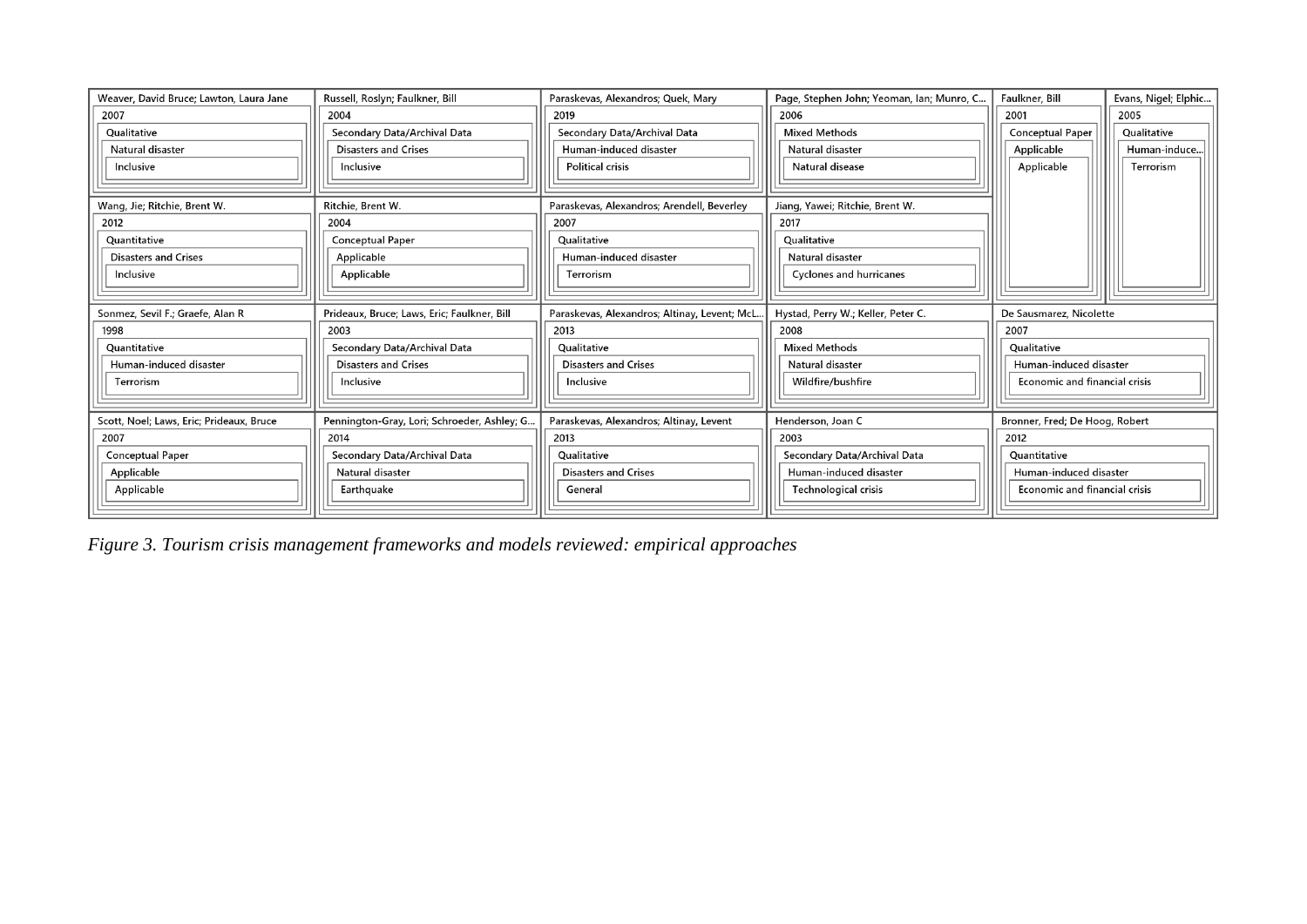| Weaver, David Bruce: Lawton, Laura Jane  | Russell, Roslyn; Faulkner, Bill             | Paraskevas, Alexandros; Quek, Mary            | Page, Stephen John; Yeoman, Ian; Munro, C | Faulkner, Bill                 | Evans, Nigel; Elphic |  |
|------------------------------------------|---------------------------------------------|-----------------------------------------------|-------------------------------------------|--------------------------------|----------------------|--|
| 2007                                     | 2004                                        | 2019                                          | 2006                                      | 2001                           | 2005                 |  |
| Qualitative                              | Secondary Data/Archival Data                | Secondary Data/Archival Data                  | <b>Mixed Methods</b>                      | <b>Conceptual Paper</b>        | Qualitative          |  |
| Natural disaster                         | <b>Disasters and Crises</b>                 | Human-induced disaster                        | Natural disaster                          | Applicable                     | Human-induce         |  |
| Inclusive                                | Inclusive                                   | <b>Political crisis</b>                       | Natural disease                           | Applicable                     | Terrorism            |  |
|                                          |                                             |                                               |                                           |                                |                      |  |
| Wang, Jie; Ritchie, Brent W.             | Ritchie, Brent W.                           | Paraskevas, Alexandros; Arendell, Beverley    | Jiang, Yawei; Ritchie, Brent W.           |                                |                      |  |
| 2012                                     | 2004                                        | 2007                                          | 2017                                      |                                |                      |  |
| Quantitative                             | <b>Conceptual Paper</b>                     | <b>Qualitative</b>                            | <b>Qualitative</b>                        |                                |                      |  |
| <b>Disasters and Crises</b>              | Applicable                                  | Human-induced disaster                        | Natural disaster                          |                                |                      |  |
| Inclusive                                | Applicable                                  | Terrorism                                     | <b>Cyclones and hurricanes</b>            |                                |                      |  |
|                                          |                                             |                                               |                                           |                                |                      |  |
| Sonmez, Sevil F.; Graefe, Alan R         | Prideaux, Bruce; Laws, Eric; Faulkner, Bill | Paraskevas, Alexandros; Altinay, Levent; McL. | Hystad, Perry W.; Keller, Peter C.        | De Sausmarez, Nicolette        |                      |  |
| 1998                                     | 2003                                        | 2013                                          | 2008                                      | 2007                           |                      |  |
| Quantitative                             | Secondary Data/Archival Data                | Qualitative                                   | <b>Mixed Methods</b>                      | Qualitative                    |                      |  |
| Human-induced disaster                   | <b>Disasters and Crises</b>                 | <b>Disasters and Crises</b>                   | Natural disaster                          | Human-induced disaster         |                      |  |
| Terrorism                                | Inclusive                                   | Inclusive                                     | Wildfire/bushfire                         | Economic and financial crisis  |                      |  |
|                                          |                                             |                                               |                                           |                                |                      |  |
| Scott, Noel; Laws, Eric; Prideaux, Bruce | Pennington-Gray, Lori; Schroeder, Ashley; G | Paraskevas, Alexandros; Altinay, Levent       | Henderson, Joan C                         | Bronner, Fred; De Hoog, Robert |                      |  |
| 2007                                     | 2014                                        | 2013                                          | 2003                                      | 2012                           |                      |  |
| <b>Conceptual Paper</b>                  | Secondary Data/Archival Data                | Qualitative                                   | Secondary Data/Archival Data              | Quantitative                   |                      |  |
| Applicable                               | Natural disaster                            | <b>Disasters and Crises</b>                   | Human-induced disaster                    | Human-induced disaster         |                      |  |
| Applicable                               | Earthquake                                  | General                                       | Technological crisis                      | Economic and financial crisis  |                      |  |
|                                          |                                             |                                               |                                           |                                |                      |  |

*Figure 3. Tourism crisis management frameworks and models reviewed: empirical approaches*